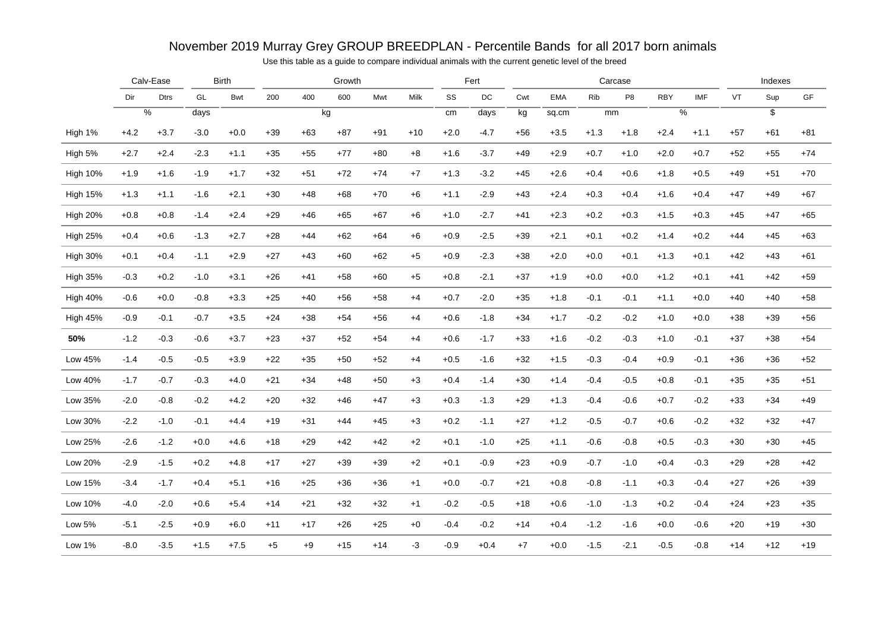### November 2019 Murray Grey GROUP BREEDPLAN - Percentile Bands for all 2017 born animals

Use this table as a guide to compare individual animals with the current genetic level of the breed

|                 |        | Calv-Ease       |        | <b>Birth</b> |       |       | Growth |       |       |        | Fert   |       |            |        | Carcase        |            |               |       | Indexes         |       |
|-----------------|--------|-----------------|--------|--------------|-------|-------|--------|-------|-------|--------|--------|-------|------------|--------|----------------|------------|---------------|-------|-----------------|-------|
|                 | Dir    | <b>Dtrs</b>     | GL     | Bwt          | 200   | 400   | 600    | Mwt   | Milk  | SS     | DC     | Cwt   | <b>EMA</b> | Rib    | P <sub>8</sub> | <b>RBY</b> | <b>IMF</b>    | VT    | Sup             | GF    |
|                 |        | $\overline{\%}$ | days   |              |       |       | kg     |       |       | cm     | days   | kg    | sq.cm      |        | mm             |            | $\frac{9}{6}$ |       | $\overline{\$}$ |       |
| High 1%         | $+4.2$ | $+3.7$          | $-3.0$ | $+0.0$       | $+39$ | $+63$ | $+87$  | $+91$ | $+10$ | $+2.0$ | $-4.7$ | $+56$ | $+3.5$     | $+1.3$ | $+1.8$         | $+2.4$     | $+1.1$        | $+57$ | $+61$           | $+81$ |
| High 5%         | $+2.7$ | $+2.4$          | $-2.3$ | $+1.1$       | $+35$ | $+55$ | $+77$  | $+80$ | $+8$  | $+1.6$ | $-3.7$ | $+49$ | $+2.9$     | $+0.7$ | $+1.0$         | $+2.0$     | $+0.7$        | $+52$ | $+55$           | $+74$ |
| <b>High 10%</b> | $+1.9$ | $+1.6$          | $-1.9$ | $+1.7$       | $+32$ | $+51$ | $+72$  | $+74$ | $+7$  | $+1.3$ | $-3.2$ | $+45$ | $+2.6$     | $+0.4$ | $+0.6$         | $+1.8$     | $+0.5$        | $+49$ | $+51$           | $+70$ |
| <b>High 15%</b> | $+1.3$ | $+1.1$          | $-1.6$ | $+2.1$       | $+30$ | $+48$ | $+68$  | $+70$ | $+6$  | $+1.1$ | $-2.9$ | $+43$ | $+2.4$     | $+0.3$ | $+0.4$         | $+1.6$     | $+0.4$        | $+47$ | $+49$           | $+67$ |
| <b>High 20%</b> | $+0.8$ | $+0.8$          | $-1.4$ | $+2.4$       | $+29$ | $+46$ | $+65$  | $+67$ | +6    | $+1.0$ | $-2.7$ | $+41$ | $+2.3$     | $+0.2$ | $+0.3$         | $+1.5$     | $+0.3$        | $+45$ | $+47$           | $+65$ |
| <b>High 25%</b> | $+0.4$ | $+0.6$          | $-1.3$ | $+2.7$       | $+28$ | $+44$ | $+62$  | $+64$ | +6    | $+0.9$ | $-2.5$ | $+39$ | $+2.1$     | $+0.1$ | $+0.2$         | $+1.4$     | $+0.2$        | $+44$ | $+45$           | $+63$ |
| <b>High 30%</b> | $+0.1$ | $+0.4$          | $-1.1$ | $+2.9$       | $+27$ | $+43$ | $+60$  | $+62$ | $+5$  | $+0.9$ | $-2.3$ | $+38$ | $+2.0$     | $+0.0$ | $+0.1$         | $+1.3$     | $+0.1$        | $+42$ | $+43$           | $+61$ |
| <b>High 35%</b> | $-0.3$ | $+0.2$          | $-1.0$ | $+3.1$       | $+26$ | $+41$ | $+58$  | $+60$ | $+5$  | $+0.8$ | $-2.1$ | $+37$ | $+1.9$     | $+0.0$ | $+0.0$         | $+1.2$     | $+0.1$        | $+41$ | $+42$           | $+59$ |
| High 40%        | $-0.6$ | $+0.0$          | $-0.8$ | $+3.3$       | $+25$ | $+40$ | $+56$  | $+58$ | $+4$  | $+0.7$ | $-2.0$ | $+35$ | $+1.8$     | $-0.1$ | $-0.1$         | $+1.1$     | $+0.0$        | $+40$ | $+40$           | $+58$ |
| High 45%        | $-0.9$ | $-0.1$          | $-0.7$ | $+3.5$       | $+24$ | $+38$ | $+54$  | $+56$ | $+4$  | $+0.6$ | $-1.8$ | $+34$ | $+1.7$     | $-0.2$ | $-0.2$         | $+1.0$     | $+0.0$        | $+38$ | $+39$           | $+56$ |
| 50%             | $-1.2$ | $-0.3$          | $-0.6$ | $+3.7$       | $+23$ | $+37$ | $+52$  | $+54$ | $+4$  | $+0.6$ | $-1.7$ | $+33$ | $+1.6$     | $-0.2$ | $-0.3$         | $+1.0$     | $-0.1$        | $+37$ | $+38$           | $+54$ |
| Low 45%         | $-1.4$ | $-0.5$          | $-0.5$ | $+3.9$       | $+22$ | $+35$ | $+50$  | $+52$ | $+4$  | $+0.5$ | $-1.6$ | $+32$ | $+1.5$     | $-0.3$ | $-0.4$         | $+0.9$     | $-0.1$        | $+36$ | $+36$           | $+52$ |
| Low 40%         | $-1.7$ | $-0.7$          | $-0.3$ | $+4.0$       | $+21$ | $+34$ | $+48$  | $+50$ | $+3$  | $+0.4$ | $-1.4$ | $+30$ | $+1.4$     | $-0.4$ | $-0.5$         | $+0.8$     | $-0.1$        | $+35$ | $+35$           | $+51$ |
| Low 35%         | $-2.0$ | $-0.8$          | $-0.2$ | $+4.2$       | $+20$ | $+32$ | $+46$  | $+47$ | $+3$  | $+0.3$ | $-1.3$ | $+29$ | $+1.3$     | $-0.4$ | $-0.6$         | $+0.7$     | $-0.2$        | $+33$ | $+34$           | $+49$ |
| Low 30%         | $-2.2$ | $-1.0$          | $-0.1$ | $+4.4$       | $+19$ | $+31$ | $+44$  | $+45$ | $+3$  | $+0.2$ | $-1.1$ | $+27$ | $+1.2$     | $-0.5$ | $-0.7$         | $+0.6$     | $-0.2$        | $+32$ | $+32$           | $+47$ |
| Low 25%         | $-2.6$ | $-1.2$          | $+0.0$ | $+4.6$       | $+18$ | $+29$ | $+42$  | $+42$ | $+2$  | $+0.1$ | $-1.0$ | $+25$ | $+1.1$     | $-0.6$ | $-0.8$         | $+0.5$     | $-0.3$        | $+30$ | $+30$           | $+45$ |
| Low 20%         | $-2.9$ | $-1.5$          | $+0.2$ | $+4.8$       | $+17$ | $+27$ | $+39$  | $+39$ | $+2$  | $+0.1$ | $-0.9$ | $+23$ | $+0.9$     | $-0.7$ | $-1.0$         | $+0.4$     | $-0.3$        | $+29$ | $+28$           | $+42$ |
| Low 15%         | $-3.4$ | $-1.7$          | $+0.4$ | $+5.1$       | $+16$ | $+25$ | $+36$  | $+36$ | $+1$  | $+0.0$ | $-0.7$ | $+21$ | $+0.8$     | $-0.8$ | $-1.1$         | $+0.3$     | $-0.4$        | $+27$ | $+26$           | $+39$ |
| Low 10%         | $-4.0$ | $-2.0$          | $+0.6$ | $+5.4$       | $+14$ | $+21$ | $+32$  | $+32$ | $+1$  | $-0.2$ | $-0.5$ | $+18$ | $+0.6$     | $-1.0$ | $-1.3$         | $+0.2$     | $-0.4$        | $+24$ | $+23$           | $+35$ |
| Low 5%          | $-5.1$ | $-2.5$          | $+0.9$ | $+6.0$       | $+11$ | $+17$ | $+26$  | $+25$ | $+0$  | $-0.4$ | $-0.2$ | $+14$ | $+0.4$     | $-1.2$ | -1.6           | $+0.0$     | $-0.6$        | $+20$ | $+19$           | $+30$ |
| <b>Low 1%</b>   | $-8.0$ | $-3.5$          | $+1.5$ | $+7.5$       | $+5$  | $+9$  | $+15$  | $+14$ | $-3$  | $-0.9$ | $+0.4$ | $+7$  | $+0.0$     | $-1.5$ | $-2.1$         | $-0.5$     | $-0.8$        | $+14$ | $+12$           | $+19$ |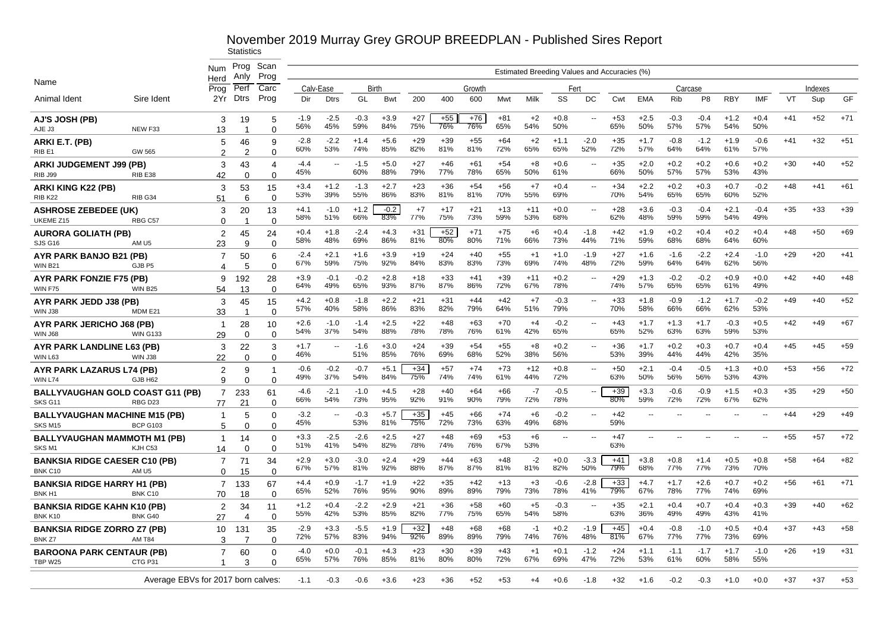| Num<br>Estimated Breeding Values and Accuracies (%)<br>Prog<br>Anlv<br>Herd<br>Name<br>Prog<br>Perf<br>Carc<br>Calv-Ease<br>Birth<br>Growth<br>Carcase<br>Indexes<br>Fert<br><b>Dtrs</b><br>Prog<br>GF<br>Animal Ident<br>Sire Ident<br>2Yr<br>GL<br>200<br>Milk<br>SS<br>DC<br>Rib<br>P <sub>8</sub><br><b>RBY</b><br><b>IMF</b><br><b>VT</b><br>Sup<br>Dir<br><b>Dtrs</b><br><b>Bwt</b><br>400<br>600<br>Mwt<br>Cwt<br><b>EMA</b><br>$+71$<br>$-1.9$<br>$-2.5$<br>$-0.3$<br>$+3.9$<br>$+27$<br>$+55$<br>$+76$<br>$+81$<br>$+2$<br>$+0.8$<br>$+53$<br>$+2.5$<br>$-0.3$<br>$-0.4$<br>$+0.4$<br>$+41$<br>$+52$<br>$+1.2$<br>AJ'S JOSH (PB)<br>3<br>19<br>$\overline{\phantom{a}}$<br>5<br>45%<br>59%<br>84%<br>75%<br>76%<br>76%<br>65%<br>54%<br>50%<br>65%<br>50%<br>57%<br>57%<br>54%<br>50%<br>56%<br>AJE J3<br>NEW F33<br>13<br>$\Omega$<br>-1<br>$+51$<br>$-2.2$<br>$+29$<br>$+39$<br>$+64$<br>$-2.0$<br>$+35$<br>$+1.7$<br>$-0.6$<br>$+32$<br>-2.8<br>$+1.4$<br>$+5.6$<br>$+55$<br>$+2$<br>$+1.1$<br>$-0.8$<br>$-1.2$<br>$+1.9$<br>$+41$<br>ARKI E.T. (PB)<br>46<br>9<br>5<br>53%<br>85%<br>82%<br>81%<br>72%<br>65%<br>65%<br>52%<br>72%<br>57%<br>64%<br>61%<br>57%<br>60%<br>74%<br>81%<br>64%<br>$\overline{2}$<br>RIB <sub>E1</sub><br>GW 565<br>2<br>$\Omega$<br>$+27$<br>$+46$<br>$+54$<br>$+0.6$<br>$+2.0$<br>$+0.2$<br>$+0.2$<br>$+0.6$<br>$+0.2$<br>$+30$<br>$+40$<br>$+52$<br>$-4.4$<br>$-1.5$<br>$+5.0$<br>$+61$<br>$+8$<br>$+35$<br><b>ARKI JUDGEMENT J99 (PB)</b><br>3<br>43<br>$\overline{\phantom{a}}$<br>$\overline{a}$<br>4<br>77%<br>78%<br>65%<br>57%<br>57%<br>60%<br>88%<br>79%<br>50%<br>61%<br>66%<br>50%<br>53%<br>43%<br>45%<br>42<br>$\Omega$<br><b>RIB J99</b><br>RIB <sub>E38</sub><br>$\Omega$<br>$+36$<br>$+56$<br>$+7$<br>$+2.2$<br>$+0.7$<br>$+61$<br>$+3.4$<br>$+1.2$<br>$-1.3$<br>$+2.7$<br>$+23$<br>$+54$<br>$+0.4$<br>$+34$<br>$+0.2$<br>$+0.3$<br>$-0.2$<br>$+48$<br>$+41$<br>53<br>ARKI KING K22 (PB)<br>3<br>15<br>70%<br>69%<br>54%<br>60%<br>52%<br>53%<br>39%<br>55%<br>86%<br>83%<br>81%<br>81%<br>55%<br>70%<br>65%<br>65%<br>RIB K22<br>RIB <sub>G34</sub><br>51<br>6<br>$\Omega$<br>$-0.2$<br>$+39$<br>$-1.0$<br>$+1.2$<br>$+7$<br>$+17$<br>$+21$<br>$+13$<br>$+11$<br>$+0.0$<br>$+28$<br>$+3.6$<br>$-0.3$<br>$-0.4$<br>$+2.1$<br>$-0.4$<br>$+35$<br>$+33$<br>20<br>$+4.1$<br>Ξ.<br><b>ASHROSE ZEBEDEE (UK)</b><br>3<br>13<br>51%<br>66%<br>83%<br>77%<br>75%<br>73%<br>59%<br>53%<br>68%<br>62%<br>48%<br>59%<br>59%<br>54%<br>49%<br>58%<br>UKEME Z15<br>RBG C57<br>0<br>$\Omega$<br>$-2.4$<br>$+31$<br>$+52$<br>$+75$<br>$+42$<br>$+0.4$<br>$+69$<br>$+0.4$<br>$+4.3$<br>$+71$<br>$+6$<br>$+0.4$<br>$-1.8$<br>$+1.9$<br>$+0.2$<br>$+0.2$<br>$+0.4$<br>$+48$<br>$+50$<br>$+1.8$<br><b>AURORA GOLIATH (PB)</b><br>$\overline{2}$<br>45<br>24<br>69%<br>86%<br>81%<br>80%<br>80%<br>71%<br>66%<br>73%<br>44%<br>71%<br>59%<br>68%<br>68%<br>64%<br>60%<br>58%<br>48%<br>AM <sub>U5</sub><br>23<br>9<br>SJS G16<br>∩<br>$+20$<br>$+41$<br>$-2.4$<br>$+3.9$<br>$+24$<br>$+55$<br>$-1.9$<br>$+27$<br>$+1.6$<br>$-2.2$<br>$+2.4$<br>$+29$<br>50<br>$+2.1$<br>$+1.6$<br>$+19$<br>$+40$<br>$+1.0$<br>$-1.6$<br>$-1.0$<br>$\overline{7}$<br>$+1$<br>AYR PARK BANJO B21 (PB)<br>6<br>92%<br>83%<br>83%<br>73%<br>69%<br>74%<br>72%<br>59%<br>64%<br>64%<br>62%<br>67%<br>59%<br>75%<br>84%<br>48%<br>56%<br>5<br>0<br><b>WIN B21</b><br>GJB P5<br>Δ<br>$+33$<br>$+39$<br>$+0.9$<br>$+48$<br>$+3.9$<br>$-0.1$<br>$-0.2$<br>$+2.8$<br>$+11$<br>$+0.2$<br>$+29$<br>$+1.3$<br>$-0.2$<br>$-0.2$<br>$+0.0$<br>$+42$<br>$+40$<br>$+18$<br>$+41$<br>AYR PARK FONZIE F75 (PB)<br>192<br>28<br>9<br>$\sim$<br>87%<br>87%<br>67%<br>78%<br>64%<br>49%<br>65%<br>93%<br>86%<br>72%<br>74%<br>57%<br>65%<br>65%<br>61%<br>49%<br><b>WIN B25</b><br>54<br>13<br><b>WIN F75</b><br>$\Omega$<br>$+52$<br>$+4.2$<br>$+0.8$<br>$-1.8$<br>$+2.2$<br>$+21$<br>$+31$<br>$+44$<br>$+42$<br>$-0.3$<br>$+33$<br>$+1.8$<br>$-0.9$<br>$-1.2$<br>$+1.7$<br>$-0.2$<br>$+49$<br>$+40$<br>$+7$<br>AYR PARK JEDD J38 (PB)<br>3<br>45<br>15<br>$\sim$ $\sim$<br>62%<br>57%<br>40%<br>58%<br>86%<br>83%<br>82%<br>79%<br>64%<br>51%<br>79%<br>70%<br>58%<br>66%<br>66%<br>53%<br>MDM E21<br>33<br>$\Omega$<br>WIN J38<br>$-1.0$<br>$-1.4$<br>$+2.5$<br>$+22$<br>$+48$<br>$+63$<br>$+70$<br>$-0.2$<br>$+43$<br>$-0.3$<br>$+0.5$<br>$+42$<br>$+49$<br>$+67$<br>$+2.6$<br>$+4$<br>$+1.7$<br>$+1.3$<br>$+1.7$<br>AYR PARK JERICHO J68 (PB)<br>28<br>10<br>$\sim$ $\sim$<br>$\overline{1}$<br>54%<br>37%<br>54%<br>88%<br>78%<br>78%<br>76%<br>61%<br>42%<br>65%<br>65%<br>52%<br>63%<br>63%<br>59%<br>53%<br>29<br><b>WIN G133</b><br>$\Omega$<br>$\Omega$<br>WIN J68<br>$+3.0$<br>$+24$<br>$+39$<br>$+54$<br>$+55$<br>$+0.2$<br>$+36$<br>$+0.2$<br>$+0.3$<br>$+0.7$<br>$+0.4$<br>$+45$<br>$+45$<br>$+59$<br>22<br>3<br>$+1.7$<br>$-1.6$<br>+8<br>$+1.7$<br>AYR PARK LANDLINE L63 (PB)<br>3<br>$\overline{\phantom{a}}$<br>$\mathbf{u}$<br>69%<br>85%<br>76%<br>68%<br>52%<br>38%<br>56%<br>39%<br>44%<br>44%<br>42%<br>35%<br>46%<br>51%<br>53%<br>22<br>$\Omega$<br>$\Omega$<br>WIN L63<br><b>WIN J38</b><br>$+72$<br>$-0.6$<br>$-0.2$<br>$-0.7$<br>$+34$<br>$+57$<br>$+73$<br>$+12$<br>$+0.8$<br>$+50$<br>$+2.1$<br>$-0.4$<br>$-0.5$<br>$+1.3$<br>$+0.0$<br>$+53$<br>$+56$<br>9<br>$+5.1$<br>$+74$<br><b>AYR PARK LAZARUS L74 (PB)</b><br>2<br>$\overline{\phantom{a}}$<br>-1<br>37%<br>54%<br>84%<br>75%<br>74%<br>74%<br>44%<br>72%<br>50%<br>56%<br>56%<br>61%<br>63%<br>53%<br>43%<br>49%<br>GJB H62<br>9<br>0<br>$\Omega$<br><b>WIN L74</b><br>$-2.1$<br>$+66$<br>$-7$<br>$+39$<br>$-0.9$<br>$+29$<br>$+50$<br>-4.6<br>$-1.0$<br>$+4.5$<br>+28<br>$+40$<br>$+64$<br>$-0.5$<br>$+3.3$<br>$-0.6$<br>$+1.5$<br>$+0.3$<br>$+35$<br>233<br><b>BALLYVAUGHAN GOLD COAST G11 (PB)</b><br>7<br>61<br>54%<br>92%<br>72%<br>78%<br>72%<br>67%<br>62%<br>73%<br>95%<br>91%<br>90%<br>79%<br>80%<br>59%<br>72%<br>66%<br>RBG D23<br>21<br>SKS G11<br>77<br>$\Omega$<br>$+35$<br>$-3.2$<br>$+5.7$<br>$+74$<br>$-0.2$<br>$+29$<br>$+49$<br>$-0.3$<br>$+45$<br>+66<br>$+6$<br>+42<br>+44<br><b>BALLYVAUGHAN MACHINE M15 (PB)</b><br>$\overline{\phantom{a}}$<br>$\overline{\phantom{a}}$<br>$\mathbf{1}$<br>5<br>$\Omega$<br>$\overline{\phantom{a}}$<br>45%<br>53%<br>81%<br>75%<br>72%<br>73%<br>63%<br>49%<br>68%<br>59%<br><b>BCP G103</b><br>SKS M15<br>5<br>$\Omega$<br>$\Omega$<br>$+72$<br>$-2.6$<br>$+2.5$<br>$+27$<br>$+53$<br>$+47$<br>$+55$<br>$+57$<br>$+3.3$<br>$-2.5$<br>$+48$<br>$+69$<br>$+6$<br><b>BALLYVAUGHAN MAMMOTH M1 (PB)</b><br>$\mathbf{1}$<br>14<br>$\Omega$<br>$\overline{\phantom{a}}$<br>$\overline{\phantom{a}}$<br>41%<br>54%<br>82%<br>78%<br>74%<br>76%<br>67%<br>53%<br>63%<br>51%<br>SKS <sub>M1</sub><br>KJH C53<br>$\Omega$<br>$\Omega$<br>14<br>$+82$<br>$+2.9$<br>$-3.0$<br>$+2.4$<br>$+29$<br>$+44$<br>$-2$<br>$+0.0$<br>$-3.3$<br>$+41$<br>$+3.8$<br>$+0.8$<br>$+1.4$<br>$+0.5$<br>$+0.8$<br>$+58$<br>$+64$<br>$+3.0$<br>$+63$<br>$+48$<br><b>BANKSIA RIDGE CAESER C10 (PB)</b><br>71<br>34<br>7<br>57%<br>92%<br>88%<br>87%<br>87%<br>81%<br>81%<br>82%<br>50%<br>79%<br>68%<br>77%<br>77%<br>73%<br>70%<br>67%<br>81%<br>BNK C10<br>AM <sub>U5</sub><br>$\Omega$<br>15<br>$\Omega$<br>$+71$<br>$+22$<br>$+35$<br>$+13$<br>$-0.6$<br>$-2.8$<br>$+33$<br>$+2.6$<br>$+0.7$<br>$+56$<br>$+61$<br>$+4.4$<br>$+0.9$<br>$-1.7$<br>$+1.9$<br>$+42$<br>$+3$<br>$+4.7$<br>$+1.7$<br>$+0.2$<br><b>BANKSIA RIDGE HARRY H1 (PB)</b><br>$\overline{7}$<br>133<br>67<br>52%<br>76%<br>95%<br>90%<br>89%<br>89%<br>79%<br>73%<br>78%<br>79%<br>67%<br>78%<br>77%<br>74%<br>69%<br>65%<br>41%<br>18<br>BNK C10<br>70<br>$\Omega$<br>BNK H1<br>$+39$<br>$+62$<br>$+1.2$<br>$+0.4$<br>$-2.2$<br>$+2.9$<br>$+21$<br>$+36$<br>$+58$<br>$+60$<br>$+5$<br>$-0.3$<br>$+35$<br>$+2.1$<br>$+0.4$<br>$+0.7$<br>$+0.4$<br>$+0.3$<br>$+40$<br>$\overline{2}$<br>34<br><b>BANKSIA RIDGE KAHN K10 (PB)</b><br>11<br>$\overline{\phantom{a}}$<br>42%<br>53%<br>85%<br>82%<br>77%<br>75%<br>54%<br>58%<br>36%<br>49%<br>55%<br>65%<br>63%<br>49%<br>43%<br>41%<br>BNK G40<br>27<br>$\Omega$<br>BNK K10<br>$\overline{4}$<br>$-2.9$<br>$-5.5$<br>$+32$<br>$+68$<br>$+45$<br>$+0.4$<br>$-0.8$<br>$-1.0$<br>$+0.5$<br>$+0.4$<br>$+37$<br>$+43$<br>$+58$<br>$+3.3$<br>$+1.9$<br>$+48$<br>$+68$<br>$-1$<br>$+0.2$<br>$-1.9$<br><b>BANKSIA RIDGE ZORRO Z7 (PB)</b><br>35<br>10<br>131<br>92%<br>94%<br>89%<br>89%<br>79%<br>74%<br>76%<br>48%<br>81%<br>77%<br>73%<br>69%<br>72%<br>57%<br>83%<br>67%<br>77%<br><b>AM T84</b><br>3<br>$\Omega$<br>BNK Z7<br>-7<br>$+31$<br>$-4.0$<br>$+0.0$<br>$-0.1$<br>$+4.3$<br>$+23$<br>$+30$<br>$+39$<br>$+43$<br>$+1$<br>$+0.1$<br>$-1.2$<br>$+24$<br>$+1.1$<br>$-1.1$<br>$-1.7$<br>$+1.7$<br>$-1.0$<br>$+26$<br>$+19$<br>60<br><b>BAROONA PARK CENTAUR (PB)</b><br>7<br>$\Omega$<br>57%<br>85%<br>80%<br>72%<br>67%<br>69%<br>47%<br>72%<br>53%<br>60%<br>58%<br>55%<br>65%<br>76%<br>81%<br>80%<br>61%<br>TBP W25<br>CTG <sub>P31</sub><br>3<br>O<br>$+53$<br>Average EBVs for 2017 born calves:<br>$-0.3$<br>$+23$<br>$+36$<br>$+52$<br>$+53$<br>$+32$<br>$-0.2$<br>$+0.0$<br>$+37$<br>$+37$<br>$-1.1$<br>-0.6<br>$+3.6$<br>$+0.6$<br>$-1.8$<br>$+1.6$<br>$-0.3$<br>+4<br>+1.0 |  |      |      |  |  |  |  |  |  |  |  |  |  |
|------------------------------------------------------------------------------------------------------------------------------------------------------------------------------------------------------------------------------------------------------------------------------------------------------------------------------------------------------------------------------------------------------------------------------------------------------------------------------------------------------------------------------------------------------------------------------------------------------------------------------------------------------------------------------------------------------------------------------------------------------------------------------------------------------------------------------------------------------------------------------------------------------------------------------------------------------------------------------------------------------------------------------------------------------------------------------------------------------------------------------------------------------------------------------------------------------------------------------------------------------------------------------------------------------------------------------------------------------------------------------------------------------------------------------------------------------------------------------------------------------------------------------------------------------------------------------------------------------------------------------------------------------------------------------------------------------------------------------------------------------------------------------------------------------------------------------------------------------------------------------------------------------------------------------------------------------------------------------------------------------------------------------------------------------------------------------------------------------------------------------------------------------------------------------------------------------------------------------------------------------------------------------------------------------------------------------------------------------------------------------------------------------------------------------------------------------------------------------------------------------------------------------------------------------------------------------------------------------------------------------------------------------------------------------------------------------------------------------------------------------------------------------------------------------------------------------------------------------------------------------------------------------------------------------------------------------------------------------------------------------------------------------------------------------------------------------------------------------------------------------------------------------------------------------------------------------------------------------------------------------------------------------------------------------------------------------------------------------------------------------------------------------------------------------------------------------------------------------------------------------------------------------------------------------------------------------------------------------------------------------------------------------------------------------------------------------------------------------------------------------------------------------------------------------------------------------------------------------------------------------------------------------------------------------------------------------------------------------------------------------------------------------------------------------------------------------------------------------------------------------------------------------------------------------------------------------------------------------------------------------------------------------------------------------------------------------------------------------------------------------------------------------------------------------------------------------------------------------------------------------------------------------------------------------------------------------------------------------------------------------------------------------------------------------------------------------------------------------------------------------------------------------------------------------------------------------------------------------------------------------------------------------------------------------------------------------------------------------------------------------------------------------------------------------------------------------------------------------------------------------------------------------------------------------------------------------------------------------------------------------------------------------------------------------------------------------------------------------------------------------------------------------------------------------------------------------------------------------------------------------------------------------------------------------------------------------------------------------------------------------------------------------------------------------------------------------------------------------------------------------------------------------------------------------------------------------------------------------------------------------------------------------------------------------------------------------------------------------------------------------------------------------------------------------------------------------------------------------------------------------------------------------------------------------------------------------------------------------------------------------------------------------------------------------------------------------------------------------------------------------------------------------------------------------------------------------------------------------------------------------------------------------------------------------------------------------------------------------------------------------------------------------------------------------------------------------------------------------------------------------------------------------------------------------------------------------------------------------------------------------------------------------------------------------------------------------------------------------------------------------------------------------------------------------------------------------------------------------------------------------------------------------------------------------------------------------------------------------------------------------------------------------------------------------------------------------------------------------------------------------------------------------------------------------------------------------------------------------------------------------------------------------------------------------------------------------------------------------------------------------------------------------------------------------------------------------------------------------------------------------------------------------------------------------------------------------------------------------------------------------------------------------------------------------------------------------------------------------------------------------------------------------------------------------------------------------------------------------------------------------------------------------------------------------------------------------------------------------------------------------------------------------------------------------------------------------------------------------------------------------------------------------------------------------------------------------------------------------------------------------------------------------------------------------------------------------------------------------------------------------------------------------------------------------------------------------------------------------------------------------------------------------------------------------------------------------------------------------------------------------------------------------------------------------------------------------------------------------------------------------------------------------------------------------------------------------------------------------------------------------------------------------------------------------------------------------------------------------|--|------|------|--|--|--|--|--|--|--|--|--|--|
|                                                                                                                                                                                                                                                                                                                                                                                                                                                                                                                                                                                                                                                                                                                                                                                                                                                                                                                                                                                                                                                                                                                                                                                                                                                                                                                                                                                                                                                                                                                                                                                                                                                                                                                                                                                                                                                                                                                                                                                                                                                                                                                                                                                                                                                                                                                                                                                                                                                                                                                                                                                                                                                                                                                                                                                                                                                                                                                                                                                                                                                                                                                                                                                                                                                                                                                                                                                                                                                                                                                                                                                                                                                                                                                                                                                                                                                                                                                                                                                                                                                                                                                                                                                                                                                                                                                                                                                                                                                                                                                                                                                                                                                                                                                                                                                                                                                                                                                                                                                                                                                                                                                                                                                                                                                                                                                                                                                                                                                                                                                                                                                                                                                                                                                                                                                                                                                                                                                                                                                                                                                                                                                                                                                                                                                                                                                                                                                                                                                                                                                                                                                                                                                                                                                                                                                                                                                                                                                                                                                                                                                                                                                                                                                                                                                                                                                                                                                                                                                                                                                                                                                                                                                                                                                                                                                                                                                                                                                                                                                                                                                                                                                                                                                                                                                                                                                                                                                                                                                                                                                                                                                                                                                                                                                                                                                                                                                                                                                                                                                                                                                                                                                                                                                                                              |  | Prog | Scan |  |  |  |  |  |  |  |  |  |  |
|                                                                                                                                                                                                                                                                                                                                                                                                                                                                                                                                                                                                                                                                                                                                                                                                                                                                                                                                                                                                                                                                                                                                                                                                                                                                                                                                                                                                                                                                                                                                                                                                                                                                                                                                                                                                                                                                                                                                                                                                                                                                                                                                                                                                                                                                                                                                                                                                                                                                                                                                                                                                                                                                                                                                                                                                                                                                                                                                                                                                                                                                                                                                                                                                                                                                                                                                                                                                                                                                                                                                                                                                                                                                                                                                                                                                                                                                                                                                                                                                                                                                                                                                                                                                                                                                                                                                                                                                                                                                                                                                                                                                                                                                                                                                                                                                                                                                                                                                                                                                                                                                                                                                                                                                                                                                                                                                                                                                                                                                                                                                                                                                                                                                                                                                                                                                                                                                                                                                                                                                                                                                                                                                                                                                                                                                                                                                                                                                                                                                                                                                                                                                                                                                                                                                                                                                                                                                                                                                                                                                                                                                                                                                                                                                                                                                                                                                                                                                                                                                                                                                                                                                                                                                                                                                                                                                                                                                                                                                                                                                                                                                                                                                                                                                                                                                                                                                                                                                                                                                                                                                                                                                                                                                                                                                                                                                                                                                                                                                                                                                                                                                                                                                                                                                                              |  |      |      |  |  |  |  |  |  |  |  |  |  |
|                                                                                                                                                                                                                                                                                                                                                                                                                                                                                                                                                                                                                                                                                                                                                                                                                                                                                                                                                                                                                                                                                                                                                                                                                                                                                                                                                                                                                                                                                                                                                                                                                                                                                                                                                                                                                                                                                                                                                                                                                                                                                                                                                                                                                                                                                                                                                                                                                                                                                                                                                                                                                                                                                                                                                                                                                                                                                                                                                                                                                                                                                                                                                                                                                                                                                                                                                                                                                                                                                                                                                                                                                                                                                                                                                                                                                                                                                                                                                                                                                                                                                                                                                                                                                                                                                                                                                                                                                                                                                                                                                                                                                                                                                                                                                                                                                                                                                                                                                                                                                                                                                                                                                                                                                                                                                                                                                                                                                                                                                                                                                                                                                                                                                                                                                                                                                                                                                                                                                                                                                                                                                                                                                                                                                                                                                                                                                                                                                                                                                                                                                                                                                                                                                                                                                                                                                                                                                                                                                                                                                                                                                                                                                                                                                                                                                                                                                                                                                                                                                                                                                                                                                                                                                                                                                                                                                                                                                                                                                                                                                                                                                                                                                                                                                                                                                                                                                                                                                                                                                                                                                                                                                                                                                                                                                                                                                                                                                                                                                                                                                                                                                                                                                                                                                              |  |      |      |  |  |  |  |  |  |  |  |  |  |
|                                                                                                                                                                                                                                                                                                                                                                                                                                                                                                                                                                                                                                                                                                                                                                                                                                                                                                                                                                                                                                                                                                                                                                                                                                                                                                                                                                                                                                                                                                                                                                                                                                                                                                                                                                                                                                                                                                                                                                                                                                                                                                                                                                                                                                                                                                                                                                                                                                                                                                                                                                                                                                                                                                                                                                                                                                                                                                                                                                                                                                                                                                                                                                                                                                                                                                                                                                                                                                                                                                                                                                                                                                                                                                                                                                                                                                                                                                                                                                                                                                                                                                                                                                                                                                                                                                                                                                                                                                                                                                                                                                                                                                                                                                                                                                                                                                                                                                                                                                                                                                                                                                                                                                                                                                                                                                                                                                                                                                                                                                                                                                                                                                                                                                                                                                                                                                                                                                                                                                                                                                                                                                                                                                                                                                                                                                                                                                                                                                                                                                                                                                                                                                                                                                                                                                                                                                                                                                                                                                                                                                                                                                                                                                                                                                                                                                                                                                                                                                                                                                                                                                                                                                                                                                                                                                                                                                                                                                                                                                                                                                                                                                                                                                                                                                                                                                                                                                                                                                                                                                                                                                                                                                                                                                                                                                                                                                                                                                                                                                                                                                                                                                                                                                                                                              |  |      |      |  |  |  |  |  |  |  |  |  |  |
|                                                                                                                                                                                                                                                                                                                                                                                                                                                                                                                                                                                                                                                                                                                                                                                                                                                                                                                                                                                                                                                                                                                                                                                                                                                                                                                                                                                                                                                                                                                                                                                                                                                                                                                                                                                                                                                                                                                                                                                                                                                                                                                                                                                                                                                                                                                                                                                                                                                                                                                                                                                                                                                                                                                                                                                                                                                                                                                                                                                                                                                                                                                                                                                                                                                                                                                                                                                                                                                                                                                                                                                                                                                                                                                                                                                                                                                                                                                                                                                                                                                                                                                                                                                                                                                                                                                                                                                                                                                                                                                                                                                                                                                                                                                                                                                                                                                                                                                                                                                                                                                                                                                                                                                                                                                                                                                                                                                                                                                                                                                                                                                                                                                                                                                                                                                                                                                                                                                                                                                                                                                                                                                                                                                                                                                                                                                                                                                                                                                                                                                                                                                                                                                                                                                                                                                                                                                                                                                                                                                                                                                                                                                                                                                                                                                                                                                                                                                                                                                                                                                                                                                                                                                                                                                                                                                                                                                                                                                                                                                                                                                                                                                                                                                                                                                                                                                                                                                                                                                                                                                                                                                                                                                                                                                                                                                                                                                                                                                                                                                                                                                                                                                                                                                                                              |  |      |      |  |  |  |  |  |  |  |  |  |  |
|                                                                                                                                                                                                                                                                                                                                                                                                                                                                                                                                                                                                                                                                                                                                                                                                                                                                                                                                                                                                                                                                                                                                                                                                                                                                                                                                                                                                                                                                                                                                                                                                                                                                                                                                                                                                                                                                                                                                                                                                                                                                                                                                                                                                                                                                                                                                                                                                                                                                                                                                                                                                                                                                                                                                                                                                                                                                                                                                                                                                                                                                                                                                                                                                                                                                                                                                                                                                                                                                                                                                                                                                                                                                                                                                                                                                                                                                                                                                                                                                                                                                                                                                                                                                                                                                                                                                                                                                                                                                                                                                                                                                                                                                                                                                                                                                                                                                                                                                                                                                                                                                                                                                                                                                                                                                                                                                                                                                                                                                                                                                                                                                                                                                                                                                                                                                                                                                                                                                                                                                                                                                                                                                                                                                                                                                                                                                                                                                                                                                                                                                                                                                                                                                                                                                                                                                                                                                                                                                                                                                                                                                                                                                                                                                                                                                                                                                                                                                                                                                                                                                                                                                                                                                                                                                                                                                                                                                                                                                                                                                                                                                                                                                                                                                                                                                                                                                                                                                                                                                                                                                                                                                                                                                                                                                                                                                                                                                                                                                                                                                                                                                                                                                                                                                                              |  |      |      |  |  |  |  |  |  |  |  |  |  |
|                                                                                                                                                                                                                                                                                                                                                                                                                                                                                                                                                                                                                                                                                                                                                                                                                                                                                                                                                                                                                                                                                                                                                                                                                                                                                                                                                                                                                                                                                                                                                                                                                                                                                                                                                                                                                                                                                                                                                                                                                                                                                                                                                                                                                                                                                                                                                                                                                                                                                                                                                                                                                                                                                                                                                                                                                                                                                                                                                                                                                                                                                                                                                                                                                                                                                                                                                                                                                                                                                                                                                                                                                                                                                                                                                                                                                                                                                                                                                                                                                                                                                                                                                                                                                                                                                                                                                                                                                                                                                                                                                                                                                                                                                                                                                                                                                                                                                                                                                                                                                                                                                                                                                                                                                                                                                                                                                                                                                                                                                                                                                                                                                                                                                                                                                                                                                                                                                                                                                                                                                                                                                                                                                                                                                                                                                                                                                                                                                                                                                                                                                                                                                                                                                                                                                                                                                                                                                                                                                                                                                                                                                                                                                                                                                                                                                                                                                                                                                                                                                                                                                                                                                                                                                                                                                                                                                                                                                                                                                                                                                                                                                                                                                                                                                                                                                                                                                                                                                                                                                                                                                                                                                                                                                                                                                                                                                                                                                                                                                                                                                                                                                                                                                                                                                              |  |      |      |  |  |  |  |  |  |  |  |  |  |
|                                                                                                                                                                                                                                                                                                                                                                                                                                                                                                                                                                                                                                                                                                                                                                                                                                                                                                                                                                                                                                                                                                                                                                                                                                                                                                                                                                                                                                                                                                                                                                                                                                                                                                                                                                                                                                                                                                                                                                                                                                                                                                                                                                                                                                                                                                                                                                                                                                                                                                                                                                                                                                                                                                                                                                                                                                                                                                                                                                                                                                                                                                                                                                                                                                                                                                                                                                                                                                                                                                                                                                                                                                                                                                                                                                                                                                                                                                                                                                                                                                                                                                                                                                                                                                                                                                                                                                                                                                                                                                                                                                                                                                                                                                                                                                                                                                                                                                                                                                                                                                                                                                                                                                                                                                                                                                                                                                                                                                                                                                                                                                                                                                                                                                                                                                                                                                                                                                                                                                                                                                                                                                                                                                                                                                                                                                                                                                                                                                                                                                                                                                                                                                                                                                                                                                                                                                                                                                                                                                                                                                                                                                                                                                                                                                                                                                                                                                                                                                                                                                                                                                                                                                                                                                                                                                                                                                                                                                                                                                                                                                                                                                                                                                                                                                                                                                                                                                                                                                                                                                                                                                                                                                                                                                                                                                                                                                                                                                                                                                                                                                                                                                                                                                                                                              |  |      |      |  |  |  |  |  |  |  |  |  |  |
|                                                                                                                                                                                                                                                                                                                                                                                                                                                                                                                                                                                                                                                                                                                                                                                                                                                                                                                                                                                                                                                                                                                                                                                                                                                                                                                                                                                                                                                                                                                                                                                                                                                                                                                                                                                                                                                                                                                                                                                                                                                                                                                                                                                                                                                                                                                                                                                                                                                                                                                                                                                                                                                                                                                                                                                                                                                                                                                                                                                                                                                                                                                                                                                                                                                                                                                                                                                                                                                                                                                                                                                                                                                                                                                                                                                                                                                                                                                                                                                                                                                                                                                                                                                                                                                                                                                                                                                                                                                                                                                                                                                                                                                                                                                                                                                                                                                                                                                                                                                                                                                                                                                                                                                                                                                                                                                                                                                                                                                                                                                                                                                                                                                                                                                                                                                                                                                                                                                                                                                                                                                                                                                                                                                                                                                                                                                                                                                                                                                                                                                                                                                                                                                                                                                                                                                                                                                                                                                                                                                                                                                                                                                                                                                                                                                                                                                                                                                                                                                                                                                                                                                                                                                                                                                                                                                                                                                                                                                                                                                                                                                                                                                                                                                                                                                                                                                                                                                                                                                                                                                                                                                                                                                                                                                                                                                                                                                                                                                                                                                                                                                                                                                                                                                                                              |  |      |      |  |  |  |  |  |  |  |  |  |  |
|                                                                                                                                                                                                                                                                                                                                                                                                                                                                                                                                                                                                                                                                                                                                                                                                                                                                                                                                                                                                                                                                                                                                                                                                                                                                                                                                                                                                                                                                                                                                                                                                                                                                                                                                                                                                                                                                                                                                                                                                                                                                                                                                                                                                                                                                                                                                                                                                                                                                                                                                                                                                                                                                                                                                                                                                                                                                                                                                                                                                                                                                                                                                                                                                                                                                                                                                                                                                                                                                                                                                                                                                                                                                                                                                                                                                                                                                                                                                                                                                                                                                                                                                                                                                                                                                                                                                                                                                                                                                                                                                                                                                                                                                                                                                                                                                                                                                                                                                                                                                                                                                                                                                                                                                                                                                                                                                                                                                                                                                                                                                                                                                                                                                                                                                                                                                                                                                                                                                                                                                                                                                                                                                                                                                                                                                                                                                                                                                                                                                                                                                                                                                                                                                                                                                                                                                                                                                                                                                                                                                                                                                                                                                                                                                                                                                                                                                                                                                                                                                                                                                                                                                                                                                                                                                                                                                                                                                                                                                                                                                                                                                                                                                                                                                                                                                                                                                                                                                                                                                                                                                                                                                                                                                                                                                                                                                                                                                                                                                                                                                                                                                                                                                                                                                                              |  |      |      |  |  |  |  |  |  |  |  |  |  |
|                                                                                                                                                                                                                                                                                                                                                                                                                                                                                                                                                                                                                                                                                                                                                                                                                                                                                                                                                                                                                                                                                                                                                                                                                                                                                                                                                                                                                                                                                                                                                                                                                                                                                                                                                                                                                                                                                                                                                                                                                                                                                                                                                                                                                                                                                                                                                                                                                                                                                                                                                                                                                                                                                                                                                                                                                                                                                                                                                                                                                                                                                                                                                                                                                                                                                                                                                                                                                                                                                                                                                                                                                                                                                                                                                                                                                                                                                                                                                                                                                                                                                                                                                                                                                                                                                                                                                                                                                                                                                                                                                                                                                                                                                                                                                                                                                                                                                                                                                                                                                                                                                                                                                                                                                                                                                                                                                                                                                                                                                                                                                                                                                                                                                                                                                                                                                                                                                                                                                                                                                                                                                                                                                                                                                                                                                                                                                                                                                                                                                                                                                                                                                                                                                                                                                                                                                                                                                                                                                                                                                                                                                                                                                                                                                                                                                                                                                                                                                                                                                                                                                                                                                                                                                                                                                                                                                                                                                                                                                                                                                                                                                                                                                                                                                                                                                                                                                                                                                                                                                                                                                                                                                                                                                                                                                                                                                                                                                                                                                                                                                                                                                                                                                                                                                              |  |      |      |  |  |  |  |  |  |  |  |  |  |
|                                                                                                                                                                                                                                                                                                                                                                                                                                                                                                                                                                                                                                                                                                                                                                                                                                                                                                                                                                                                                                                                                                                                                                                                                                                                                                                                                                                                                                                                                                                                                                                                                                                                                                                                                                                                                                                                                                                                                                                                                                                                                                                                                                                                                                                                                                                                                                                                                                                                                                                                                                                                                                                                                                                                                                                                                                                                                                                                                                                                                                                                                                                                                                                                                                                                                                                                                                                                                                                                                                                                                                                                                                                                                                                                                                                                                                                                                                                                                                                                                                                                                                                                                                                                                                                                                                                                                                                                                                                                                                                                                                                                                                                                                                                                                                                                                                                                                                                                                                                                                                                                                                                                                                                                                                                                                                                                                                                                                                                                                                                                                                                                                                                                                                                                                                                                                                                                                                                                                                                                                                                                                                                                                                                                                                                                                                                                                                                                                                                                                                                                                                                                                                                                                                                                                                                                                                                                                                                                                                                                                                                                                                                                                                                                                                                                                                                                                                                                                                                                                                                                                                                                                                                                                                                                                                                                                                                                                                                                                                                                                                                                                                                                                                                                                                                                                                                                                                                                                                                                                                                                                                                                                                                                                                                                                                                                                                                                                                                                                                                                                                                                                                                                                                                                                              |  |      |      |  |  |  |  |  |  |  |  |  |  |
|                                                                                                                                                                                                                                                                                                                                                                                                                                                                                                                                                                                                                                                                                                                                                                                                                                                                                                                                                                                                                                                                                                                                                                                                                                                                                                                                                                                                                                                                                                                                                                                                                                                                                                                                                                                                                                                                                                                                                                                                                                                                                                                                                                                                                                                                                                                                                                                                                                                                                                                                                                                                                                                                                                                                                                                                                                                                                                                                                                                                                                                                                                                                                                                                                                                                                                                                                                                                                                                                                                                                                                                                                                                                                                                                                                                                                                                                                                                                                                                                                                                                                                                                                                                                                                                                                                                                                                                                                                                                                                                                                                                                                                                                                                                                                                                                                                                                                                                                                                                                                                                                                                                                                                                                                                                                                                                                                                                                                                                                                                                                                                                                                                                                                                                                                                                                                                                                                                                                                                                                                                                                                                                                                                                                                                                                                                                                                                                                                                                                                                                                                                                                                                                                                                                                                                                                                                                                                                                                                                                                                                                                                                                                                                                                                                                                                                                                                                                                                                                                                                                                                                                                                                                                                                                                                                                                                                                                                                                                                                                                                                                                                                                                                                                                                                                                                                                                                                                                                                                                                                                                                                                                                                                                                                                                                                                                                                                                                                                                                                                                                                                                                                                                                                                                                              |  |      |      |  |  |  |  |  |  |  |  |  |  |
|                                                                                                                                                                                                                                                                                                                                                                                                                                                                                                                                                                                                                                                                                                                                                                                                                                                                                                                                                                                                                                                                                                                                                                                                                                                                                                                                                                                                                                                                                                                                                                                                                                                                                                                                                                                                                                                                                                                                                                                                                                                                                                                                                                                                                                                                                                                                                                                                                                                                                                                                                                                                                                                                                                                                                                                                                                                                                                                                                                                                                                                                                                                                                                                                                                                                                                                                                                                                                                                                                                                                                                                                                                                                                                                                                                                                                                                                                                                                                                                                                                                                                                                                                                                                                                                                                                                                                                                                                                                                                                                                                                                                                                                                                                                                                                                                                                                                                                                                                                                                                                                                                                                                                                                                                                                                                                                                                                                                                                                                                                                                                                                                                                                                                                                                                                                                                                                                                                                                                                                                                                                                                                                                                                                                                                                                                                                                                                                                                                                                                                                                                                                                                                                                                                                                                                                                                                                                                                                                                                                                                                                                                                                                                                                                                                                                                                                                                                                                                                                                                                                                                                                                                                                                                                                                                                                                                                                                                                                                                                                                                                                                                                                                                                                                                                                                                                                                                                                                                                                                                                                                                                                                                                                                                                                                                                                                                                                                                                                                                                                                                                                                                                                                                                                                                              |  |      |      |  |  |  |  |  |  |  |  |  |  |
|                                                                                                                                                                                                                                                                                                                                                                                                                                                                                                                                                                                                                                                                                                                                                                                                                                                                                                                                                                                                                                                                                                                                                                                                                                                                                                                                                                                                                                                                                                                                                                                                                                                                                                                                                                                                                                                                                                                                                                                                                                                                                                                                                                                                                                                                                                                                                                                                                                                                                                                                                                                                                                                                                                                                                                                                                                                                                                                                                                                                                                                                                                                                                                                                                                                                                                                                                                                                                                                                                                                                                                                                                                                                                                                                                                                                                                                                                                                                                                                                                                                                                                                                                                                                                                                                                                                                                                                                                                                                                                                                                                                                                                                                                                                                                                                                                                                                                                                                                                                                                                                                                                                                                                                                                                                                                                                                                                                                                                                                                                                                                                                                                                                                                                                                                                                                                                                                                                                                                                                                                                                                                                                                                                                                                                                                                                                                                                                                                                                                                                                                                                                                                                                                                                                                                                                                                                                                                                                                                                                                                                                                                                                                                                                                                                                                                                                                                                                                                                                                                                                                                                                                                                                                                                                                                                                                                                                                                                                                                                                                                                                                                                                                                                                                                                                                                                                                                                                                                                                                                                                                                                                                                                                                                                                                                                                                                                                                                                                                                                                                                                                                                                                                                                                                                              |  |      |      |  |  |  |  |  |  |  |  |  |  |
|                                                                                                                                                                                                                                                                                                                                                                                                                                                                                                                                                                                                                                                                                                                                                                                                                                                                                                                                                                                                                                                                                                                                                                                                                                                                                                                                                                                                                                                                                                                                                                                                                                                                                                                                                                                                                                                                                                                                                                                                                                                                                                                                                                                                                                                                                                                                                                                                                                                                                                                                                                                                                                                                                                                                                                                                                                                                                                                                                                                                                                                                                                                                                                                                                                                                                                                                                                                                                                                                                                                                                                                                                                                                                                                                                                                                                                                                                                                                                                                                                                                                                                                                                                                                                                                                                                                                                                                                                                                                                                                                                                                                                                                                                                                                                                                                                                                                                                                                                                                                                                                                                                                                                                                                                                                                                                                                                                                                                                                                                                                                                                                                                                                                                                                                                                                                                                                                                                                                                                                                                                                                                                                                                                                                                                                                                                                                                                                                                                                                                                                                                                                                                                                                                                                                                                                                                                                                                                                                                                                                                                                                                                                                                                                                                                                                                                                                                                                                                                                                                                                                                                                                                                                                                                                                                                                                                                                                                                                                                                                                                                                                                                                                                                                                                                                                                                                                                                                                                                                                                                                                                                                                                                                                                                                                                                                                                                                                                                                                                                                                                                                                                                                                                                                                                              |  |      |      |  |  |  |  |  |  |  |  |  |  |
|                                                                                                                                                                                                                                                                                                                                                                                                                                                                                                                                                                                                                                                                                                                                                                                                                                                                                                                                                                                                                                                                                                                                                                                                                                                                                                                                                                                                                                                                                                                                                                                                                                                                                                                                                                                                                                                                                                                                                                                                                                                                                                                                                                                                                                                                                                                                                                                                                                                                                                                                                                                                                                                                                                                                                                                                                                                                                                                                                                                                                                                                                                                                                                                                                                                                                                                                                                                                                                                                                                                                                                                                                                                                                                                                                                                                                                                                                                                                                                                                                                                                                                                                                                                                                                                                                                                                                                                                                                                                                                                                                                                                                                                                                                                                                                                                                                                                                                                                                                                                                                                                                                                                                                                                                                                                                                                                                                                                                                                                                                                                                                                                                                                                                                                                                                                                                                                                                                                                                                                                                                                                                                                                                                                                                                                                                                                                                                                                                                                                                                                                                                                                                                                                                                                                                                                                                                                                                                                                                                                                                                                                                                                                                                                                                                                                                                                                                                                                                                                                                                                                                                                                                                                                                                                                                                                                                                                                                                                                                                                                                                                                                                                                                                                                                                                                                                                                                                                                                                                                                                                                                                                                                                                                                                                                                                                                                                                                                                                                                                                                                                                                                                                                                                                                                              |  |      |      |  |  |  |  |  |  |  |  |  |  |
|                                                                                                                                                                                                                                                                                                                                                                                                                                                                                                                                                                                                                                                                                                                                                                                                                                                                                                                                                                                                                                                                                                                                                                                                                                                                                                                                                                                                                                                                                                                                                                                                                                                                                                                                                                                                                                                                                                                                                                                                                                                                                                                                                                                                                                                                                                                                                                                                                                                                                                                                                                                                                                                                                                                                                                                                                                                                                                                                                                                                                                                                                                                                                                                                                                                                                                                                                                                                                                                                                                                                                                                                                                                                                                                                                                                                                                                                                                                                                                                                                                                                                                                                                                                                                                                                                                                                                                                                                                                                                                                                                                                                                                                                                                                                                                                                                                                                                                                                                                                                                                                                                                                                                                                                                                                                                                                                                                                                                                                                                                                                                                                                                                                                                                                                                                                                                                                                                                                                                                                                                                                                                                                                                                                                                                                                                                                                                                                                                                                                                                                                                                                                                                                                                                                                                                                                                                                                                                                                                                                                                                                                                                                                                                                                                                                                                                                                                                                                                                                                                                                                                                                                                                                                                                                                                                                                                                                                                                                                                                                                                                                                                                                                                                                                                                                                                                                                                                                                                                                                                                                                                                                                                                                                                                                                                                                                                                                                                                                                                                                                                                                                                                                                                                                                                              |  |      |      |  |  |  |  |  |  |  |  |  |  |
|                                                                                                                                                                                                                                                                                                                                                                                                                                                                                                                                                                                                                                                                                                                                                                                                                                                                                                                                                                                                                                                                                                                                                                                                                                                                                                                                                                                                                                                                                                                                                                                                                                                                                                                                                                                                                                                                                                                                                                                                                                                                                                                                                                                                                                                                                                                                                                                                                                                                                                                                                                                                                                                                                                                                                                                                                                                                                                                                                                                                                                                                                                                                                                                                                                                                                                                                                                                                                                                                                                                                                                                                                                                                                                                                                                                                                                                                                                                                                                                                                                                                                                                                                                                                                                                                                                                                                                                                                                                                                                                                                                                                                                                                                                                                                                                                                                                                                                                                                                                                                                                                                                                                                                                                                                                                                                                                                                                                                                                                                                                                                                                                                                                                                                                                                                                                                                                                                                                                                                                                                                                                                                                                                                                                                                                                                                                                                                                                                                                                                                                                                                                                                                                                                                                                                                                                                                                                                                                                                                                                                                                                                                                                                                                                                                                                                                                                                                                                                                                                                                                                                                                                                                                                                                                                                                                                                                                                                                                                                                                                                                                                                                                                                                                                                                                                                                                                                                                                                                                                                                                                                                                                                                                                                                                                                                                                                                                                                                                                                                                                                                                                                                                                                                                                                              |  |      |      |  |  |  |  |  |  |  |  |  |  |
|                                                                                                                                                                                                                                                                                                                                                                                                                                                                                                                                                                                                                                                                                                                                                                                                                                                                                                                                                                                                                                                                                                                                                                                                                                                                                                                                                                                                                                                                                                                                                                                                                                                                                                                                                                                                                                                                                                                                                                                                                                                                                                                                                                                                                                                                                                                                                                                                                                                                                                                                                                                                                                                                                                                                                                                                                                                                                                                                                                                                                                                                                                                                                                                                                                                                                                                                                                                                                                                                                                                                                                                                                                                                                                                                                                                                                                                                                                                                                                                                                                                                                                                                                                                                                                                                                                                                                                                                                                                                                                                                                                                                                                                                                                                                                                                                                                                                                                                                                                                                                                                                                                                                                                                                                                                                                                                                                                                                                                                                                                                                                                                                                                                                                                                                                                                                                                                                                                                                                                                                                                                                                                                                                                                                                                                                                                                                                                                                                                                                                                                                                                                                                                                                                                                                                                                                                                                                                                                                                                                                                                                                                                                                                                                                                                                                                                                                                                                                                                                                                                                                                                                                                                                                                                                                                                                                                                                                                                                                                                                                                                                                                                                                                                                                                                                                                                                                                                                                                                                                                                                                                                                                                                                                                                                                                                                                                                                                                                                                                                                                                                                                                                                                                                                                                              |  |      |      |  |  |  |  |  |  |  |  |  |  |
|                                                                                                                                                                                                                                                                                                                                                                                                                                                                                                                                                                                                                                                                                                                                                                                                                                                                                                                                                                                                                                                                                                                                                                                                                                                                                                                                                                                                                                                                                                                                                                                                                                                                                                                                                                                                                                                                                                                                                                                                                                                                                                                                                                                                                                                                                                                                                                                                                                                                                                                                                                                                                                                                                                                                                                                                                                                                                                                                                                                                                                                                                                                                                                                                                                                                                                                                                                                                                                                                                                                                                                                                                                                                                                                                                                                                                                                                                                                                                                                                                                                                                                                                                                                                                                                                                                                                                                                                                                                                                                                                                                                                                                                                                                                                                                                                                                                                                                                                                                                                                                                                                                                                                                                                                                                                                                                                                                                                                                                                                                                                                                                                                                                                                                                                                                                                                                                                                                                                                                                                                                                                                                                                                                                                                                                                                                                                                                                                                                                                                                                                                                                                                                                                                                                                                                                                                                                                                                                                                                                                                                                                                                                                                                                                                                                                                                                                                                                                                                                                                                                                                                                                                                                                                                                                                                                                                                                                                                                                                                                                                                                                                                                                                                                                                                                                                                                                                                                                                                                                                                                                                                                                                                                                                                                                                                                                                                                                                                                                                                                                                                                                                                                                                                                                                              |  |      |      |  |  |  |  |  |  |  |  |  |  |
|                                                                                                                                                                                                                                                                                                                                                                                                                                                                                                                                                                                                                                                                                                                                                                                                                                                                                                                                                                                                                                                                                                                                                                                                                                                                                                                                                                                                                                                                                                                                                                                                                                                                                                                                                                                                                                                                                                                                                                                                                                                                                                                                                                                                                                                                                                                                                                                                                                                                                                                                                                                                                                                                                                                                                                                                                                                                                                                                                                                                                                                                                                                                                                                                                                                                                                                                                                                                                                                                                                                                                                                                                                                                                                                                                                                                                                                                                                                                                                                                                                                                                                                                                                                                                                                                                                                                                                                                                                                                                                                                                                                                                                                                                                                                                                                                                                                                                                                                                                                                                                                                                                                                                                                                                                                                                                                                                                                                                                                                                                                                                                                                                                                                                                                                                                                                                                                                                                                                                                                                                                                                                                                                                                                                                                                                                                                                                                                                                                                                                                                                                                                                                                                                                                                                                                                                                                                                                                                                                                                                                                                                                                                                                                                                                                                                                                                                                                                                                                                                                                                                                                                                                                                                                                                                                                                                                                                                                                                                                                                                                                                                                                                                                                                                                                                                                                                                                                                                                                                                                                                                                                                                                                                                                                                                                                                                                                                                                                                                                                                                                                                                                                                                                                                                                              |  |      |      |  |  |  |  |  |  |  |  |  |  |
|                                                                                                                                                                                                                                                                                                                                                                                                                                                                                                                                                                                                                                                                                                                                                                                                                                                                                                                                                                                                                                                                                                                                                                                                                                                                                                                                                                                                                                                                                                                                                                                                                                                                                                                                                                                                                                                                                                                                                                                                                                                                                                                                                                                                                                                                                                                                                                                                                                                                                                                                                                                                                                                                                                                                                                                                                                                                                                                                                                                                                                                                                                                                                                                                                                                                                                                                                                                                                                                                                                                                                                                                                                                                                                                                                                                                                                                                                                                                                                                                                                                                                                                                                                                                                                                                                                                                                                                                                                                                                                                                                                                                                                                                                                                                                                                                                                                                                                                                                                                                                                                                                                                                                                                                                                                                                                                                                                                                                                                                                                                                                                                                                                                                                                                                                                                                                                                                                                                                                                                                                                                                                                                                                                                                                                                                                                                                                                                                                                                                                                                                                                                                                                                                                                                                                                                                                                                                                                                                                                                                                                                                                                                                                                                                                                                                                                                                                                                                                                                                                                                                                                                                                                                                                                                                                                                                                                                                                                                                                                                                                                                                                                                                                                                                                                                                                                                                                                                                                                                                                                                                                                                                                                                                                                                                                                                                                                                                                                                                                                                                                                                                                                                                                                                                                              |  |      |      |  |  |  |  |  |  |  |  |  |  |
|                                                                                                                                                                                                                                                                                                                                                                                                                                                                                                                                                                                                                                                                                                                                                                                                                                                                                                                                                                                                                                                                                                                                                                                                                                                                                                                                                                                                                                                                                                                                                                                                                                                                                                                                                                                                                                                                                                                                                                                                                                                                                                                                                                                                                                                                                                                                                                                                                                                                                                                                                                                                                                                                                                                                                                                                                                                                                                                                                                                                                                                                                                                                                                                                                                                                                                                                                                                                                                                                                                                                                                                                                                                                                                                                                                                                                                                                                                                                                                                                                                                                                                                                                                                                                                                                                                                                                                                                                                                                                                                                                                                                                                                                                                                                                                                                                                                                                                                                                                                                                                                                                                                                                                                                                                                                                                                                                                                                                                                                                                                                                                                                                                                                                                                                                                                                                                                                                                                                                                                                                                                                                                                                                                                                                                                                                                                                                                                                                                                                                                                                                                                                                                                                                                                                                                                                                                                                                                                                                                                                                                                                                                                                                                                                                                                                                                                                                                                                                                                                                                                                                                                                                                                                                                                                                                                                                                                                                                                                                                                                                                                                                                                                                                                                                                                                                                                                                                                                                                                                                                                                                                                                                                                                                                                                                                                                                                                                                                                                                                                                                                                                                                                                                                                                                              |  |      |      |  |  |  |  |  |  |  |  |  |  |
|                                                                                                                                                                                                                                                                                                                                                                                                                                                                                                                                                                                                                                                                                                                                                                                                                                                                                                                                                                                                                                                                                                                                                                                                                                                                                                                                                                                                                                                                                                                                                                                                                                                                                                                                                                                                                                                                                                                                                                                                                                                                                                                                                                                                                                                                                                                                                                                                                                                                                                                                                                                                                                                                                                                                                                                                                                                                                                                                                                                                                                                                                                                                                                                                                                                                                                                                                                                                                                                                                                                                                                                                                                                                                                                                                                                                                                                                                                                                                                                                                                                                                                                                                                                                                                                                                                                                                                                                                                                                                                                                                                                                                                                                                                                                                                                                                                                                                                                                                                                                                                                                                                                                                                                                                                                                                                                                                                                                                                                                                                                                                                                                                                                                                                                                                                                                                                                                                                                                                                                                                                                                                                                                                                                                                                                                                                                                                                                                                                                                                                                                                                                                                                                                                                                                                                                                                                                                                                                                                                                                                                                                                                                                                                                                                                                                                                                                                                                                                                                                                                                                                                                                                                                                                                                                                                                                                                                                                                                                                                                                                                                                                                                                                                                                                                                                                                                                                                                                                                                                                                                                                                                                                                                                                                                                                                                                                                                                                                                                                                                                                                                                                                                                                                                                                              |  |      |      |  |  |  |  |  |  |  |  |  |  |
|                                                                                                                                                                                                                                                                                                                                                                                                                                                                                                                                                                                                                                                                                                                                                                                                                                                                                                                                                                                                                                                                                                                                                                                                                                                                                                                                                                                                                                                                                                                                                                                                                                                                                                                                                                                                                                                                                                                                                                                                                                                                                                                                                                                                                                                                                                                                                                                                                                                                                                                                                                                                                                                                                                                                                                                                                                                                                                                                                                                                                                                                                                                                                                                                                                                                                                                                                                                                                                                                                                                                                                                                                                                                                                                                                                                                                                                                                                                                                                                                                                                                                                                                                                                                                                                                                                                                                                                                                                                                                                                                                                                                                                                                                                                                                                                                                                                                                                                                                                                                                                                                                                                                                                                                                                                                                                                                                                                                                                                                                                                                                                                                                                                                                                                                                                                                                                                                                                                                                                                                                                                                                                                                                                                                                                                                                                                                                                                                                                                                                                                                                                                                                                                                                                                                                                                                                                                                                                                                                                                                                                                                                                                                                                                                                                                                                                                                                                                                                                                                                                                                                                                                                                                                                                                                                                                                                                                                                                                                                                                                                                                                                                                                                                                                                                                                                                                                                                                                                                                                                                                                                                                                                                                                                                                                                                                                                                                                                                                                                                                                                                                                                                                                                                                                                              |  |      |      |  |  |  |  |  |  |  |  |  |  |
|                                                                                                                                                                                                                                                                                                                                                                                                                                                                                                                                                                                                                                                                                                                                                                                                                                                                                                                                                                                                                                                                                                                                                                                                                                                                                                                                                                                                                                                                                                                                                                                                                                                                                                                                                                                                                                                                                                                                                                                                                                                                                                                                                                                                                                                                                                                                                                                                                                                                                                                                                                                                                                                                                                                                                                                                                                                                                                                                                                                                                                                                                                                                                                                                                                                                                                                                                                                                                                                                                                                                                                                                                                                                                                                                                                                                                                                                                                                                                                                                                                                                                                                                                                                                                                                                                                                                                                                                                                                                                                                                                                                                                                                                                                                                                                                                                                                                                                                                                                                                                                                                                                                                                                                                                                                                                                                                                                                                                                                                                                                                                                                                                                                                                                                                                                                                                                                                                                                                                                                                                                                                                                                                                                                                                                                                                                                                                                                                                                                                                                                                                                                                                                                                                                                                                                                                                                                                                                                                                                                                                                                                                                                                                                                                                                                                                                                                                                                                                                                                                                                                                                                                                                                                                                                                                                                                                                                                                                                                                                                                                                                                                                                                                                                                                                                                                                                                                                                                                                                                                                                                                                                                                                                                                                                                                                                                                                                                                                                                                                                                                                                                                                                                                                                                                              |  |      |      |  |  |  |  |  |  |  |  |  |  |
|                                                                                                                                                                                                                                                                                                                                                                                                                                                                                                                                                                                                                                                                                                                                                                                                                                                                                                                                                                                                                                                                                                                                                                                                                                                                                                                                                                                                                                                                                                                                                                                                                                                                                                                                                                                                                                                                                                                                                                                                                                                                                                                                                                                                                                                                                                                                                                                                                                                                                                                                                                                                                                                                                                                                                                                                                                                                                                                                                                                                                                                                                                                                                                                                                                                                                                                                                                                                                                                                                                                                                                                                                                                                                                                                                                                                                                                                                                                                                                                                                                                                                                                                                                                                                                                                                                                                                                                                                                                                                                                                                                                                                                                                                                                                                                                                                                                                                                                                                                                                                                                                                                                                                                                                                                                                                                                                                                                                                                                                                                                                                                                                                                                                                                                                                                                                                                                                                                                                                                                                                                                                                                                                                                                                                                                                                                                                                                                                                                                                                                                                                                                                                                                                                                                                                                                                                                                                                                                                                                                                                                                                                                                                                                                                                                                                                                                                                                                                                                                                                                                                                                                                                                                                                                                                                                                                                                                                                                                                                                                                                                                                                                                                                                                                                                                                                                                                                                                                                                                                                                                                                                                                                                                                                                                                                                                                                                                                                                                                                                                                                                                                                                                                                                                                                              |  |      |      |  |  |  |  |  |  |  |  |  |  |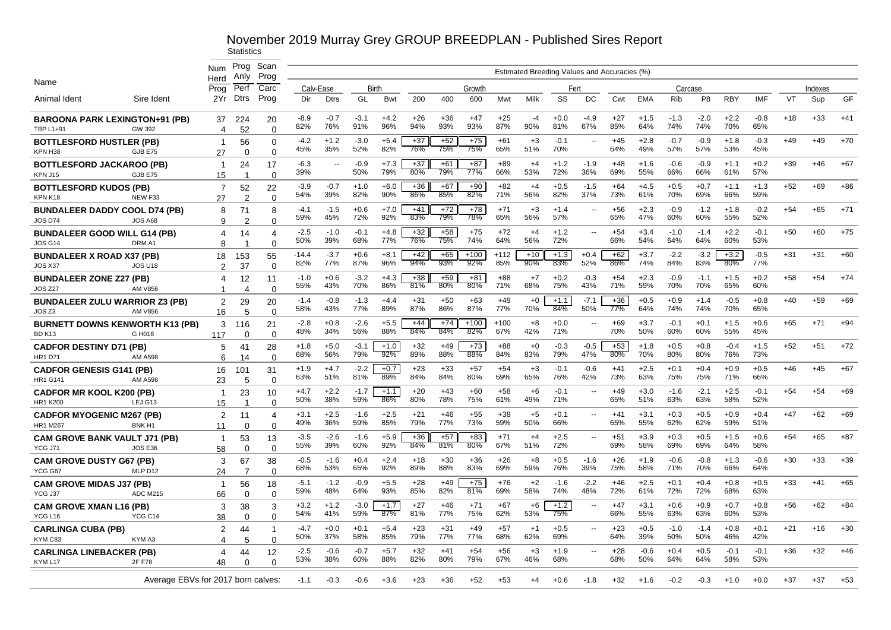|                                                           |                                    | Num                  | Prog<br>Anlv    | Scan<br>Prog         |                |                          |               |               |              |              |               |               | Estimated Breeding Values and Accuracies (%) |               |                          |                 |               |               |                |                  |               |       |         |       |
|-----------------------------------------------------------|------------------------------------|----------------------|-----------------|----------------------|----------------|--------------------------|---------------|---------------|--------------|--------------|---------------|---------------|----------------------------------------------|---------------|--------------------------|-----------------|---------------|---------------|----------------|------------------|---------------|-------|---------|-------|
| Name                                                      |                                    | Herd<br>Proa         | Perf            | Carc                 |                | Calv-Ease                |               | <b>Birth</b>  |              |              | Growth        |               |                                              | Fert          |                          |                 |               |               | Carcase        |                  |               |       | Indexes |       |
| Animal Ident                                              | Sire Ident                         | 2Yr                  | Dtrs            | Prog                 | Dir            | <b>Dtrs</b>              | GL            | Bwt           | 200          | 400          | 600           | Mwt           | Milk                                         | SS            | DC                       | Cwt             | <b>EMA</b>    | <b>Rib</b>    | P <sub>8</sub> | <b>RBY</b>       | <b>IMF</b>    | VT    | Sup     | GF    |
| <b>BAROONA PARK LEXINGTON+91 (PB)</b><br><b>TBP L1+91</b> | GW 392                             | 37<br>4              | 224<br>52       | 20<br>$\Omega$       | $-8.9$<br>82%  | $-0.7$<br>76%            | $-3.1$<br>91% | $+4.2$<br>96% | $+26$<br>94% | $+36$<br>93% | $+47$<br>93%  | $+25$<br>87%  | $-4$<br>90%                                  | $+0.0$<br>81% | $-4.9$<br>67%            | $+27$<br>85%    | $+1.5$<br>64% | $-1.3$<br>74% | $-2.0$<br>74%  | $+2.2$<br>70%    | $-0.8$<br>65% | $+18$ | $+33$   | $+41$ |
| <b>BOTTLESFORD HUSTLER (PB)</b><br>KPN H38                | GJB E75                            | $\mathbf 1$<br>27    | 56<br>$\Omega$  | $\Omega$<br>$\Omega$ | -4.2<br>45%    | $+1.2$<br>35%            | $-3.0$<br>52% | $+5.4$<br>82% | $+37$<br>76% | $+52$<br>75% | $+75$<br>75%  | $+61$<br>65%  | $+3$<br>51%                                  | $-0.1$<br>70% | $\overline{\phantom{a}}$ | $+45$<br>64%    | $+2.8$<br>49% | $-0.7$<br>57% | $-0.9$<br>57%  | $+1.8$<br>53%    | $-0.3$<br>45% | $+49$ | $+49$   | $+70$ |
| <b>BOTTLESFORD JACKAROO (PB)</b><br>KPN J15               | GJB E75                            | $\mathbf{1}$<br>15   | 24<br>-1        | 17<br>$\Omega$       | $-6.3$<br>39%  | $\overline{\phantom{a}}$ | $-0.9$<br>50% | $+7.3$<br>79% | $+37$<br>80% | $+61$<br>79% | $+87$<br>77%  | $+89$<br>66%  | $+4$<br>53%                                  | $+1.2$<br>72% | $-1.9$<br>36%            | +48<br>69%      | $+1.6$<br>55% | $-0.6$<br>66% | $-0.9$<br>66%  | $+1.1$<br>61%    | $+0.2$<br>57% | $+39$ | $+46$   | $+67$ |
| <b>BOTTLESFORD KUDOS (PB)</b><br>KPN K18                  | NEW F33                            | $\overline{7}$<br>27 | 52<br>2         | 22<br>$\Omega$       | $-3.9$<br>54%  | $-0.7$<br>39%            | $+1.0$<br>82% | $+6.0$<br>90% | $+36$<br>86% | $+67$<br>85% | $+90$<br>82%  | $+82$<br>71%  | $+4$<br>56%                                  | $+0.5$<br>82% | $-1.5$<br>37%            | $+64$<br>73%    | $+4.5$<br>61% | $+0.5$<br>70% | $+0.7$<br>69%  | $+1.1$<br>66%    | $+1.3$<br>59% | $+52$ | +69     | $+86$ |
| <b>BUNDALEER DADDY COOL D74 (PB)</b><br><b>JOS D74</b>    | <b>JOS A68</b>                     | 8<br>9               | 71<br>2         | 8<br>$\Omega$        | $-4.1$<br>59%  | $-1.5$<br>45%            | $+0.6$<br>72% | $+7.0$<br>92% | $+41$<br>83% | $+72$<br>79% | $+78$<br>78%  | $+71$<br>65%  | $+3$<br>56%                                  | $+1.4$<br>57% | $\overline{\phantom{a}}$ | $+56$<br>65%    | $+2.3$<br>47% | $-0.9$<br>60% | $-1.2$<br>60%  | $+1.8$<br>55%    | $-0.2$<br>52% | $+54$ | $+65$   | $+71$ |
| <b>BUNDALEER GOOD WILL G14 (PB)</b><br><b>JOS G14</b>     | DRM A1                             | 4<br>8               | 14              | 4<br>$\Omega$        | $-2.5$<br>50%  | $-1.0$<br>39%            | $-0.1$<br>68% | $+4.8$<br>77% | $+32$<br>76% | $+58$<br>75% | $+75$<br>74%  | $+72$<br>64%  | $+4$<br>56%                                  | $+1.2$<br>72% | $\mathbf{u}$             | $+54$<br>66%    | $+3.4$<br>54% | $-1.0$<br>64% | $-1.4$<br>64%  | $+2.2$<br>60%    | $-0.1$<br>53% | $+50$ | $+60$   | $+75$ |
| <b>BUNDALEER X ROAD X37 (PB)</b><br>JOS X37               | <b>JOS U18</b>                     | 18<br>$\overline{2}$ | 153<br>37       | 55<br>$\mathbf 0$    | $-14.4$<br>82% | $-3.7$<br>77%            | $+0.6$<br>87% | $+8.1$<br>96% | $+42$<br>94% | $+65$<br>93% | $+100$<br>92% | $+112$<br>85% | $+10$<br>90%                                 | $+1.3$<br>83% | $+0.4$<br>52%            | $+62$<br>$86\%$ | $+3.7$<br>74% | $-2.2$<br>84% | $-3.2$<br>83%  | $+3.2$<br>$80\%$ | $-0.5$<br>77% | $+31$ | $+31$   | $+60$ |
| <b>BUNDALEER ZONE Z27 (PB)</b><br><b>JOS Z27</b>          | <b>AM V856</b>                     | 4<br>1               | 12<br>4         | 11<br>$\Omega$       | $-1.0$<br>55%  | $+0.6$<br>43%            | $-3.2$<br>70% | $+4.3$<br>86% | $+38$<br>81% | $+59$<br>80% | $+81$<br>80%  | $+88$<br>71%  | $+7$<br>68%                                  | $+0.2$<br>75% | $-0.3$<br>43%            | $+54$<br>71%    | $+2.3$<br>59% | $-0.9$<br>70% | $-1.1$<br>70%  | $+1.5$<br>65%    | $+0.2$<br>60% | $+58$ | $+54$   | $+74$ |
| <b>BUNDALEER ZULU WARRIOR Z3 (PB)</b><br>JOS Z3           | <b>AM V856</b>                     | 2<br>16              | 29<br>5         | 20<br>$\Omega$       | $-1.4$<br>58%  | $-0.8$<br>43%            | $-1.3$<br>77% | $+4.4$<br>89% | $+31$<br>87% | $+50$<br>86% | $+63$<br>87%  | $+49$<br>77%  | $+0$<br>70%                                  | $+1.1$<br>84% | $-7.1$<br>50%            | $+36$<br>77%    | $+0.5$<br>64% | $+0.9$<br>74% | $+1.4$<br>74%  | $-0.5$<br>70%    | $+0.8$<br>65% | $+40$ | $+59$   | $+69$ |
| <b>BURNETT DOWNS KENWORTH K13 (PB)</b><br><b>BD K13</b>   | G H018                             | 3<br>117             | 116<br>$\Omega$ | 21<br>$\Omega$       | $-2.8$<br>48%  | $+0.8$<br>34%            | $-2.6$<br>56% | $+5.5$<br>88% | $+44$<br>84% | $+74$<br>84% | $+100$<br>82% | $+100$<br>67% | $+8$<br>42%                                  | $+0.0$<br>71% | $\sim$                   | $+69$<br>70%    | $+3.7$<br>50% | $-0.1$<br>60% | $+0.1$<br>60%  | $+1.5$<br>55%    | $+0.6$<br>45% | $+65$ | $+71$   | $+94$ |
| <b>CADFOR DESTINY D71 (PB)</b><br><b>HR1 D71</b>          | <b>AM A598</b>                     | 5<br>6               | 41<br>14        | 28<br>$\Omega$       | $+1.8$<br>68%  | $+5.0$<br>56%            | $-3.1$<br>79% | $+1.0$<br>92% | $+32$<br>89% | $+49$<br>88% | $+73$<br>88%  | $+88$<br>84%  | $+0$<br>83%                                  | $-0.3$<br>79% | $-0.5$<br>47%            | $+53$<br>80%    | $+1.8$<br>70% | $+0.5$<br>80% | $+0.8$<br>80%  | $-0.4$<br>76%    | $+1.5$<br>73% | $+52$ | $+51$   | $+72$ |
| <b>CADFOR GENESIS G141 (PB)</b><br><b>HR1 G141</b>        | <b>AM A598</b>                     | 16<br>23             | 101<br>5        | 31<br>$\Omega$       | $+1.9$<br>63%  | $+4.7$<br>51%            | $-2.2$<br>81% | $+0.7$<br>89% | $+23$<br>84% | $+33$<br>84% | $+57$<br>80%  | $+54$<br>69%  | $+3$<br>65%                                  | $-0.1$<br>76% | $-0.6$<br>42%            | $+41$<br>73%    | $+2.5$<br>63% | $+0.1$<br>75% | $+0.4$<br>75%  | $+0.9$<br>71%    | $+0.5$<br>66% | $+46$ | $+45$   | $+67$ |
| <b>CADFOR MR KOOL K200 (PB)</b><br><b>HR1 K200</b>        | LEJ G13                            | $\mathbf 1$<br>15    | 23<br>-1        | 10<br>$\Omega$       | $+4.7$<br>50%  | $+2.2$<br>38%            | $-1.7$<br>59% | $+1.1$<br>86% | $+20$<br>80% | $+43$<br>78% | $+60$<br>75%  | $+58$<br>61%  | +6<br>49%                                    | $-0.1$<br>71% |                          | $+49$<br>65%    | $+3.0$<br>51% | $-1.6$<br>63% | $-2.1$<br>63%  | $+2.5$<br>58%    | $-0.1$<br>52% | $+54$ | $+54$   | $+69$ |
| <b>CADFOR MYOGENIC M267 (PB)</b><br><b>HR1 M267</b>       | BNK <sub>H1</sub>                  | 2<br>11              | 11<br>0         | 4<br>$\Omega$        | $+3.1$<br>49%  | $+2.5$<br>36%            | $-1.6$<br>59% | $+2.5$<br>85% | $+21$<br>79% | $+46$<br>77% | $+55$<br>73%  | $+38$<br>59%  | $+5$<br>50%                                  | $+0.1$<br>66% |                          | $+41$<br>65%    | +3.1<br>55%   | $+0.3$<br>62% | $+0.5$<br>62%  | $+0.9$<br>59%    | $+0.4$<br>51% | $+47$ | +62     | $+69$ |
| <b>CAM GROVE BANK VAULT J71 (PB)</b><br>YCG J71           | <b>JOS E36</b>                     | $\mathbf{1}$<br>58   | 53<br>0         | 13<br>$\Omega$       | $-3.5$<br>55%  | $-2.6$<br>39%            | $-1.6$<br>60% | $+5.9$<br>92% | $+36$<br>84% | $+57$<br>81% | $+83$<br>80%  | $+71$<br>67%  | $+4$<br>51%                                  | $+2.5$<br>72% | $\mathbf{u}$             | $+51$<br>69%    | $+3.9$<br>58% | $+0.3$<br>69% | $+0.5$<br>69%  | $+1.5$<br>64%    | $+0.6$<br>58% | $+54$ | $+65$   | $+87$ |
| <b>CAM GROVE DUSTY G67 (PB)</b><br>YCG G67                | MLP D12                            | 3<br>24              | 67<br>7         | 38<br>$\Omega$       | $-0.5$<br>68%  | -1.6<br>53%              | $+0.4$<br>65% | $+2.4$<br>92% | $+18$<br>89% | $+30$<br>88% | $+36$<br>83%  | $+26$<br>69%  | +8<br>59%                                    | $+0.5$<br>76% | $-1.6$<br>39%            | $+26$<br>75%    | $+1.9$<br>58% | $-0.6$<br>71% | $-0.8$<br>70%  | $+1.3$<br>66%    | $-0.6$<br>64% | $+30$ | $+33$   | $+39$ |
| <b>CAM GROVE MIDAS J37 (PB)</b><br>YCG J37                | <b>ADC M215</b>                    | -1<br>66             | 56<br>$\Omega$  | 18<br>$\Omega$       | $-5.1$<br>59%  | $-1.2$<br>48%            | $-0.9$<br>64% | $+5.5$<br>93% | $+28$<br>85% | $+49$<br>82% | $+75$<br>81%  | $+76$<br>69%  | $+2$<br>58%                                  | $-1.6$<br>74% | $-2.2$<br>48%            | $+46$<br>72%    | $+2.5$<br>61% | $+0.1$<br>72% | $+0.4$<br>72%  | $+0.8$<br>68%    | $+0.5$<br>63% | $+33$ | $+41$   | $+65$ |
| <b>CAM GROVE XMAN L16 (PB)</b><br>YCG L16                 | YCG C14                            | 3<br>38              | 38<br>$\Omega$  | 3<br>$\Omega$        | $+3.2$<br>54%  | $+1.2$<br>41%            | $-3.0$<br>59% | $+1.7$<br>87% | $+27$<br>81% | $+46$<br>77% | $+71$<br>75%  | $+67$<br>62%  | $+6$<br>53%                                  | $+1.2$<br>75% | $\overline{\phantom{a}}$ | $+47$<br>66%    | $+3.1$<br>55% | $+0.6$<br>63% | $+0.9$<br>63%  | $+0.7$<br>60%    | $+0.8$<br>53% | $+56$ | $+62$   | $+84$ |
| <b>CARLINGA CUBA (PB)</b><br>KYM C83                      | KYM A3                             | $\overline{2}$<br>4  | 44<br>5         | -1<br>$\Omega$       | $-4.7$<br>50%  | $+0.0$<br>37%            | $+0.1$<br>58% | $+5.4$<br>85% | $+23$<br>79% | $+31$<br>77% | $+49$<br>77%  | $+57$<br>68%  | $+1$<br>62%                                  | $+0.5$<br>69% | $\sim$                   | $+23$<br>64%    | $+0.5$<br>39% | $-1.0$<br>50% | $-1.4$<br>50%  | $+0.8$<br>46%    | $+0.1$<br>42% | $+21$ | $+16$   | $+30$ |
| <b>CARLINGA LINEBACKER (PB)</b>                           |                                    | 4                    | 44              | 12                   | $-2.5$         | $-0.6$                   | $-0.7$        | $+5.7$        | $+32$        | $+41$        | $+54$         | $+56$         | $+3$                                         | $+1.9$        |                          | $+28$           | $-0.6$        | $+0.4$        | $+0.5$         | $-0.1$           | $-0.1$        | $+36$ | $+32$   | $+46$ |
| KYM L17                                                   | 2F F78                             | 48                   | $\Omega$        | $\Omega$             | 53%            | 38%                      | 60%           | 88%           | 82%          | 80%          | 79%           | 67%           | 46%                                          | 68%           |                          | 68%             | 50%           | 64%           | 64%            | 58%              | 53%           |       |         |       |
|                                                           | Average EBVs for 2017 born calves: |                      |                 |                      | $-1.1$         | -0.3                     | $-0.6$        | $+3.6$        | +23          | $+36$        | +52           | +53           | +4                                           | $+0.6$        | -1.8                     | $+32$           | $+1.6$        | $-0.2$        | $-0.3$         | +1.0             | $+0.0$        | +37   | $+37$   | $+53$ |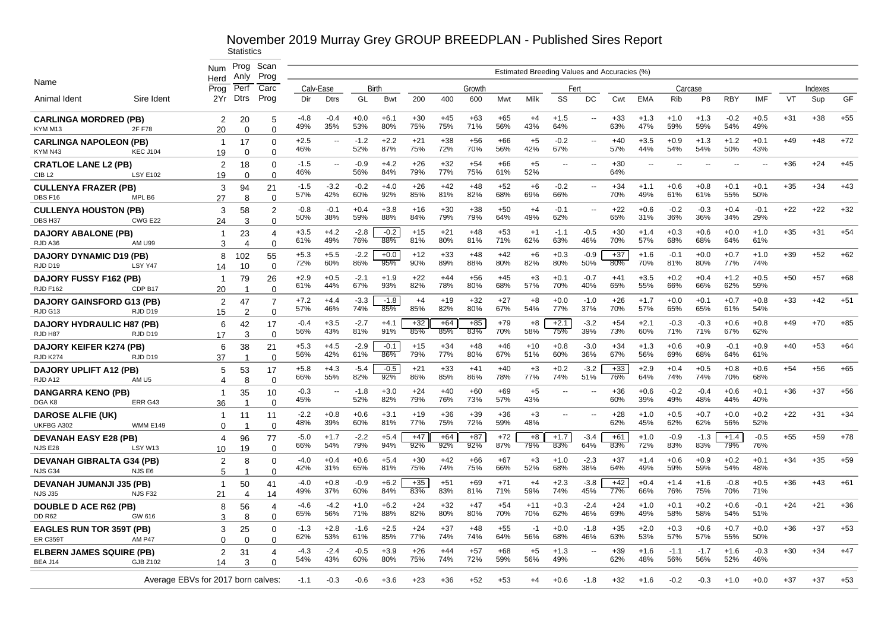|                                                |                                   | Num                   | Prog<br>Anly         | Scan<br>Prog               |               |                |               |               |              |              |              |              |              |               |                          | Estimated Breeding Values and Accuracies (%) |                          |               |                |               |               |       |         |       |
|------------------------------------------------|-----------------------------------|-----------------------|----------------------|----------------------------|---------------|----------------|---------------|---------------|--------------|--------------|--------------|--------------|--------------|---------------|--------------------------|----------------------------------------------|--------------------------|---------------|----------------|---------------|---------------|-------|---------|-------|
| Name                                           |                                   | Herd<br>Prog          | Perf                 | Carc                       |               | Calv-Ease      | Birth         |               |              |              | Growth       |              |              | Fert          |                          |                                              |                          | Carcase       |                |               |               |       | Indexes |       |
| Animal Ident                                   | Sire Ident                        | 2Yr                   | <b>Dtrs</b>          | Prog                       | Dir           | <b>Dtrs</b>    | GL            | Bwt           | 200          | 400          | 600          | Mwt          | Milk         | SS            | DC                       | Cwt                                          | <b>EMA</b>               | Rib           | P <sub>8</sub> | <b>RBY</b>    | IMF           | VT    | Sup     | GF    |
| <b>CARLINGA MORDRED (PB)</b><br>KYM M13        | 2F F78                            | 2<br>20               | 20<br>$\Omega$       | 5<br>$\Omega$              | -4.8<br>49%   | $-0.4$<br>35%  | $+0.0$<br>53% | $+6.1$<br>80% | $+30$<br>75% | $+45$<br>75% | $+63$<br>71% | $+65$<br>56% | $+4$<br>43%  | $+1.5$<br>64% | $\sim$                   | $+33$<br>63%                                 | $+1.3$<br>47%            | $+1.0$<br>59% | $+1.3$<br>59%  | $-0.2$<br>54% | $+0.5$<br>49% | $+31$ | $+38$   | $+55$ |
| <b>CARLINGA NAPOLEON (PB)</b>                  |                                   | -1                    | 17                   | $\Omega$                   | $+2.5$        | $\overline{a}$ | $-1.2$        | $+2.2$        | $+21$        | $+38$        | $+56$        | $+66$        | $+5$         | $-0.2$        |                          | $+40$                                        | $+3.5$                   | $+0.9$        | $+1.3$         | $+1.2$        | $+0.1$        | $+49$ | $+48$   | $+72$ |
| KYM N43                                        | <b>KEC J104</b>                   | 19                    | $\Omega$             | 0                          | 46%           |                | 52%           | 87%           | 75%          | 72%          | 70%          | 56%          | 42%          | 67%           |                          | 57%                                          | 44%                      | 54%           | 54%            | 50%           | 43%           |       |         |       |
| <b>CRATLOE LANE L2 (PB)</b>                    |                                   | $\overline{2}$        | 18                   | $\Omega$                   | $-1.5$<br>46% | --             | $-0.9$<br>56% | $+4.2$<br>84% | $+26$<br>79% | $+32$<br>77% | $+54$<br>75% | $+66$<br>61% | $+5$<br>52%  | $-$           | $\overline{a}$           | $+30$<br>64%                                 | $\overline{\phantom{a}}$ | ٠.            |                | $-$           | --            | $+36$ | $+24$   | $+45$ |
| CIB <sub>L2</sub>                              | <b>LSY E102</b>                   | 19                    | $\Omega$             | $\Omega$                   |               |                |               |               |              |              |              |              |              |               |                          |                                              |                          |               |                |               |               |       |         |       |
| <b>CULLENYA FRAZER (PB)</b>                    |                                   | 3                     | 94                   | 21                         | $-1.5$<br>57% | $-3.2$<br>42%  | $-0.2$<br>60% | $+4.0$<br>92% | $+26$<br>85% | $+42$<br>81% | $+48$<br>82% | $+52$<br>68% | $+6$<br>69%  | $-0.2$<br>66% |                          | $+34$<br>70%                                 | $+1.1$<br>49%            | $+0.6$<br>61% | $+0.8$<br>61%  | $+0.1$<br>55% | $+0.1$<br>50% | $+35$ | $+34$   | $+43$ |
| DBS F16                                        | MPL B6                            | 27                    | 8                    | $\Omega$                   |               |                |               |               |              |              |              |              |              |               |                          |                                              |                          |               |                |               |               |       |         |       |
| <b>CULLENYA HOUSTON (PB)</b>                   | CWG E22                           | 3                     | 58                   | $\overline{2}$             | $-0.8$<br>50% | $-0.1$<br>38%  | $+0.4$<br>59% | $+3.8$<br>88% | $+16$<br>84% | $+30$<br>79% | $+38$<br>79% | $+50$<br>64% | $+4$<br>49%  | $-0.1$<br>62% | $\overline{\phantom{a}}$ | $+22$<br>65%                                 | $+0.6$<br>31%            | $-0.2$<br>36% | $-0.3$<br>36%  | $+0.4$<br>34% | $-0.1$<br>29% | $+22$ | $+22$   | $+32$ |
| DBS H37                                        |                                   | 24                    | 3                    | $\Omega$                   | $+3.5$        | $+4.2$         | $-2.8$        | $-0.2$        | $+15$        | $+21$        | $+48$        | $+53$        | $+1$         | $-1.1$        | $-0.5$                   | $+30$                                        | $+1.4$                   | $+0.3$        | $+0.6$         | $+0.0$        | $+1.0$        | $+35$ | $+31$   | $+54$ |
| <b>DAJORY ABALONE (PB)</b><br>RJD A36          | AM U99                            | -1<br>3               | 23<br>$\overline{4}$ | $\overline{4}$<br>$\Omega$ | 61%           | 49%            | 76%           | 88%           | 81%          | 80%          | 81%          | 71%          | 62%          | 63%           | 46%                      | 70%                                          | 57%                      | 68%           | 68%            | 64%           | 61%           |       |         |       |
| <b>DAJORY DYNAMIC D19 (PB)</b>                 |                                   | 8                     | 102                  | 55                         | $+5.3$        | $+5.5$         | $-2.2$        | $+0.0$        | $+12$        | $+33$        | +48          | $+42$        | $+6$         | $+0.3$        | $-0.9$                   | $+37$                                        | $+1.6$                   | $-0.1$        | $+0.0$         | $+0.7$        | $+1.0$        | $+39$ | $+52$   | $+62$ |
| RJD D19                                        | LSY Y47                           | 14                    | 10                   | $\Omega$                   | 72%           | 60%            | 86%           | 95%           | 90%          | 89%          | 88%          | 80%          | 82%          | 80%           | 50%                      | 80%                                          | 70%                      | 81%           | 80%            | 77%           | 74%           |       |         |       |
| <b>DAJORY FUSSY F162 (PB)</b>                  |                                   | -1                    | 79                   | 26                         | $+2.9$        | $+0.5$         | $-2.1$        | $+1.9$        | $+22$        | $+44$        | +56          | $+45$        | $+3$         | $+0.1$        | $-0.7$                   | $+41$                                        | $+3.5$                   | $+0.2$        | $+0.4$         | $+1.2$        | $+0.5$        | $+50$ | $+57$   | $+68$ |
| <b>RJD F162</b>                                | CDP B17                           | 20                    | -1                   | $\Omega$                   | 61%           | 44%            | 67%           | 93%           | 82%          | 78%          | 80%          | 68%          | 57%          | 70%           | 40%                      | 65%                                          | 55%                      | 66%           | 66%            | 62%           | 59%           |       |         |       |
| <b>DAJORY GAINSFORD G13 (PB)</b>               |                                   | 2                     | 47                   | 7                          | $+7.2$        | $+4.4$         | $-3.3$        | $-1.8$        | $+4$         | $+19$        | $+32$        | $+27$        | $+8$         | $+0.0$        | $-1.0$                   | $+26$                                        | $+1.7$                   | $+0.0$        | $+0.1$         | $+0.7$        | $+0.8$        | $+33$ | $+42$   | $+51$ |
| RJD G13                                        | RJD D19                           | 15                    | $\overline{2}$       | $\Omega$                   | 57%           | 46%            | 74%           | 85%           | 85%          | 82%          | 80%          | 67%          | 54%          | 77%           | 37%                      | 70%                                          | 57%                      | 65%           | 65%            | 61%           | 54%           |       |         |       |
| <b>DAJORY HYDRAULIC H87 (PB)</b>               |                                   | 6                     | 42                   | 17                         | $-0.4$        | $+3.5$         | $-2.7$        | $+4.1$        | $+32$        | $+64$        | $+85$        | $+79$        | $+8$         | $+2.1$        | $-3.2$                   | $+54$                                        | $+2.1$                   | $-0.3$        | $-0.3$         | $+0.6$        | $+0.8$        | $+49$ | $+70$   | $+85$ |
| RJD H87                                        | RJD D19                           | 17                    | 3                    | $\Omega$                   | 56%           | 43%            | 81%           | 91%           | 85%          | 85%          | 83%          | 70%          | 58%          | 75%           | 39%                      | 73%                                          | 60%                      | 71%           | 71%            | 67%           | 62%           |       |         |       |
| <b>DAJORY KEIFER K274 (PB)</b>                 |                                   | 6                     | 38                   | 21                         | $+5.3$        | $+4.5$         | $-2.9$        | $-0.1$        | $+15$        | $+34$        | $+48$        | $+46$        | $+10$        | $+0.8$        | $-3.0$                   | $+34$                                        | $+1.3$                   | $+0.6$        | $+0.9$         | $-0.1$        | $+0.9$        | $+40$ | $+53$   | $+64$ |
| <b>RJD K274</b>                                | RJD D19                           | 37                    | -1                   | $\Omega$                   | 56%           | 42%            | 61%           | 86%           | 79%          | 77%          | 80%          | 67%          | 51%          | 60%           | 36%                      | 67%                                          | 56%                      | 69%           | 68%            | 64%           | 61%           |       |         |       |
| <b>DAJORY UPLIFT A12 (PB)</b>                  |                                   | 5                     | 53                   | 17                         | $+5.8$<br>66% | $+4.3$<br>55%  | $-5.4$<br>82% | $-0.5$<br>92% | $+21$<br>86% | $+33$<br>85% | $+41$<br>86% | $+40$<br>78% | $+3$<br>77%  | $+0.2$<br>74% | $-3.2$<br>51%            | $+33$<br>76%                                 | $+2.9$<br>64%            | $+0.4$<br>74% | $+0.5$<br>74%  | $+0.8$<br>70% | $+0.6$<br>68% | $+54$ | $+56$   | $+65$ |
| RJD A12                                        | AM <sub>U5</sub>                  | $\boldsymbol{\Delta}$ | 8                    | $\Omega$                   |               |                |               |               |              |              |              |              |              |               |                          |                                              |                          |               |                |               |               |       |         |       |
| <b>DANGARRA KENO (PB)</b>                      |                                   | -1                    | 35                   | 10                         | $-0.3$<br>45% | ц,             | $-1.8$<br>52% | $+3.0$<br>82% | $+24$<br>79% | $+40$<br>76% | $+60$<br>73% | $+69$<br>57% | $+5$<br>43%  |               |                          | $+36$<br>60%                                 | $+0.6$<br>39%            | $-0.2$<br>49% | $-0.4$<br>48%  | $+0.6$<br>44% | $+0.1$<br>40% | $+36$ | $+37$   | $+56$ |
| DGA K8                                         | ERR G43                           | 36                    | -1                   | $\Omega$                   |               |                |               |               |              |              |              |              |              |               |                          |                                              |                          |               |                |               |               |       |         |       |
| <b>DAROSE ALFIE (UK)</b><br>UKFBG A302         | <b>WMM E149</b>                   | -1                    | 11                   | 11<br>$\Omega$             | $-2.2$<br>48% | $+0.8$<br>39%  | $+0.6$<br>60% | $+3.1$<br>81% | $+19$<br>77% | $+36$<br>75% | $+39$<br>72% | $+36$<br>59% | $+3$<br>48%  | --            |                          | $+28$<br>62%                                 | $+1.0$<br>45%            | $+0.5$<br>62% | $+0.7$<br>62%  | $+0.0$<br>56% | $+0.2$<br>52% | $+22$ | $+31$   | $+34$ |
|                                                |                                   | 0<br>4                |                      |                            | $-5.0$        | $+1.7$         | $-2.2$        | $+5.4$        | $+47$        | $+64$        | $+87$        | $+72$        | $+8$         | $+1.7$        | $-3.4$                   | $+61$                                        | $+1.0$                   | $-0.9$        | $-1.3$         | $+1.4$        | $-0.5$        | $+55$ | $+59$   | $+78$ |
| <b>DEVANAH EASY E28 (PB)</b><br><b>NJS E28</b> | LSY W13                           | 10                    | 96<br>19             | 77<br>∩                    | 66%           | 54%            | 79%           | 94%           | 92%          | 92%          | 92%          | 87%          | 79%          | 83%           | 64%                      | 83%                                          | 72%                      | 83%           | 83%            | 79%           | 76%           |       |         |       |
| <b>DEVANAH GIBRALTA G34 (PB)</b>               |                                   | 2                     | 8                    | $\Omega$                   | $-4.0$        | $+0.4$         | $+0.6$        | $+5.4$        | $+30$        | $+42$        | +66          | $+67$        | $+3$         | $+1.0$        | $-2.3$                   | $+37$                                        | $+1.4$                   | $+0.6$        | $+0.9$         | $+0.2$        | $+0.1$        | $+34$ | $+35$   | $+59$ |
| NJS G34                                        | NJS E6                            | 5                     |                      |                            | 42%           | 31%            | 65%           | 81%           | 75%          | 74%          | 75%          | 66%          | 52%          | 68%           | 38%                      | 64%                                          | 49%                      | 59%           | 59%            | 54%           | 48%           |       |         |       |
| <b>DEVANAH JUMANJI J35 (PB)</b>                |                                   | -1                    | 50                   | 41                         | -4.0          | $+0.8$         | $-0.9$        | $+6.2$        | $+35$        | $+51$        | +69          | $+71$        | $+4$         | $+2.3$        | $-3.8$                   | $+42$                                        | $+0.4$                   | $+1.4$        | $+1.6$         | $-0.8$        | $+0.5$        | $+36$ | $+43$   | $+61$ |
| <b>NJS J35</b>                                 | NJS F32                           | 21                    | 4                    | 14                         | 49%           | 37%            | 60%           | 84%           | 83%          | 83%          | 81%          | 71%          | 59%          | 74%           | 45%                      | 77%                                          | 66%                      | 76%           | 75%            | 70%           | 71%           |       |         |       |
| <b>DOUBLE D ACE R62 (PB)</b>                   |                                   | 8                     | 56                   | 4                          | $-4.6$<br>65% | $-4.2$<br>56%  | $+1.0$<br>71% | $+6.2$<br>88% | $+24$<br>82% | $+32$<br>80% | $+47$<br>80% | $+54$<br>70% | $+11$<br>70% | $+0.3$<br>62% | $-2.4$<br>46%            | $+24$<br>69%                                 | $+1.0$<br>49%            | $+0.1$<br>58% | $+0.2$<br>58%  | $+0.6$<br>54% | $-0.1$<br>51% | $+24$ | $+21$   | $+36$ |
| <b>DD R62</b>                                  | GW 616                            | 3                     | 8                    | $\Omega$                   |               |                |               |               |              |              |              |              |              |               |                          |                                              |                          |               |                |               |               |       |         |       |
| <b>EAGLES RUN TOR 359T (PB)</b>                |                                   | 3                     | 25                   | $\Omega$                   | $-1.3$<br>62% | $+2.8$<br>53%  | $-1.6$<br>61% | $+2.5$<br>85% | $+24$<br>77% | $+37$<br>74% | $+48$<br>74% | $+55$<br>64% | $-1$<br>56%  | $+0.0$<br>68% | $-1.8$<br>46%            | $+35$<br>63%                                 | $+2.0$<br>53%            | $+0.3$<br>57% | $+0.6$<br>57%  | $+0.7$<br>55% | $+0.0$<br>50% | $+36$ | $+37$   | $+53$ |
| <b>ER C359T</b>                                | AM P47                            | $\Omega$              | $\Omega$             | $\Omega$                   |               |                |               |               |              |              |              |              |              |               |                          |                                              |                          |               |                |               |               |       |         |       |
| <b>ELBERN JAMES SQUIRE (PB)</b><br>BEA J14     | <b>GJB Z102</b>                   | $\overline{2}$        | 31<br>3              | 4                          | $-4.3$<br>54% | $-2.4$<br>43%  | $-0.5$<br>60% | $+3.9$<br>80% | $+26$<br>75% | $+44$<br>74% | $+57$<br>72% | $+68$<br>59% | $+5$<br>56%  | $+1.3$<br>49% |                          | $+39$<br>62%                                 | $+1.6$<br>48%            | $-1.1$<br>56% | $-1.7$<br>56%  | $+1.6$<br>52% | $-0.3$<br>46% | $+30$ | $+34$   | $+47$ |
|                                                |                                   | 14                    |                      |                            |               |                |               |               |              |              |              |              |              |               |                          |                                              |                          |               |                |               |               |       |         |       |
|                                                | Average EBVs for 2017 born calves |                       |                      |                            | -1.1          | $-0.3$         | $-0.6$        | $+3.6$        | $+23$        | +36          | $+52$        | $+53$        | +4           | $+0.6$        | -1.8                     | +32                                          | $+1.6$                   | $-0.2$        | $-0.3$         | +1.0          | $+0.0$        | +37   | $+37$   | $+53$ |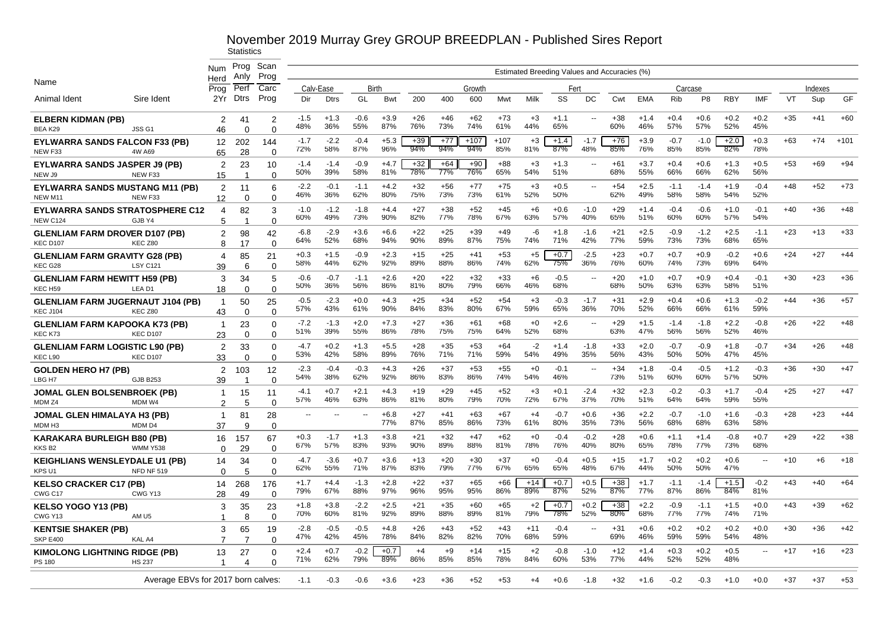|                                                             |                                                   | <b>Num</b>                    | Prog<br>Anly      | Scan<br>Prog               |               |               |               |               |              |              |               |               |              |               |                          | Estimated Breeding Values and Accuracies (%) |               |               |               |               |                |       |         |        |
|-------------------------------------------------------------|---------------------------------------------------|-------------------------------|-------------------|----------------------------|---------------|---------------|---------------|---------------|--------------|--------------|---------------|---------------|--------------|---------------|--------------------------|----------------------------------------------|---------------|---------------|---------------|---------------|----------------|-------|---------|--------|
| Name                                                        |                                                   | Herd<br>Prog                  | Perf              | Carc                       |               | Calv-Ease     | Birth         |               |              |              | Growth        |               |              | Fert          |                          |                                              |               | Carcase       |               |               |                |       | Indexes |        |
| Animal Ident                                                | Sire Ident                                        | 2Yr                           | <b>Dtrs</b>       | Prog                       | Dir           | <b>Dtrs</b>   | GL            | Bwt           | 200          | 400          | 600           | Mwt           | Milk         | SS            | DC                       | Cwt                                          | <b>EMA</b>    | Rib           | P8            | <b>RBY</b>    | IMF            | VT    | Sup     | GF     |
| <b>ELBERN KIDMAN (PB)</b><br>BEA K29                        | JSS <sub>G1</sub>                                 | 2<br>46                       | 41<br>$\Omega$    | $\overline{2}$<br>$\Omega$ | $-1.5$<br>48% | $+1.3$<br>36% | $-0.6$<br>55% | $+3.9$<br>87% | $+26$<br>76% | $+46$<br>73% | $+62$<br>74%  | $+73$<br>61%  | $+3$<br>44%  | $+1.1$<br>65% | --                       | $+38$<br>60%                                 | $+1.4$<br>46% | $+0.4$<br>57% | $+0.6$<br>57% | $+0.2$<br>52% | $+0.2$<br>45%  | $+35$ | $+41$   | $+60$  |
| <b>EYLWARRA SANDS FALCON F33 (PB)</b><br>NEW F33            | 4W A69                                            | 12<br>65                      | 202<br>28         | 144<br>$\Omega$            | $-1.7$<br>72% | $-2.2$<br>58% | $-0.4$<br>87% | $+5.3$<br>96% | $+39$<br>94% | $+77$<br>94% | $+107$<br>94% | $+107$<br>85% | $+3$<br>81%  | $+1.4$<br>87% | $-1.7$<br>48%            | $+76$<br>85%                                 | $+3.9$<br>76% | $-0.7$<br>85% | $-1.0$<br>85% | $+2.0$<br>82% | $+0.3$<br>78%  | $+63$ | $+74$   | $+101$ |
| <b>EYLWARRA SANDS JASPER J9 (PB)</b><br>NEW J9              | NEW F33                                           | 2                             | 23<br>-1          | 10<br>$\Omega$             | $-1.4$<br>50% | $-1.4$<br>39% | $-0.9$<br>58% | $+4.7$<br>81% | $+32$<br>78% | $+64$<br>77% | $+90$<br>76%  | $+88$<br>65%  | $+3$<br>54%  | $+1.3$<br>51% | $\overline{\phantom{a}}$ | $+61$<br>68%                                 | $+3.7$<br>55% | $+0.4$<br>66% | $+0.6$<br>66% | $+1.3$<br>62% | $+0.5$<br>56%  | $+53$ | $+69$   | $+94$  |
| EYLWARRA SANDS MUSTANG M11 (PB)                             |                                                   | 15<br>2                       | 11                | 6                          | $-2.2$<br>46% | $-0.1$<br>36% | $-1.1$<br>62% | $+4.2$<br>80% | $+32$<br>75% | $+56$<br>73% | $+77$<br>73%  | $+75$<br>61%  | $+3$<br>52%  | $+0.5$<br>50% |                          | $+54$<br>62%                                 | $+2.5$<br>49% | $-1.1$<br>58% | $-1.4$<br>58% | $+1.9$<br>54% | $-0.4$<br>52%  | $+48$ | $+52$   | $+73$  |
| NEW M11                                                     | NEW F33<br><b>EYLWARRA SANDS STRATOSPHERE C12</b> | 12<br>4                       | $\mathbf 0$<br>82 | $\Omega$<br>3              | $-1.0$        | $-1.2$        | $-1.8$        | $+4.4$        | $+27$        | $+38$        | $+52$         | $+45$         | $+6$         | $+0.6$        | $-1.0$                   | $+29$                                        | $+1.4$        | $-0.4$        | $-0.6$        | $+1.0$        | $-0.1$         | $+40$ | $+36$   | $+48$  |
| <b>NEW C124</b><br><b>GLENLIAM FARM DROVER D107 (PB)</b>    | GJB Y4                                            | 5<br>2                        | -1<br>98          | $\Omega$<br>42             | 60%<br>$-6.8$ | 49%<br>$-2.9$ | 73%<br>$+3.6$ | 90%<br>$+6.6$ | 82%<br>$+22$ | 77%<br>$+25$ | 78%<br>$+39$  | 67%<br>$+49$  | 63%<br>-6    | 57%<br>$+1.8$ | 40%<br>$-1.6$            | 65%<br>$+21$                                 | 51%<br>$+2.5$ | 60%<br>$-0.9$ | 60%<br>$-1.2$ | 57%<br>$+2.5$ | 54%<br>$-1.1$  | $+23$ | $+13$   | $+33$  |
| <b>KEC D107</b><br><b>GLENLIAM FARM GRAVITY G28 (PB)</b>    | KEC Z80                                           | 8<br>4                        | 17<br>85          | $\Omega$<br>21             | 64%<br>$+0.3$ | 52%<br>$+1.5$ | 68%<br>$-0.9$ | 94%<br>$+2.3$ | 90%<br>$+15$ | 89%<br>$+25$ | 87%<br>$+41$  | 75%<br>$+53$  | 74%<br>$+5$  | 71%<br>$+0.7$ | 42%<br>$-2.5$            | 77%<br>$+23$                                 | 59%<br>$+0.7$ | 73%<br>$+0.7$ | 73%<br>$+0.9$ | 68%<br>$-0.2$ | 65%<br>$+0.6$  | $+24$ | $+27$   | $+44$  |
| KEC G28<br><b>GLENLIAM FARM HEWITT H59 (PB)</b>             | LSY C12                                           | 39<br>3                       | 6<br>34           | $\Omega$<br>5              | 58%<br>$-0.6$ | 44%<br>$-0.7$ | 62%<br>$-1.1$ | 92%<br>$+2.6$ | 89%<br>$+20$ | 88%<br>$+22$ | 86%<br>$+32$  | 74%<br>$+33$  | 62%<br>$+6$  | 75%<br>$-0.5$ | 36%<br>$\sim$            | 76%<br>$+20$                                 | 60%<br>$+1.0$ | 74%<br>$+0.7$ | 73%<br>$+0.9$ | 69%<br>$+0.4$ | 64%<br>$-0.1$  | $+30$ | $+23$   | $+36$  |
| KEC H59                                                     | LEA D1                                            | 18                            | $\Omega$          | $\Omega$                   | 50%           | 36%           | 56%           | 86%           | 81%          | 80%          | 79%           | 66%           | 46%          | 68%           |                          | 68%                                          | 50%           | 63%           | 63%           | 58%           | 51%            |       |         |        |
| <b>GLENLIAM FARM JUGERNAUT J104 (PB)</b><br><b>KEC J104</b> | KEC Z80                                           | -1<br>43                      | 50<br>$\Omega$    | 25<br>$\Omega$             | $-0.5$<br>57% | $-2.3$<br>43% | $+0.0$<br>61% | $+4.3$<br>90% | $+25$<br>84% | $+34$<br>83% | $+52$<br>80%  | $+54$<br>67%  | $+3$<br>59%  | $-0.3$<br>65% | $-1.7$<br>36%            | $+31$<br>70%                                 | $+2.9$<br>52% | $+0.4$<br>66% | $+0.6$<br>66% | $+1.3$<br>61% | $-0.2$<br>59%  | $+44$ | $+36$   | $+57$  |
| <b>GLENLIAM FARM KAPOOKA K73 (PB)</b><br>KEC K73            | <b>KEC D107</b>                                   | -1<br>23                      | 23<br>$\Omega$    | $\Omega$<br>$\Omega$       | $-7.2$<br>51% | $-1.3$<br>39% | $+2.0$<br>55% | $+7.3$<br>86% | $+27$<br>78% | $+36$<br>75% | $+61$<br>75%  | $+68$<br>64%  | $+0$<br>52%  | $+2.6$<br>68% | $\overline{a}$           | $+29$<br>63%                                 | $+1.5$<br>47% | $-1.4$<br>56% | $-1.8$<br>56% | $+2.2$<br>52% | $-0.8$<br>46%  | $+26$ | $+22$   | $+48$  |
| <b>GLENLIAM FARM LOGISTIC L90 (PB)</b><br>KEC L90           | <b>KEC D107</b>                                   | 2<br>33                       | 33<br>$\Omega$    | $\Omega$<br>$\Omega$       | $-4.7$<br>53% | $+0.2$<br>42% | $+1.3$<br>58% | $+5.5$<br>89% | $+28$<br>76% | $+35$<br>71% | $+53$<br>71%  | $+64$<br>59%  | $-2$<br>54%  | $+1.4$<br>49% | $-1.8$<br>35%            | $+33$<br>56%                                 | $+2.0$<br>43% | $-0.7$<br>50% | $-0.9$<br>50% | $+1.8$<br>47% | $-0.7$<br>45%  | $+34$ | $+26$   | $+48$  |
| <b>GOLDEN HERO H7 (PB)</b><br>LBG H7                        | <b>GJB B253</b>                                   | 2<br>39                       | 103               | 12<br>$\Omega$             | $-2.3$<br>54% | $-0.4$<br>38% | $-0.3$<br>62% | $+4.3$<br>92% | $+26$<br>86% | $+37$<br>83% | $+53$<br>86%  | $+55$<br>74%  | $+0$<br>54%  | $-0.1$<br>46% | $\overline{\phantom{a}}$ | $+34$<br>73%                                 | $+1.8$<br>51% | $-0.4$<br>60% | $-0.5$<br>60% | $+1.2$<br>57% | $-0.3$<br>50%  | +36   | $+30$   | $+47$  |
| JOMAL GLEN BOLSENBROEK (PB)<br>MDM Z4                       | MDM W4                                            | -1<br>2                       | 15<br>5           | 11<br>$\Omega$             | $-4.1$<br>57% | $+0.7$<br>46% | $+2.1$<br>63% | $+4.3$<br>86% | $+19$<br>81% | $+29$<br>80% | $+45$<br>79%  | $+52$<br>70%  | $+3$<br>72%  | $+0.1$<br>67% | -2.4<br>37%              | $+32$<br>70%                                 | $+2.3$<br>51% | $-0.2$<br>64% | $-0.3$<br>64% | $+1.7$<br>59% | $-0.4$<br>55%  | $+25$ | $+27$   | $+47$  |
| JOMAL GLEN HIMALAYA H3 (PB)<br>MDM H <sub>3</sub>           | MDM D4                                            | -1<br>37                      | 81<br>-9          | 28<br>$\Omega$             | --            | --            | --            | $+6.8$<br>77% | $+27$<br>87% | $+41$<br>85% | $+63$<br>86%  | $+67$<br>73%  | $+4$<br>61%  | $-0.7$<br>80% | $+0.6$<br>35%            | $+36$<br>73%                                 | $+2.2$<br>56% | $-0.7$<br>68% | $-1.0$<br>68% | $+1.6$<br>63% | $-0.3$<br>58%  | $+28$ | $+23$   | $+44$  |
| KARAKARA BURLEIGH B80 (PB)<br>KKS <sub>B2</sub>             | <b>WMM Y538</b>                                   | 16<br>$\Omega$                | 157<br>29         | 67<br>$\Omega$             | $+0.3$<br>67% | $-1.7$<br>57% | $+1.3$<br>83% | $+3.8$<br>93% | $+21$<br>90% | $+32$<br>89% | $+47$<br>88%  | $+62$<br>81%  | $+0$<br>78%  | $-0.4$<br>76% | $-0.2$<br>40%            | $+28$<br>80%                                 | $+0.6$<br>65% | $+1.1$<br>78% | $+1.4$<br>77% | $-0.8$<br>73% | $+0.7$<br>68%  | $+29$ | $+22$   | $+38$  |
| <b>KEIGHLIANS WENSLEYDALE U1 (PB)</b><br>KPS U1             | <b>NFD NF 519</b>                                 | 14<br>$\Omega$                | 34<br>$\sqrt{2}$  | $\Omega$<br>$\Omega$       | $-4.7$<br>62% | $-3.6$<br>55% | $+0.7$<br>71% | $+3.6$<br>87% | $+13$<br>83% | $+20$<br>79% | $+30$<br>77%  | $+37$<br>67%  | $+0$<br>65%  | $-0.4$<br>65% | $+0.5$<br>48%            | $+15$<br>67%                                 | $+1.7$<br>44% | $+0.2$<br>50% | $+0.2$<br>50% | $+0.6$<br>47% | $\sim$         | $+10$ | $+6$    | $+18$  |
| <b>KELSO CRACKER C17 (PB)</b><br>CWG C17                    | CWG Y13                                           | 14<br>28                      | 268<br>49         | 176<br>$\Omega$            | $+1.7$<br>79% | $+4.4$<br>67% | $-1.3$<br>88% | $+2.8$<br>97% | $+22$<br>96% | $+37$<br>95% | $+65$<br>95%  | $+66$<br>86%  | $+14$<br>89% | $+0.7$<br>87% | $+0.5$<br>52%            | $+38$<br>87%                                 | $+1.7$<br>77% | $-1.1$<br>87% | $-1.4$<br>86% | $+1.5$<br>84% | $-0.2$<br>81%  | $+43$ | $+40$   | $+64$  |
| <b>KELSO YOGO Y13 (PB)</b><br>CWG Y13                       | AM <sub>U5</sub>                                  | 3<br>1                        | 35<br>8           | 23<br>$\Omega$             | $+1.8$<br>70% | $+3.8$<br>60% | $-2.2$<br>81% | $+2.5$<br>92% | $+21$<br>89% | $+35$<br>88% | $+60$<br>89%  | $+65$<br>81%  | $+2$<br>79%  | $+0.7$<br>78% | $+0.2$<br>52%            | $+38$<br>80%                                 | $+2.2$<br>68% | $-0.9$<br>77% | $-1.1$<br>77% | $+1.5$<br>74% | $+0.0$<br>71%  | $+43$ | $+39$   | $+62$  |
| <b>KENTSIE SHAKER (PB)</b>                                  |                                                   | 3                             | 65                | 19                         | $-2.8$<br>47% | $-0.5$<br>42% | $-0.5$<br>45% | $+4.8$<br>78% | $+26$<br>84% | $+43$<br>82% | $+52$<br>82%  | $+43$<br>70%  | $+11$<br>68% | $-0.4$<br>59% | $\overline{a}$           | $+31$<br>69%                                 | $+0.6$<br>46% | $+0.2$<br>59% | $+0.2$<br>59% | $+0.2$<br>54% | $+0.0$<br>48%  | $+30$ | $+36$   | $+42$  |
| <b>SKP E400</b>                                             | KAL A4                                            | $\overline{7}$                |                   | $\Omega$                   |               |               |               |               |              |              |               |               |              |               |                          |                                              |               |               |               |               |                |       |         |        |
| <b>KIMOLONG LIGHTNING RIDGE (PB)</b><br>PS 180              | <b>HS 237</b>                                     | 13<br>$\overline{\mathbf{1}}$ | 27<br>Δ           | $\Omega$                   | $+2.4$<br>71% | $+0.7$<br>62% | $-0.2$<br>79% | $+0.7$<br>89% | $+4$<br>86%  | $+9$<br>85%  | $+14$<br>85%  | $+15$<br>78%  | $+2$<br>84%  | $-0.8$<br>60% | $-1.0$<br>53%            | $+12$<br>77%                                 | $+1.4$<br>44% | $+0.3$<br>52% | $+0.2$<br>52% | $+0.5$<br>48% | $\overline{a}$ | $+17$ | $+16$   | $+23$  |
|                                                             | Average EBVs for 2017 born calves:                |                               |                   |                            | -1.1          | $-0.3$        | $-0.6$        | $+3.6$        | $+23$        | +36          | +52           | +53           | $+4$         | $+0.6$        | $-1.8$                   | +32                                          | $+1.6$        | -0.2          | $-0.3$        | +1.0          | $+0.0$         | +37   | +37     | $+53$  |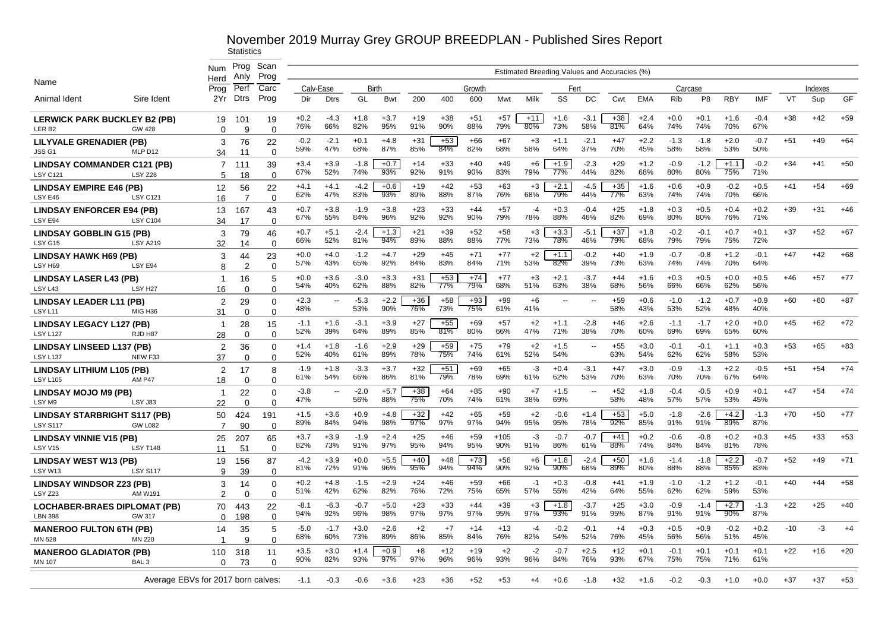|                                                          |                                    |                     | Prog                 | Scan                 |               |                                 |               |               |                     |                     |                     |               |              |                                              |               |              |               |               |                      |                  |               |       |         |       |
|----------------------------------------------------------|------------------------------------|---------------------|----------------------|----------------------|---------------|---------------------------------|---------------|---------------|---------------------|---------------------|---------------------|---------------|--------------|----------------------------------------------|---------------|--------------|---------------|---------------|----------------------|------------------|---------------|-------|---------|-------|
|                                                          |                                    | <b>Num</b><br>Herd  | Anlv                 | Prog                 |               |                                 |               |               |                     |                     |                     |               |              | Estimated Breeding Values and Accuracies (%) |               |              |               |               |                      |                  |               |       |         |       |
| Name                                                     |                                    | Prog                | Perf                 | Carc                 |               | Calv-Ease                       | Birth         |               |                     |                     | Growth              |               |              | Fert                                         |               |              |               |               | Carcase              |                  |               |       | Indexes |       |
| Animal Ident                                             | Sire Ident                         | 2Yr                 | Dtrs                 | Prog                 | Dir           | <b>Dtrs</b>                     | GL            | Bwt           | 200                 | 400                 | 600                 | Mwt           | Milk         | SS                                           | DC            | Cwt          | <b>EMA</b>    | <b>Rib</b>    | P <sub>8</sub>       | <b>RBY</b>       | <b>IMF</b>    | VT    | Sup     | GF    |
| <b>LERWICK PARK BUCKLEY B2 (PB)</b><br>LER <sub>B2</sub> | <b>GW 428</b>                      | 19<br>0             | 101<br>$\mathbf{q}$  | 19<br>$\Omega$       | $+0.2$<br>76% | $-4.3$<br>66%                   | $+1.8$<br>82% | $+3.7$<br>95% | $+19$<br>91%        | $+38$<br>90%        | $+51$<br>88%        | $+57$<br>79%  | $+11$<br>80% | $+1.6$<br>73%                                | $-3.1$<br>58% | +38<br>81%   | $+2.4$<br>64% | $+0.0$<br>74% | $+0.1$<br>74%        | $+1.6$<br>70%    | $-0.4$<br>67% | $+38$ | $+42$   | $+59$ |
| <b>LILYVALE GRENADIER (PB)</b><br>JSS <sub>G1</sub>      | MLP D12                            | 3<br>34             | 76<br>11             | 22<br>$\Omega$       | $-0.2$<br>59% | $-2.1$<br>47%                   | $+0.1$<br>68% | $+4.8$<br>87% | $+31$<br>85%        | $+53$<br>84%        | +66<br>82%          | $+67$<br>68%  | $+3$<br>58%  | $+1.1$<br>64%                                | $-2.1$<br>37% | $+47$<br>70% | $+2.2$<br>45% | $-1.3$<br>58% | $-1.8$<br>58%        | $+2.0$<br>53%    | $-0.7$<br>50% | $+51$ | $+49$   | $+64$ |
| <b>LINDSAY COMMANDER C121 (PB)</b><br><b>LSY C121</b>    | LSY Z28                            | 7<br>5              | 111<br>18            | 39<br>$\Omega$       | $+3.4$<br>67% | $+3.9$<br>52%                   | $-1.8$<br>74% | $+0.7$<br>93% | $+14$<br>92%        | $+33$<br>91%        | $+40$<br>90%        | $+49$<br>83%  | $+6$<br>79%  | $+1.9$<br>77%                                | $-2.3$<br>44% | $+29$<br>82% | $+1.2$<br>68% | $-0.9$<br>80% | $-1.2$<br>80%        | $+1.1$<br>75%    | $-0.2$<br>71% | $+34$ | $+41$   | $+50$ |
| <b>LINDSAY EMPIRE E46 (PB)</b>                           |                                    | 12                  | 56<br>7              | 22                   | $+4.1$<br>62% | $+4.1$<br>47%                   | $-4.2$<br>83% | $+0.6$<br>93% | $+19$<br>89%        | $+42$<br>88%        | $+53$<br>87%        | $+63$<br>76%  | $+3$<br>68%  | $+2.1$<br>79%                                | $-4.5$<br>44% | $+35$<br>77% | $+1.6$<br>63% | $+0.6$<br>74% | $+0.9$<br>74%        | $-0.2$<br>70%    | $+0.5$<br>66% | $+41$ | $+54$   | $+69$ |
| LSY E46<br><b>LINDSAY ENFORCER E94 (PB)</b>              | <b>LSY C121</b>                    | 16<br>13            | 167                  | $\Omega$<br>43       | $+0.7$<br>67% | $+3.8$<br>55%                   | $-1.9$<br>84% | $+3.8$<br>96% | $+23$<br>92%        | $+33$<br>92%        | $+44$<br>90%        | $+57$<br>79%  | -4<br>78%    | $+0.3$<br>88%                                | $-0.4$<br>46% | $+25$<br>82% | $+1.8$<br>69% | $+0.3$<br>80% | $+0.5$<br>80%        | $+0.4$<br>76%    | $+0.2$<br>71% | $+39$ | $+31$   | $+46$ |
| LSY E94<br><b>LINDSAY GOBBLIN G15 (PB)</b>               | <b>LSY C104</b>                    | 34<br>3             | 17<br>79             | $\Omega$<br>46       | $+0.7$<br>66% | $+5.1$<br>52%                   | $-2.4$<br>81% | $+1.3$<br>94% | $+21$<br>89%        | $+39$<br>88%        | $+52$<br>88%        | $+58$<br>77%  | $+3$<br>73%  | $+3.3$<br>78%                                | $-5.1$<br>46% | $+37$<br>79% | $+1.8$<br>68% | $-0.2$<br>79% | $-0.1$<br>79%        | $+0.7$<br>75%    | $+0.1$<br>72% | $+37$ | $+52$   | $+67$ |
| LSY G15<br><b>LINDSAY HAWK H69 (PB)</b>                  | <b>LSY A219</b>                    | 32<br>3             | 14<br>44             | $\Omega$<br>23       | $+0.0$<br>57% | $+4.0$<br>43%                   | $-1.2$<br>65% | $+4.7$<br>92% | $+29$<br>84%        | $+45$<br>83%        | $+71$<br>84%        | $+77$<br>71%  | $+2$<br>53%  | $+1.1$<br>82%                                | $-0.2$<br>39% | $+40$<br>73% | $+1.9$<br>63% | $-0.7$<br>74% | $-0.8$<br>74%        | $+1.2$<br>70%    | $-0.1$<br>64% | $+47$ | $+42$   | $+68$ |
| LSY H69<br><b>LINDSAY LASER L43 (PB)</b>                 | LSY E94                            | 8<br>$\overline{1}$ | $\overline{2}$<br>16 | $\Omega$<br>5        | $+0.0$        | $+3.6$                          | $-3.0$        | $+3.3$        | $+31$               | $+53$<br>77%        | $+74$               | $+77$         | $+3$         | $+2.1$                                       | $-3.7$<br>38% | $+44$        | $+1.6$        | $+0.3$        | $+0.5$               | $+0.0$<br>62%    | $+0.5$        | $+46$ | $+57$   | $+77$ |
| LSY L43<br><b>LINDSAY LEADER L11 (PB)</b>                | LSY <sub>H27</sub>                 | 16<br>2             | $\Omega$<br>29       | $\Omega$<br>$\Omega$ | 54%<br>$+2.3$ | 40%<br>$\overline{a}$           | 62%<br>$-5.3$ | 88%<br>$+2.2$ | 82%<br>$+36$        | $+58$<br>73%        | 79%<br>$+93$<br>75% | 68%<br>$+99$  | 51%<br>$+6$  | 63%<br>$\sim$                                |               | 68%<br>$+59$ | 56%<br>$+0.6$ | 66%<br>$-1.0$ | 66%<br>$-1.2$        | $+0.7$           | 56%<br>$+0.9$ | $+60$ | $+60$   | $+87$ |
| LSY <sub>L11</sub><br><b>LINDSAY LEGACY L127 (PB)</b>    | MIG H36                            | 31<br>-1            | $\Omega$<br>28       | $\Omega$<br>15       | 48%<br>$-1.1$ | $+1.6$                          | 53%<br>$-3.1$ | 90%<br>$+3.9$ | 76%<br>$+27$        | $+55$               | $+69$               | 61%<br>$+57$  | 41%<br>$+2$  | $+1.1$                                       | $-2.8$        | 58%<br>$+46$ | 43%<br>$+2.6$ | 53%<br>$-1.1$ | 52%<br>$-1.7$<br>69% | 48%<br>$+2.0$    | 40%<br>$+0.0$ | $+45$ | $+62$   | $+72$ |
| <b>LSY L127</b><br><b>LINDSAY LINSEED L137 (PB)</b>      | RJD H87                            | 28<br>2             | $\Omega$<br>36       | $\Omega$<br>$\Omega$ | 52%<br>$+1.4$ | 39%<br>$+1.8$                   | 64%<br>$-1.6$ | 89%<br>$+2.9$ | 85%<br>$+29$<br>78% | 81%<br>$+59$<br>75% | 80%<br>$+75$        | 66%<br>$+79$  | 47%<br>$+2$  | 71%<br>$+1.5$                                | 38%           | 70%<br>$+55$ | 60%<br>$+3.0$ | 69%<br>$-0.1$ | $-0.1$               | 65%<br>$+1.1$    | 60%<br>$+0.3$ | $+53$ | $+65$   | $+83$ |
| <b>LSY L137</b><br><b>LINDSAY LITHIUM L105 (PB)</b>      | NEW F33                            | 37<br>$\mathcal{P}$ | $\Omega$<br>17       | $\Omega$<br>8        | 52%<br>$-1.9$ | 40%<br>$+1.8$                   | 61%<br>$-3.3$ | 89%<br>$+3.7$ | $+32$               | $+51$               | 74%<br>+69          | 61%<br>$+65$  | 52%<br>-3    | 54%<br>$+0.4$                                | $-3.1$        | 63%<br>$+47$ | 54%<br>$+3.0$ | 62%<br>$-0.9$ | 62%<br>$-1.3$        | 58%<br>$+2.2$    | 53%<br>$-0.5$ | $+51$ | $+54$   | $+74$ |
| <b>LSY L105</b><br><b>LINDSAY MOJO M9 (PB)</b>           | AM P47                             | 18<br>-1            | $\Omega$<br>22       | $\Omega$<br>$\Omega$ | 61%<br>$-3.8$ | 54%<br>$\overline{\phantom{a}}$ | 66%<br>$-2.0$ | 86%<br>$+5.7$ | 81%<br>$+38$        | 79%<br>$+64$        | 78%<br>$+85$        | 69%<br>$+90$  | 61%<br>$+7$  | 62%<br>$+1.5$                                | 53%           | 70%<br>$+52$ | 63%<br>$+1.8$ | 70%<br>$-0.4$ | 70%<br>$-0.5$        | 67%<br>$+0.9$    | 64%<br>$+0.1$ | $+47$ | $+54$   | $+74$ |
| LSY <sub>M9</sub>                                        | LSY J83                            | 22                  | $\Omega$             | $\Omega$             | 47%           |                                 | 56%           | 88%           | 75%                 | 70%                 | 74%                 | 61%           | 38%          | 69%                                          |               | 58%          | 48%           | 57%           | 57%                  | 53%              | 45%           |       |         |       |
| <b>LINDSAY STARBRIGHT S117 (PB)</b><br><b>LSY S117</b>   | <b>GW L082</b>                     | 50<br>7             | 424<br>90            | 191<br>$\Omega$      | $+1.5$<br>89% | $+3.6$<br>84%                   | $+0.9$<br>94% | +4.8<br>98%   | $+32$<br>97%        | $+42$<br>97%        | $+65$<br>97%        | $+59$<br>94%  | $+2$<br>95%  | $-0.6$<br>95%                                | $+1.4$<br>78% | $+53$<br>92% | $+5.0$<br>85% | $-1.8$<br>91% | $-2.6$<br>91%        | $+4.2$<br>89%    | $-1.3$<br>87% | $+70$ | $+50$   | $+77$ |
| <b>LINDSAY VINNIE V15 (PB)</b><br>LSY V15                | <b>LSY T148</b>                    | 25<br>11            | 207<br>51            | 65<br>$\Omega$       | $+3.7$<br>82% | $+3.9$<br>73%                   | $-1.9$<br>91% | $+2.4$<br>97% | $+25$<br>95%        | $+46$<br>94%        | $+59$<br>95%        | $+105$<br>90% | $-3$<br>91%  | $-0.7$<br>86%                                | $-0.7$<br>61% | $+41$<br>88% | $+0.2$<br>74% | $-0.6$<br>84% | $-0.8$<br>84%        | $+0.2$<br>81%    | $+0.3$<br>78% | +45   | $+33$   | $+53$ |
| <b>LINDSAY WEST W13 (PB)</b><br>LSY W13                  | <b>LSY S117</b>                    | 19<br>9             | 156<br>39            | 87<br>$\Omega$       | -4.2<br>81%   | $+3.9$<br>72%                   | $+0.0$<br>91% | $+5.5$<br>96% | $+40$<br>95%        | $+48$<br>94%        | $+73$<br>94%        | $+56$<br>90%  | $+6$<br>92%  | $+1.8$<br>90%                                | $-2.4$<br>68% | $+50$<br>89% | $+1.6$<br>80% | $-1.4$<br>88% | $-1.8$<br>88%        | $+2.2$<br>85%    | $-0.7$<br>83% | $+52$ | $+49$   | $+71$ |
| <b>LINDSAY WINDSOR Z23 (PB)</b><br>LSY Z23               | AM W19                             | 3<br>2              | 14<br>$\Omega$       | $\Omega$<br>$\Omega$ | $+0.2$<br>51% | $+4.8$<br>42%                   | $-1.5$<br>62% | $+2.9$<br>82% | $+24$<br>76%        | $+46$<br>72%        | $+59$<br>75%        | $+66$<br>65%  | -1<br>57%    | $+0.3$<br>55%                                | $-0.8$<br>42% | $+41$<br>64% | $+1.9$<br>55% | $-1.0$<br>62% | $-1.2$<br>62%        | $+1.2$<br>59%    | $-0.1$<br>53% | $+40$ | $+44$   | $+58$ |
| LOCHABER-BRAES DIPLOMAT (PB)<br><b>LBN 398</b>           | GW 317                             | 70<br>0             | 443<br>198           | 22<br>$\Omega$       | $-8.1$<br>94% | $-6.3$<br>92%                   | $-0.7$<br>96% | $+5.0$<br>98% | $+23$<br>97%        | $+33$<br>97%        | $+44$<br>97%        | $+39$<br>95%  | $+3$<br>97%  | $+1.8$<br>93%                                | $-3.7$<br>91% | $+25$<br>95% | $+3.0$<br>87% | $-0.9$<br>91% | $-1.4$<br>91%        | $+2.7$<br>$90\%$ | $-1.3$<br>87% | $+22$ | $+25$   | $+40$ |
| <b>MANEROO FULTON 6TH (PB)</b><br>MN 528                 | <b>MN 220</b>                      | 14<br>$\mathbf 1$   | 35<br>9              | 5<br>$\Omega$        | $-5.0$<br>68% | $-1.7$<br>60%                   | $+3.0$<br>73% | $+2.6$<br>89% | $+2$<br>86%         | $+7$<br>85%         | $+14$<br>84%        | $+13$<br>76%  | $-4$<br>82%  | $-0.2$<br>54%                                | $-0.1$<br>52% | $+4$<br>76%  | $+0.3$<br>45% | $+0.5$<br>56% | $+0.9$<br>56%        | $-0.2$<br>51%    | $+0.2$<br>45% | $-10$ | -3      | $+4$  |
| <b>MANEROO GLADIATOR (PB)</b>                            |                                    | 110                 | 318                  | 11                   | $+3.5$        | $+3.0$                          | $+1.4$        | $+0.9$        | $+8$                | $+12$               | $+19$               | $+2$          | $-2$         | $-0.7$                                       | $+2.5$        | $+12$        | $+0.1$        | $-0.1$        | $+0.1$               | $+0.1$           | $+0.1$        | $+22$ | $+16$   | $+20$ |
| <b>MN 107</b>                                            | BAL <sub>3</sub>                   | $\Omega$            | 73                   | $\Omega$             | 90%           | 82%                             | 93%           | 97%           | 97%                 | 96%                 | 96%                 | 93%           | 96%          | 84%                                          | 76%           | 93%          | 67%           | 75%           | 75%                  | 71%              | 61%           |       |         |       |
|                                                          | Average EBVs for 2017 born calves: |                     |                      |                      | -1.1          | $-0.3$                          | -0.6          | $+3.6$        | $+23$               | +36                 | +52                 | $+53$         | $+4$         | $+0.6$                                       | -1.8          | +32          | $+1.6$        | $-0.2$        | $-0.3$               | $+1.0$           | $+0.0$        | $+37$ | +37     | $+53$ |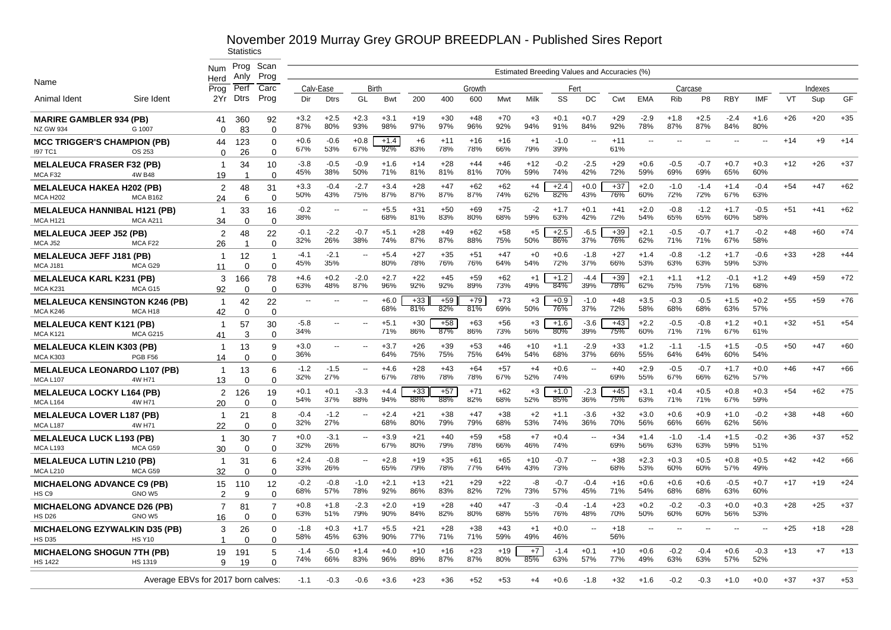|                                                          |                                    | <b>Num</b>           | Prog            | Scan                       |                |                          |                          |               |              |              |              |              |                                              |               |                          |              |                |               |                |                          |                          |       |         |       |
|----------------------------------------------------------|------------------------------------|----------------------|-----------------|----------------------------|----------------|--------------------------|--------------------------|---------------|--------------|--------------|--------------|--------------|----------------------------------------------|---------------|--------------------------|--------------|----------------|---------------|----------------|--------------------------|--------------------------|-------|---------|-------|
| Name                                                     |                                    | Herd                 | Anlv            | Prog                       |                |                          |                          |               |              |              |              |              | Estimated Breeding Values and Accuracies (%) |               |                          |              |                |               |                |                          |                          |       |         |       |
|                                                          |                                    | Prog                 | Perf            | Carc                       |                | Calv-Ease                | Birth                    |               |              |              | Growth       |              |                                              |               | Fert                     |              |                |               | Carcase        |                          |                          |       | Indexes |       |
| Animal Ident                                             | Sire Ident                         | 2Yr                  | <b>Dtrs</b>     | Prog                       | Dir            | <b>Dtrs</b>              | GL                       | Bwt           | 200          | 400          | 600          | Mwt          | Milk                                         | SS            | DC                       | Cwt          | <b>EMA</b>     | <b>Rib</b>    | P <sub>8</sub> | <b>RBY</b>               | <b>IMF</b>               | VT    | Sup     | GF    |
| <b>MARIRE GAMBLER 934 (PB)</b><br><b>NZ GW 934</b>       | G 1007                             | 41<br>$\Omega$       | 360<br>83       | 92<br>$\Omega$             | $+3.2$<br>87%  | $+2.5$<br>80%            | $+2.3$<br>93%            | $+3.1$<br>98% | $+19$<br>97% | $+30$<br>97% | $+48$<br>96% | $+70$<br>92% | $+3$<br>94%                                  | $+0.1$<br>91% | $+0.7$<br>84%            | $+29$<br>92% | $-2.9$<br>78%  | $+1.8$<br>87% | $+2.5$<br>87%  | $-2.4$<br>84%            | $+1.6$<br>80%            | $+26$ | $+20$   | $+35$ |
| <b>MCC TRIGGER'S CHAMPION (PB)</b><br><b>197 TC1</b>     | OS 253                             | 44<br>0              | 123<br>26       | $\Omega$<br>$\Omega$       | $+0.6$<br>67%  | $-0.6$<br>53%            | $+0.8$<br>67%            | $+1.4$<br>92% | $+6$<br>83%  | $+11$<br>78% | $+16$<br>78% | $+16$<br>66% | $+1$<br>79%                                  | $-1.0$<br>39% | $\overline{\phantom{a}}$ | $+11$<br>61% | $-$            |               |                | $\overline{\phantom{a}}$ | $\overline{\phantom{a}}$ | $+14$ | $+9$    | $+14$ |
| <b>MELALEUCA FRASER F32 (PB)</b><br>MCA F32              | 4W B48                             | $\overline{1}$<br>19 | 34<br>-1        | 10<br>$\Omega$             | $-3.8$<br>45%  | $-0.5$<br>38%            | $-0.9$<br>50%            | $+1.6$<br>71% | $+14$<br>81% | $+28$<br>81% | $+44$<br>81% | $+46$<br>70% | $+12$<br>59%                                 | $-0.2$<br>74% | $-2.5$<br>42%            | $+29$<br>72% | $+0.6$<br>59%  | $-0.5$<br>69% | $-0.7$<br>69%  | $+0.7$<br>65%            | $+0.3$<br>60%            | $+12$ | $+26$   | $+37$ |
| <b>MELALEUCA HAKEA H202 (PB)</b><br><b>MCA H202</b>      | <b>MCA B162</b>                    | 2<br>24              | 48<br>6         | 31<br>$\Omega$             | $+3.3$<br>50%  | $-0.4$<br>43%            | $-2.7$<br>75%            | $+3.4$<br>87% | $+28$<br>87% | $+47$<br>87% | $+62$<br>87% | $+62$<br>74% | $+4$<br>62%                                  | $+2.4$<br>82% | $+0.0$<br>43%            | $+37$<br>76% | $+2.0$<br>60%  | $-1.0$<br>72% | $-1.4$<br>72%  | $+1.4$<br>67%            | $-0.4$<br>63%            | $+54$ | $+47$   | $+62$ |
| <b>MELALEUCA HANNIBAL H121 (PB)</b><br><b>MCA H121</b>   | <b>MCA A211</b>                    | -1<br>34             | 33<br>$\Omega$  | 16<br>$\Omega$             | $-0.2$<br>38%  | $\mathbf{u}$             | $\sim$                   | $+5.5$<br>68% | $+31$<br>81% | $+50$<br>83% | $+69$<br>80% | $+75$<br>68% | $-2$<br>59%                                  | $+1.7$<br>63% | $+0.1$<br>42%            | $+41$<br>72% | $+2.0$<br>54%  | $-0.8$<br>65% | $-1.2$<br>65%  | $+1.7$<br>60%            | $-0.5$<br>58%            | $+51$ | $+41$   | $+62$ |
| <b>MELALEUCA JEEP J52 (PB)</b><br>MCA J52                | MCA F <sub>22</sub>                | $\overline{2}$<br>26 | 48<br>-1        | 22<br>$\Omega$             | $-0.1$<br>32%  | $-2.2$<br>26%            | $-0.7$<br>38%            | $+5.1$<br>74% | $+28$<br>87% | $+49$<br>87% | $+62$<br>88% | $+58$<br>75% | $+5$<br>50%                                  | $+2.5$<br>86% | $-6.5$<br>37%            | $+39$<br>76% | $+2.1$<br>62%  | $-0.5$<br>71% | $-0.7$<br>71%  | $+1.7$<br>67%            | $-0.2$<br>58%            | +48   | $+60$   | $+74$ |
| <b>MELALEUCA JEFF J181 (PB)</b><br><b>MCA J181</b>       | MCA G29                            | -1<br>11             | 12<br>$\Omega$  | -1<br>$\Omega$             | $-4.1$<br>45%  | $-2.1$<br>35%            | $\overline{\phantom{a}}$ | $+5.4$<br>80% | $+27$<br>78% | $+35$<br>76% | $+51$<br>76% | $+47$<br>64% | $+0$<br>54%                                  | $+0.6$<br>72% | -1.8<br>37%              | $+27$<br>66% | $+1.4$<br>53%  | $-0.8$<br>63% | $-1.2$<br>63%  | $+1.7$<br>59%            | $-0.6$<br>53%            | $+33$ | $+28$   | $+44$ |
| <b>MELALEUCA KARL K231 (PB)</b><br><b>MCA K231</b>       | MCA G15                            | 3<br>92              | 166<br>0        | 78<br>$\Omega$             | $+4.6$<br>63%  | $+0.2$<br>48%            | $-2.0$<br>87%            | $+2.7$<br>96% | $+22$<br>92% | $+45$<br>92% | $+59$<br>89% | $+62$<br>73% | $+1$<br>49%                                  | $+1.2$<br>84% | $-4.4$<br>39%            | $+39$<br>78% | $+2.1$<br>62%  | $+1.1$<br>75% | $+1.2$<br>75%  | $-0.1$<br>71%            | $+1.2$<br>68%            | $+49$ | $+59$   | $+72$ |
| <b>MELALEUCA KENSINGTON K246 (PB)</b><br><b>MCA K246</b> | MCA H <sub>18</sub>                | -1<br>42             | 42<br>0         | 22<br>$\Omega$             | $\overline{a}$ | $\overline{a}$           | $\overline{\phantom{a}}$ | $+6.0$<br>68% | $+33$<br>81% | $+59$<br>82% | $+79$<br>81% | $+73$<br>69% | $+3$<br>50%                                  | $+0.9$<br>76% | $-1.0$<br>37%            | $+48$<br>72% | $+3.5$<br>58%  | $-0.3$<br>68% | $-0.5$<br>68%  | $+1.5$<br>63%            | $+0.2$<br>57%            | $+55$ | $+59$   | $+76$ |
| <b>MELALEUCA KENT K121 (PB)</b><br><b>MCA K121</b>       | <b>MCA G215</b>                    | -1<br>41             | 57<br>3         | 30<br>$\Omega$             | $-5.8$<br>34%  | $\overline{\phantom{a}}$ | $\sim$                   | $+5.1$<br>71% | $+30$<br>86% | $+58$<br>87% | $+63$<br>86% | $+56$<br>73% | $+3$<br>56%                                  | $+1.6$<br>80% | $-3.6$<br>39%            | $+43$<br>75% | $+2.2$<br>60%  | $-0.5$<br>71% | $-0.8$<br>71%  | $+1.2$<br>67%            | $+0.1$<br>61%            | $+32$ | $+51$   | $+54$ |
| <b>MELALEUCA KLEIN K303 (PB)</b><br><b>MCA K303</b>      | PGB F56                            | -1<br>14             | 13<br>$\Omega$  | 9<br>$\Omega$              | $+3.0$<br>36%  | $\overline{a}$           | $\sim$                   | $+3.7$<br>64% | $+26$<br>75% | $+39$<br>75% | $+53$<br>75% | $+46$<br>64% | $+10$<br>54%                                 | $+1.1$<br>68% | $-2.9$<br>37%            | $+33$<br>66% | $+1.2$<br>55%  | $-1.1$<br>64% | $-1.5$<br>64%  | $+1.5$<br>60%            | $-0.5$<br>54%            | $+50$ | $+47$   | $+60$ |
| <b>MELALEUCA LEONARDO L107 (PB)</b><br><b>MCA L107</b>   | 4W H71                             | $\overline{1}$<br>13 | 13<br>$\Omega$  | 6<br>$\Omega$              | $-1.2$<br>32%  | $-1.5$<br>27%            | $\sim$                   | $+4.6$<br>67% | $+28$<br>78% | $+43$<br>78% | $+64$<br>78% | $+57$<br>67% | $+4$<br>52%                                  | $+0.6$<br>74% |                          | $+40$<br>69% | $+2.9$<br>55%  | $-0.5$<br>67% | $-0.7$<br>66%  | $+1.7$<br>62%            | $+0.0$<br>57%            | $+46$ | $+47$   | $+66$ |
| <b>MELALEUCA LOCKY L164 (PB)</b><br>MCA L164             | 4W H71                             | $\overline{2}$<br>20 | 126<br>$\Omega$ | 19<br>$\Omega$             | $+0.1$<br>54%  | $+0.1$<br>37%            | $-3.3$<br>88%            | $+4.4$<br>94% | $+33$<br>88% | $+57$<br>88% | $+71$<br>82% | $+62$<br>68% | $+3$<br>52%                                  | $+1.0$<br>85% | $-2.3$<br>36%            | $+45$<br>75% | $+3.1$<br>63%  | $+0.4$<br>71% | $+0.5$<br>71%  | $+0.8$<br>67%            | $+0.3$<br>59%            | $+54$ | $+62$   | $+75$ |
| <b>MELALEUCA LOVER L187 (PB)</b><br>MCA L187             | 4W H71                             | $\overline{1}$<br>22 | 21<br>$\Omega$  | 8<br>$\Omega$              | $-0.4$<br>32%  | $-1.2$<br>27%            | $\overline{\phantom{a}}$ | $+2.4$<br>68% | $+21$<br>80% | $+38$<br>79% | $+47$<br>79% | $+38$<br>68% | $+2$<br>53%                                  | $+1.1$<br>74% | $-3.6$<br>36%            | $+32$<br>70% | $+3.0$<br>56%  | $+0.6$<br>66% | $+0.9$<br>66%  | $+1.0$<br>62%            | $-0.2$<br>56%            | $+38$ | $+48$   | $+60$ |
| <b>MELALEUCA LUCK L193 (PB)</b><br><b>MCA L193</b>       | MCA G59                            | -1<br>30             | 30<br>0         | $\overline{7}$<br>$\Omega$ | $+0.0$<br>32%  | $-3.1$<br>26%            | $\sim$                   | $+3.9$<br>67% | $+21$<br>80% | $+40$<br>79% | $+59$<br>78% | $+58$<br>66% | $+7$<br>46%                                  | $+0.4$<br>74% |                          | $+34$<br>69% | $+1.4$<br>56%  | $-1.0$<br>63% | $-1.4$<br>63%  | $+1.5$<br>59%            | $-0.2$<br>51%            | $+36$ | $+37$   | $+52$ |
| <b>MELALEUCA LUTIN L210 (PB)</b><br><b>MCA L210</b>      | MCA G59                            | -1<br>32             | 31<br>$\Omega$  | 6<br>0                     | $+2.4$<br>33%  | $-0.8$<br>26%            | $\sim$                   | $+2.8$<br>65% | $+19$<br>79% | $+35$<br>78% | $+61$<br>77% | $+65$<br>64% | $+10$<br>43%                                 | $-0.7$<br>73% | $\mathbf{u}$             | $+38$<br>68% | $+2.3$<br>53%  | $+0.3$<br>60% | $+0.5$<br>60%  | $+0.8$<br>57%            | $+0.5$<br>49%            | $+42$ | $+42$   | $+66$ |
| <b>MICHAELONG ADVANCE C9 (PB)</b><br>HS C <sub>9</sub>   | GNO W <sub>5</sub>                 | 15<br>$\mathcal{P}$  | 110<br>q        | 12<br>$\Omega$             | $-0.2$<br>68%  | $-0.8$<br>57%            | $-1.0$<br>78%            | $+2.1$<br>92% | $+13$<br>86% | $+21$<br>83% | $+29$<br>82% | $+22$<br>72% | -8<br>73%                                    | $-0.7$<br>57% | $-0.4$<br>45%            | $+16$<br>71% | $+0.6$<br>54%  | $+0.6$<br>68% | $+0.6$<br>68%  | $-0.5$<br>63%            | $+0.7$<br>60%            | $+17$ | $+19$   | $+24$ |
| <b>MICHAELONG ADVANCE D26 (PB)</b><br><b>HS D26</b>      | GNO <sub>W5</sub>                  | $\overline{7}$<br>16 | 81<br>0         | $\overline{7}$<br>$\Omega$ | $+0.8$<br>63%  | $+1.8$<br>51%            | $-2.3$<br>79%            | $+2.0$<br>90% | $+19$<br>84% | $+28$<br>82% | $+40$<br>80% | $+47$<br>68% | -3<br>55%                                    | $-0.4$<br>76% | $-1.4$<br>48%            | +23<br>70%   | $+0.2$<br>50%  | $-0.2$<br>60% | $-0.3$<br>60%  | $+0.0$<br>56%            | $+0.3$<br>53%            | $+28$ | $+25$   | $+37$ |
| <b>MICHAELONG EZYWALKIN D35 (PB)</b><br><b>HS D35</b>    | <b>HS Y10</b>                      | 3<br>-1              | 26<br>$\Omega$  | $\Omega$<br>∩              | $-1.8$<br>58%  | $+0.3$<br>45%            | $+1.7$<br>63%            | $+5.5$<br>90% | $+21$<br>77% | $+28$<br>71% | $+38$<br>71% | $+43$<br>59% | $+1$<br>49%                                  | $+0.0$<br>46% | $\overline{\phantom{a}}$ | $+18$<br>56% | $\overline{a}$ |               |                |                          |                          | $+25$ | $+18$   | $+28$ |
| <b>MICHAELONG SHOGUN 7TH (PB)</b>                        |                                    | 19                   | 191             | 5                          | $-1.4$<br>74%  | $-5.0$<br>66%            | $+1.4$<br>83%            | $+4.0$<br>96% | $+10$<br>89% | $+16$<br>87% | $+23$<br>87% | $+19$<br>80% | $+7$<br>85%                                  | $-1.4$<br>63% | $+0.1$<br>57%            | $+10$<br>77% | $+0.6$<br>49%  | $-0.2$<br>63% | $-0.4$<br>63%  | $+0.6$<br>57%            | $-0.3$<br>52%            | $+13$ | $+7$    | $+13$ |
| <b>HS 1422</b>                                           | <b>HS 1319</b>                     | 9                    | 19              | $\Omega$                   |                |                          |                          |               |              |              |              |              |                                              |               |                          |              |                |               |                |                          |                          |       |         |       |
|                                                          | Average EBVs for 2017 born calves: |                      |                 |                            | $-1.1$         | $-0.3$                   | -0.6                     | $+3.6$        | $+23$        | +36          | $+52$        | $+53$        | $+4$                                         | $+0.6$        | $-1.8$                   | $+32$        | $+1.6$         | $-0.2$        | $-0.3$         | $+1.0$                   | $+0.0$                   | $+37$ | $+37$   | $+53$ |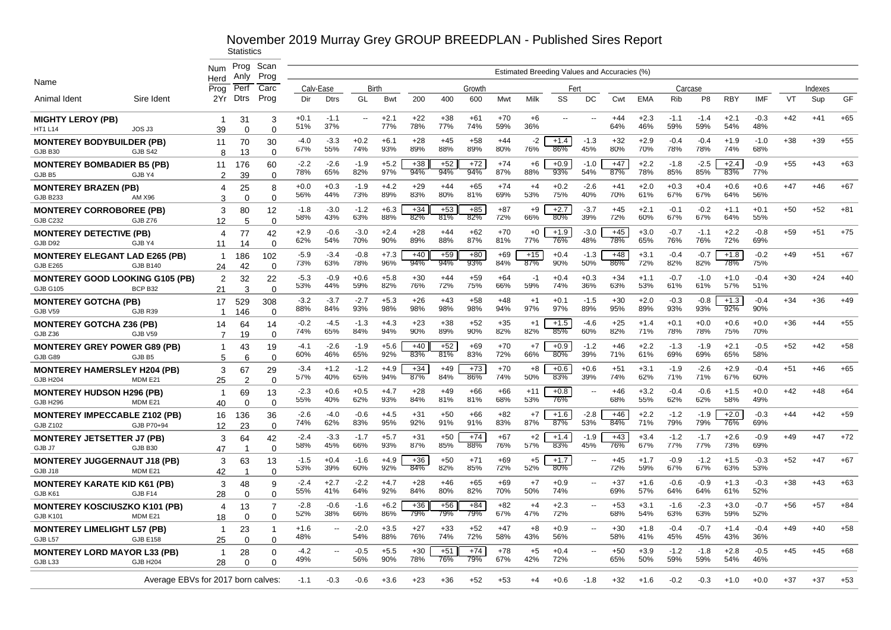|                                                         |                                    | <b>Num</b>        | Prog<br>Anly   | Scan<br>Prog    |               |                |               |               |              |              |              |              |              | Estimated Breeding Values and Accuracies (%) |                          |              |               |               |               |               |               |       |         |       |
|---------------------------------------------------------|------------------------------------|-------------------|----------------|-----------------|---------------|----------------|---------------|---------------|--------------|--------------|--------------|--------------|--------------|----------------------------------------------|--------------------------|--------------|---------------|---------------|---------------|---------------|---------------|-------|---------|-------|
| Name                                                    |                                    | Herd<br>Prog      | Perf           | Carc            |               | Calv-Ease      | Birth         |               |              |              | Growth       |              |              | Fert                                         |                          |              |               | Carcase       |               |               |               |       | Indexes |       |
| Animal Ident                                            | Sire Ident                         | 2Yr               | <b>Dtrs</b>    | Prog            | Dir           | <b>Dtrs</b>    | GL            | <b>Bwt</b>    | 200          | 400          | 600          | Mwt          | Milk         | SS                                           | DC                       | Cwt          | <b>EMA</b>    | Rib           | P8            | <b>RBY</b>    | IMF           | VT    | Sup     | GF    |
| <b>MIGHTY LEROY (PB)</b><br><b>HT1 L14</b>              | JOS J3                             | -1<br>39          | 31<br>$\Omega$ | 3<br>$\Omega$   | $+0.1$<br>51% | $-1.1$<br>37%  | $\sim$        | $+2.1$<br>77% | $+22$<br>78% | $+38$<br>77% | $+61$<br>74% | $+70$<br>59% | $+6$<br>36%  | --                                           | $\overline{a}$           | $+44$<br>64% | $+2.3$<br>46% | $-1.1$<br>59% | $-1.4$<br>59% | $+2.1$<br>54% | $-0.3$<br>48% | $+42$ | $+41$   | $+65$ |
| <b>MONTEREY BODYBUILDER (PB)</b>                        |                                    | 11                | 70             | 30              | $-4.0$        | $-3.3$         | $+0.2$        | $+6.1$        | $+28$        | $+45$<br>88% | $+58$        | $+44$        | $-2$         | $+1.4$<br>86%                                | $-1.3$                   | $+32$        | $+2.9$        | $-0.4$        | $-0.4$        | $+1.9$        | $-1.0$        | $+38$ | $+39$   | $+55$ |
| GJB B30                                                 | GJB S42                            | 8                 | 13             | $\Omega$        | 67%           | 55%            | 74%           | 93%           | 89%          |              | 89%          | 80%          | 76%          |                                              | 45%                      | 80%          | 70%           | 78%           | 78%           | 74%           | 68%           |       |         |       |
| <b>MONTEREY BOMBADIER B5 (PB)</b><br>GJB B5             | GJB Y4                             | 11<br>2           | 176<br>39      | 60<br>$\Omega$  | $-2.2$<br>78% | $-2.6$<br>65%  | $-1.9$<br>82% | $+5.2$<br>97% | $+38$<br>94% | $+52$<br>94% | $+72$<br>94% | $+74$<br>87% | $+6$<br>88%  | $+0.9$<br>93%                                | $-1.0$<br>54%            | $+47$<br>87% | $+2.2$<br>78% | $-1.8$<br>85% | $-2.5$<br>85% | $+2.4$<br>83% | $-0.9$<br>77% | $+55$ | $+43$   | $+63$ |
| <b>MONTEREY BRAZEN (PB)</b>                             |                                    | 4                 | 25             | 8               | $+0.0$        | $+0.3$         | $-1.9$        | $+4.2$        | $+29$        | $+44$        | $+65$        | $+74$        | $+4$         | $+0.2$                                       | $-2.6$                   | $+41$        | $+2.0$        | $+0.3$        | $+0.4$        | $+0.6$        | $+0.6$        | $+47$ | $+46$   | $+67$ |
| <b>GJB B233</b>                                         | AM X96                             | 3                 | $\Omega$       | $\Omega$        | 56%           | 44%            | 73%           | 89%           | 83%          | 80%          | 81%          | 69%          | 53%          | 75%                                          | 40%                      | 70%          | 61%           | 67%           | 67%           | 64%           | 56%           |       |         |       |
| <b>MONTEREY CORROBOREE (PB)</b>                         |                                    | 3                 | 80             | 12              | $-1.8$<br>58% | $-3.0$<br>43%  | $-1.2$<br>63% | $+6.3$<br>88% | $+34$<br>82% | $+53$<br>81% | $+85$<br>82% | $+87$<br>72% | $+9$<br>66%  | $+2.7$<br>80%                                | $-3.7$<br>39%            | $+45$<br>72% | $+2.1$<br>60% | $-0.1$<br>67% | $-0.2$<br>67% | $+1.1$<br>64% | $+0.1$<br>55% | $+50$ | $+52$   | $+81$ |
| <b>GJB C232</b>                                         | GJB Z76                            | 12                | 5              | $\Omega$        |               |                | $-3.0$        | $+2.4$        | $+28$        |              |              | $+70$        | $+0$         |                                              | $-3.0$                   |              | $+3.0$        |               | $-1.1$        | $+2.2$        |               |       |         | $+75$ |
| <b>MONTEREY DETECTIVE (PB)</b><br>GJB D92               | GJB Y4                             | 4<br>11           | 77<br>14       | 42<br>$\Omega$  | $+2.9$<br>62% | $-0.6$<br>54%  | 70%           | 90%           | 89%          | $+44$<br>88% | $+62$<br>87% | 81%          | 77%          | $+1.9$<br>76%                                | 48%                      | $+45$<br>78% | 65%           | $-0.7$<br>76% | 76%           | 72%           | $-0.8$<br>69% | $+59$ | +51     |       |
| <b>MONTEREY ELEGANT LAD E265 (PB)</b>                   |                                    | -1                | 186            | 102             | $-5.9$        | $-3.4$         | $-0.8$        | $+7.3$        | $+40$        | $+59$        | $+80$        | $+69$        | $+15$        | $+0.4$                                       | $-1.3$                   | $+48$        | $+3.1$        | $-0.4$        | $-0.7$        | $+1.8$        | $-0.2$        | $+49$ | $+51$   | $+67$ |
| <b>GJB E265</b>                                         | <b>GJB B140</b>                    | 24                | 42             | $\Omega$        | 73%           | 63%            | 78%           | 96%           | 94%          | 94%          | 93%          | 84%          | 87%          | 90%                                          | 50%                      | 86%          | 72%           | 82%           | 82%           | 78%           | 75%           |       |         |       |
| <b>MONTEREY GOOD LOOKING G105 (PB)</b>                  |                                    | 2                 | 32             | 22              | $-5.3$<br>53% | $-0.9$<br>44%  | $+0.6$<br>59% | $+5.8$<br>82% | $+30$<br>76% | $+44$<br>72% | $+59$<br>75% | $+64$<br>66% | $-1$<br>59%  | $+0.4$<br>74%                                | $+0.3$<br>36%            | $+34$<br>63% | $+1.1$<br>53% | $-0.7$<br>61% | $-1.0$<br>61% | $+1.0$<br>57% | $-0.4$<br>51% | $+30$ | $+24$   | $+40$ |
| <b>GJB G105</b>                                         | BCP <sub>B32</sub>                 | 21                | 3              | $\Omega$        | $-3.2$        | $-3.7$         | $-2.7$        | $+5.3$        | $+26$        | $+43$        | $+58$        | $+48$        | $+1$         | $+0.1$                                       | $-1.5$                   | $+30$        | $+2.0$        | $-0.3$        | $-0.8$        | $+1.3$        | $-0.4$        | $+34$ | $+36$   | $+49$ |
| <b>MONTEREY GOTCHA (PB)</b><br>GJB V59                  | GJB <sub>R39</sub>                 | 17<br>$\mathbf 1$ | 529<br>146     | 308<br>$\Omega$ | 88%           | 84%            | 93%           | 98%           | 98%          | 98%          | 98%          | 94%          | 97%          | 97%                                          | 89%                      | 95%          | 89%           | 93%           | 93%           | 92%           | 90%           |       |         |       |
| <b>MONTEREY GOTCHA Z36 (PB)</b>                         |                                    | 14                | 64             | 14              | $-0.2$        | $-4.5$         | $-1.3$        | $+4.3$        | $+23$        | $+38$        | $+52$        | $+35$        | $+1$         | $+1.5$                                       | $-4.6$                   | $+25$        | $+1.4$        | $+0.1$        | $+0.0$        | $+0.6$        | $+0.0$        | $+36$ | $+44$   | $+55$ |
| GJB Z36                                                 | GJB V59                            | 7                 | 19             | $\Omega$        | 74%           | 65%            | 84%           | 94%           | 90%          | 89%          | 90%          | 82%          | 82%          | 85%                                          | 60%                      | 82%          | 71%           | 78%           | 78%           | 75%           | 70%           |       |         |       |
| <b>MONTEREY GREY POWER G89 (PB)</b>                     |                                    | -1                | 43             | 19              | $-4.1$<br>60% | $-2.6$<br>46%  | $-1.9$<br>65% | $+5.6$<br>92% | $+40$<br>83% | $+52$<br>81% | $+69$<br>83% | $+70$<br>72% | $+7$<br>66%  | $+0.9$<br>80%                                | $-1.2$<br>39%            | $+46$<br>71% | $+2.2$<br>61% | $-1.3$<br>69% | $-1.9$<br>69% | $+2.1$<br>65% | $-0.5$<br>58% | $+52$ | $+42$   | $+58$ |
| GJB G89<br><b>MONTEREY HAMERSLEY H204 (PB)</b>          | GJB B5                             | 5                 | 6<br>67        | $\Omega$<br>29  | $-3.4$        | $+1.2$         | $-1.2$        | $+4.9$        | $+34$        | $+49$        | $+73$        | $+70$        | +8           | $+0.6$                                       | $+0.6$                   | $+51$        | $+3.1$        | $-1.9$        | $-2.6$        | $+2.9$        | $-0.4$        | $+51$ | $+46$   | $+65$ |
| <b>GJB H204</b>                                         | MDM E21                            | 3<br>25           | 2              | $\Omega$        | 57%           | 40%            | 65%           | 94%           | 87%          | 84%          | 86%          | 74%          | 50%          | 83%                                          | 39%                      | 74%          | 62%           | 71%           | 71%           | 67%           | 60%           |       |         |       |
| <b>MONTEREY HUDSON H296 (PB)</b>                        |                                    | $\overline{1}$    | 69             | 13              | -2.3<br>55%   | $+0.6$<br>40%  | $+0.5$<br>62% | $+4.7$<br>93% | $+28$<br>84% | $+49$<br>81% | +66<br>81%   | $+66$<br>68% | $+11$<br>53% | $+0.8$<br>76%                                | $\sim$ $\sim$            | +46<br>68%   | $+3.2$<br>55% | $-0.4$<br>62% | $-0.6$<br>62% | $+1.5$<br>58% | $+0.0$<br>49% | $+42$ | $+48$   | $+64$ |
| <b>GJB H296</b>                                         | MDM E21                            | 40                | $\Omega$       | $\Omega$        | $-2.6$        | $-4.0$         | $-0.6$        | $+4.5$        | $+31$        | $+50$        | +66          | $+82$        | $+7$         | $+1.6$                                       | $-2.8$                   | $+46$        | $+2.2$        | $-1.2$        | $-1.9$        | $+2.0$        | $-0.3$        | $+44$ | +42     | $+59$ |
| <b>MONTEREY IMPECCABLE Z102 (PB)</b><br><b>GJB Z102</b> | GJB P70+94                         | 16<br>12          | 136<br>23      | 36<br>$\Omega$  | 74%           | 62%            | 83%           | 95%           | 92%          | 91%          | 91%          | 83%          | 87%          | 87%                                          | 53%                      | 84%          | 71%           | 79%           | 79%           | 76%           | 69%           |       |         |       |
| <b>MONTEREY JETSETTER J7 (PB)</b>                       |                                    | 3                 | 64             | 42              | $-2.4$        | $-3.3$         | $-1.7$        | $+5.7$        | $+31$        | $+50$        | $+74$        | $+67$        | $+2$         | $+1.4$                                       | $-1.9$                   | $+43$        | $+3.4$        | $-1.2$        | $-1.7$        | $+2.6$        | $-0.9$        | $+49$ | $+47$   | $+72$ |
| GJB J7                                                  | GJB B30                            | 47                | -1             | $\Omega$        | 58%           | 45%            | 66%           | 93%           | 87%          | 85%          | 88%          | 76%          | 57%          | 83%                                          | 45%                      | 76%          | 67%           | 77%           | 77%           | 73%           | 69%           |       |         |       |
| <b>MONTEREY JUGGERNAUT J18 (PB)</b><br>GJB J18          | MDM E21                            | 3<br>42           | 63             | 13<br>$\Omega$  | $-1.5$<br>53% | $+0.4$<br>39%  | $-1.6$<br>60% | $+4.9$<br>92% | $+36$<br>84% | $+50$<br>82% | $+71$<br>85% | $+69$<br>72% | $+5$<br>52%  | $+1.7$<br>$80\%$                             | $\overline{\phantom{a}}$ | $+45$<br>72% | $+1.7$<br>59% | $-0.9$<br>67% | $-1.2$<br>67% | $+1.5$<br>63% | $-0.3$<br>53% | $+52$ | $+47$   | $+67$ |
| <b>MONTEREY KARATE KID K61 (PB)</b>                     |                                    | 3                 | 48             | 9               | $-2.4$<br>55% | $+2.7$<br>41%  | $-2.2$<br>64% | $+4.7$<br>92% | $+28$<br>84% | $+46$<br>80% | $+65$<br>82% | $+69$<br>70% | $+7$<br>50%  | $+0.9$<br>74%                                | $\overline{\phantom{a}}$ | $+37$<br>69% | $+1.6$<br>57% | $-0.6$<br>64% | $-0.9$<br>64% | $+1.3$<br>61% | $-0.3$<br>52% | $+38$ | $+43$   | $+63$ |
| GJB K61                                                 | GJB F14                            | 28                | $\Omega$       | $\Omega$        | $-2.8$        | $-0.6$         | $-1.6$        | $+6.2$        | $+36$        | $+56$        | $+84$        | $+82$        | $+4$         | $+2.3$                                       | $\sim$ $\sim$            | $+53$        | $+3.1$        | $-1.6$        | $-2.3$        | $+3.0$        | $-0.7$        | $+56$ | $+57$   | $+84$ |
| <b>MONTEREY KOSCIUSZKO K101 (PB)</b><br><b>GJB K101</b> | MDM E21                            | 4<br>18           | 13<br>$\Omega$ | $\Omega$        | 52%           | 38%            | 66%           | 86%           | 79%          | 79%          | 79%          | 67%          | 47%          | 72%                                          |                          | 68%          | 54%           | 63%           | 63%           | 59%           | 52%           |       |         |       |
| <b>MONTEREY LIMELIGHT L57 (PB)</b>                      |                                    | -1                | 23             | -1              | $+1.6$        | Ξ.             | $-2.0$        | $+3.5$        | $+27$        | $+33$        | $+52$        | $+47$        | $+8$         | $+0.9$                                       | $\sim$ $\sim$            | $+30$        | $+1.8$        | $-0.4$        | $-0.7$        | $+1.4$        | $-0.4$        | $+49$ | $+40$   | $+58$ |
| GJB L57                                                 | <b>GJB E158</b>                    | 25                | $\mathbf 0$    | $\Omega$        | 48%           |                | 54%           | 88%           | 76%          | 74%          | 72%          | 58%          | 43%          | 56%                                          |                          | 58%          | 41%           | 45%           | 45%           | 43%           | 36%           |       |         |       |
| <b>MONTEREY LORD MAYOR L33 (PB)</b>                     |                                    | -1                | 28             | $\Omega$        | $-4.2$<br>49% | $\overline{a}$ | $-0.5$<br>56% | $+5.5$<br>90% | $+30$<br>78% | $+51$<br>76% | $+74$<br>79% | $+78$<br>67% | $+5$<br>42%  | $+0.4$<br>72%                                |                          | $+50$<br>65% | $+3.9$<br>50% | $-1.2$<br>59% | $-1.8$<br>59% | $+2.8$<br>54% | $-0.5$<br>46% | $+45$ | $+45$   | $+68$ |
| GJB <sub>L33</sub>                                      | <b>GJB H204</b>                    | 28                | $\Omega$       | n               |               |                |               |               |              |              |              |              |              |                                              |                          |              |               |               |               |               |               |       |         |       |
|                                                         | Average EBVs for 2017 born calves: |                   |                |                 | $-1.1$        | $-0.3$         | -0.6          | $+3.6$        | +23          | +36          | +52          | $+53$        | +4           | $+0.6$                                       | -1.8                     | +32          | $+1.6$        | $-0.2$        | $-0.3$        | $+1.0$        | $+0.0$        | +37   | +37     | $+53$ |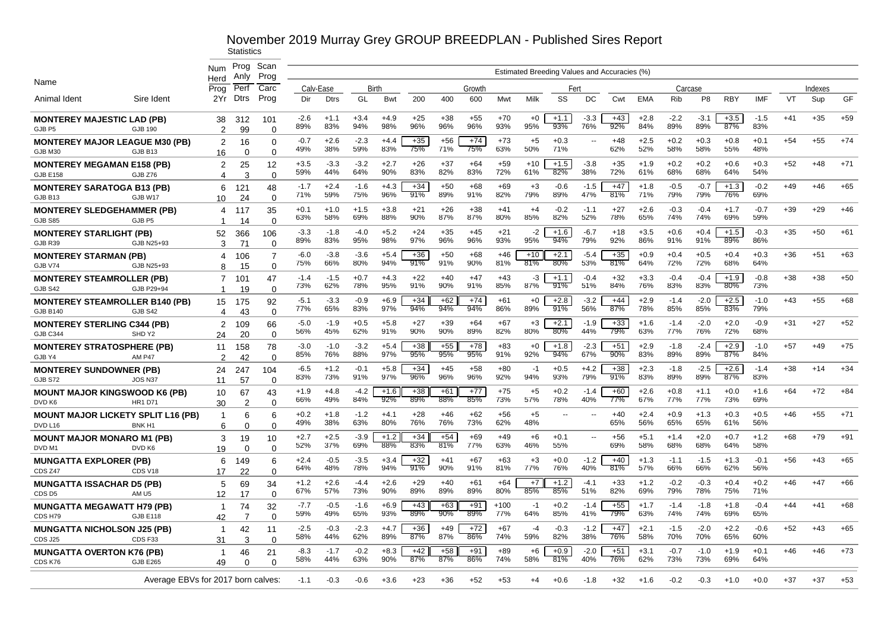|                                                                 |                                    | Num                  | Prog<br>Anly         | Scan<br>Prog               |               |               |               |               |              |              |              |               |              |               |               | Estimated Breeding Values and Accuracies (%) |               |               |                |               |               |       |         |       |
|-----------------------------------------------------------------|------------------------------------|----------------------|----------------------|----------------------------|---------------|---------------|---------------|---------------|--------------|--------------|--------------|---------------|--------------|---------------|---------------|----------------------------------------------|---------------|---------------|----------------|---------------|---------------|-------|---------|-------|
| Name                                                            |                                    | Herd<br>Prog         | Perf                 | Carc                       |               | Calv-Ease     | Birth         |               |              |              | Growth       |               |              | Fert          |               |                                              |               | Carcase       |                |               |               |       | Indexes |       |
| Animal Ident                                                    | Sire Ident                         | 2Yr                  | <b>Dtrs</b>          | Prog                       | Dir           | <b>Dtrs</b>   | GL            | Bwt           | 200          | 400          | 600          | Mwt           | Milk         | SS            | DC            | Cwt                                          | <b>EMA</b>    | Rib           | P <sub>8</sub> | <b>RBY</b>    | <b>IMF</b>    | VT    | Sup     | GF    |
| <b>MONTEREY MAJESTIC LAD (PB)</b><br>GJB P5                     | GJB 190                            | 38<br>$\overline{2}$ | 312<br>99            | 101<br>$\Omega$            | $-2.6$<br>89% | $+1.1$<br>83% | $+3.4$<br>94% | $+4.9$<br>98% | $+25$<br>96% | $+38$<br>96% | $+55$<br>96% | $+70$<br>93%  | $+0$<br>95%  | $+1.1$<br>93% | $-3.3$<br>76% | $+43$<br>92%                                 | $+2.8$<br>84% | $-2.2$<br>89% | $-3.1$<br>89%  | $+3.5$<br>87% | $-1.5$<br>83% | $+41$ | $+35$   | $+59$ |
| <b>MONTEREY MAJOR LEAGUE M30 (PB)</b><br>GJB M30                | GJB B13                            | 2<br>16              | 16<br>$\Omega$       | $\Omega$<br>$\Omega$       | $-0.7$<br>49% | $+2.6$<br>38% | $-2.3$<br>59% | $+4.4$<br>83% | $+35$<br>75% | $+56$<br>71% | $+74$<br>75% | $+73$<br>63%  | $+5$<br>50%  | $+0.3$<br>71% |               | $+48$<br>62%                                 | $+2.5$<br>52% | $+0.2$<br>58% | $+0.3$<br>58%  | $+0.8$<br>55% | $+0.1$<br>48% | $+54$ | $+55$   | $+74$ |
| <b>MONTEREY MEGAMAN E158 (PB)</b><br><b>GJB E158</b>            | GJB Z76                            | 2<br>4               | 25<br>3              | 12<br>$\Omega$             | $+3.5$<br>59% | $-3.3$<br>44% | $-3.2$<br>64% | $+2.7$<br>90% | $+26$<br>83% | $+37$<br>82% | $+64$<br>83% | $+59$<br>72%  | $+10$<br>61% | $+1.5$<br>82% | $-3.8$<br>38% | $+35$<br>72%                                 | $+1.9$<br>61% | $+0.2$<br>68% | $+0.2$<br>68%  | $+0.6$<br>64% | $+0.3$<br>54% | $+52$ | $+48$   | $+71$ |
| <b>MONTEREY SARATOGA B13 (PB)</b><br>GJB B13                    | GJB W17                            | 6<br>10              | 121<br>24            | 48<br>$\Omega$             | $-1.7$<br>71% | $+2.4$<br>59% | $-1.6$<br>75% | $+4.3$<br>96% | $+34$<br>91% | $+50$<br>89% | +68<br>91%   | $+69$<br>82%  | $+3$<br>79%  | $-0.6$<br>89% | $-1.5$<br>47% | $+47$<br>81%                                 | $+1.8$<br>71% | $-0.5$<br>79% | $-0.7$<br>79%  | $+1.3$<br>76% | $-0.2$<br>69% | $+49$ | $+46$   | $+65$ |
| <b>MONTEREY SLEDGEHAMMER (PB)</b><br><b>GJB S85</b>             | GJB P5                             | 4<br>-1              | 117<br>14            | 35<br>$\Omega$             | $+0.1$<br>63% | $+1.0$<br>58% | $+1.5$<br>69% | $+3.8$<br>88% | $+21$<br>90% | $+26$<br>87% | $+38$<br>87% | $+41$<br>80%  | $+4$<br>85%  | $-0.2$<br>82% | $-1.1$<br>52% | $+27$<br>78%                                 | $+2.6$<br>65% | $-0.3$<br>74% | $-0.4$<br>74%  | $+1.7$<br>69% | $-0.7$<br>59% | $+39$ | $+29$   | $+46$ |
| <b>MONTEREY STARLIGHT (PB)</b><br>GJB <sub>R39</sub>            | GJB N25+93                         | 52<br>3              | 366<br>71            | 106<br>$\Omega$            | $-3.3$<br>89% | $-1.8$<br>83% | $-4.0$<br>95% | $+5.2$<br>98% | $+24$<br>97% | $+35$<br>96% | $+45$<br>96% | $+21$<br>93%  | $-2$<br>95%  | $+1.6$<br>94% | $-6.7$<br>79% | $+18$<br>92%                                 | $+3.5$<br>86% | $+0.6$<br>91% | $+0.4$<br>91%  | $+1.5$<br>89% | $-0.3$<br>86% | $+35$ | $+50$   | $+61$ |
| <b>MONTEREY STARMAN (PB)</b><br>GJB V74                         | GJB N25+93                         | 4<br>8               | 106<br>15            | $\overline{7}$<br>$\Omega$ | $-6.0$<br>75% | $-3.8$<br>66% | $-3.6$<br>80% | $+5.4$<br>94% | $+36$<br>91% | $+50$<br>91% | $+68$<br>90% | $+46$<br>81%  | $+10$<br>81% | $+2.1$<br>80% | $-5.4$<br>53% | $+35$<br>81%                                 | $+0.9$<br>64% | $+0.4$<br>72% | $+0.5$<br>72%  | $+0.4$<br>68% | $+0.3$<br>64% | $+36$ | $+51$   | $+63$ |
| <b>MONTEREY STEAMROLLER (PB)</b><br>GJB S42                     | GJB P29+94                         | 7<br>-1              | 101<br>19            | 47<br>$\Omega$             | $-1.4$<br>73% | $-1.5$<br>62% | $+0.7$<br>78% | $+4.3$<br>95% | $+22$<br>91% | $+40$<br>90% | $+47$<br>91% | $+43$<br>85%  | -3<br>87%    | $+1.1$<br>91% | $-0.4$<br>51% | $+32$<br>84%                                 | $+3.3$<br>76% | $-0.4$<br>83% | $-0.4$<br>83%  | $+1.9$<br>80% | $-0.8$<br>73% | $+38$ | $+38$   | $+50$ |
| <b>MONTEREY STEAMROLLER B140 (PB)</b><br><b>GJB B140</b>        | GJB S42                            | 15<br>4              | 175<br>43            | 92<br>$\Omega$             | $-5.1$<br>77% | $-3.3$<br>65% | $-0.9$<br>83% | $+6.9$<br>97% | $+34$<br>94% | $+62$<br>94% | $+74$<br>94% | $+61$<br>86%  | $+0$<br>89%  | $+2.8$<br>91% | $-3.2$<br>56% | $+44$<br>87%                                 | $+2.9$<br>78% | $-1.4$<br>85% | $-2.0$<br>85%  | $+2.5$<br>83% | $-1.0$<br>79% | $+43$ | $+55$   | $+68$ |
| <b>MONTEREY STERLING C344 (PB)</b><br><b>GJB C344</b>           | SHD Y2                             | 2<br>24              | 109<br>20            | 66<br>$\Omega$             | $-5.0$<br>56% | $-1.9$<br>45% | $+0.5$<br>62% | $+5.8$<br>91% | $+27$<br>90% | $+39$<br>90% | $+64$<br>89% | $+67$<br>82%  | $+3$<br>80%  | $+2.1$<br>80% | $-1.9$<br>44% | $+33$<br>79%                                 | $+1.6$<br>63% | $-1.4$<br>77% | $-2.0$<br>76%  | $+2.0$<br>72% | $-0.9$<br>68% | $+31$ | $+27$   | $+52$ |
| <b>MONTEREY STRATOSPHERE (PB)</b><br>GJB Y4                     | <b>AM P47</b>                      | 11<br>2              | 158<br>42            | 78<br>$\Omega$             | $-3.0$<br>85% | $-1.0$<br>76% | $-3.2$<br>88% | $+5.4$<br>97% | $+38$<br>95% | $+55$<br>95% | $+78$<br>95% | $+83$<br>91%  | $+0$<br>92%  | $+1.8$<br>94% | $-2.3$<br>67% | $+51$<br>90%                                 | $+2.9$<br>83% | $-1.8$<br>89% | $-2.4$<br>89%  | $+2.9$<br>87% | $-1.0$<br>84% | $+57$ | $+49$   | $+75$ |
| <b>MONTEREY SUNDOWNER (PB)</b><br>GJB S72                       | JOS N <sub>37</sub>                | 24<br>11             | 247<br>57            | 104<br>$\Omega$            | $-6.5$<br>83% | $+1.2$<br>73% | $-0.1$<br>91% | $+5.8$<br>97% | $+34$<br>96% | $+45$<br>96% | $+58$<br>96% | $+80$<br>92%  | $-1$<br>94%  | $+0.5$<br>93% | $+4.2$<br>79% | $+38$<br>91%                                 | $+2.3$<br>83% | $-1.8$<br>89% | $-2.5$<br>89%  | $+2.6$<br>87% | $-1.4$<br>83% | $+38$ | $+14$   | $+34$ |
| <b>MOUNT MAJOR KINGSWOOD K6 (PB)</b><br>DVD K6                  | <b>HR1 D71</b>                     | 10<br>30             | 67<br>$\overline{2}$ | 43<br>$\Omega$             | $+1.9$<br>66% | $+4.8$<br>49% | $-4.2$<br>84% | $+1.6$<br>92% | $+38$<br>89% | $+61$<br>88% | $+77$<br>85% | $+75$<br>73%  | $+5$<br>57%  | $+0.2$<br>78% | $-1.4$<br>40% | $+60$<br>77%                                 | $+2.6$<br>67% | $+0.8$<br>77% | $+1.1$<br>77%  | $+0.0$<br>73% | $+1.6$<br>69% | $+64$ | $+72$   | $+84$ |
| <b>MOUNT MAJOR LICKETY SPLIT L16 (PB)</b><br>DVD <sub>L16</sub> | BNK <sub>H1</sub>                  | -1<br>6              | 6<br>$\Omega$        | 6<br>$\Omega$              | $+0.2$<br>49% | $+1.8$<br>38% | $-1.2$<br>63% | $+4.1$<br>80% | $+28$<br>76% | $+46$<br>76% | $+62$<br>73% | $+56$<br>62%  | $+5$<br>48%  | --            |               | $+40$<br>65%                                 | $+2.4$<br>56% | $+0.9$<br>65% | $+1.3$<br>65%  | $+0.3$<br>61% | $+0.5$<br>56% | $+46$ | $+55$   | $+71$ |
| <b>MOUNT MAJOR MONARO M1 (PB)</b><br>DVD <sub>M1</sub>          | DVD K6                             | 3<br>19              | 19<br>$\Omega$       | 10<br>$\Omega$             | $+2.7$<br>52% | $+2.5$<br>37% | $-3.9$<br>69% | $+1.2$<br>88% | $+34$<br>83% | $+54$<br>81% | +69<br>77%   | +49<br>63%    | $+6$<br>46%  | $+0.1$<br>55% |               | $+56$<br>69%                                 | $+5.1$<br>58% | $+1.4$<br>68% | $+2.0$<br>68%  | $+0.7$<br>64% | $+1.2$<br>58% | +68   | $+79$   | $+91$ |
| <b>MUNGATTA EXPLORER (PB)</b><br>CDS <sub>Z47</sub>             | CDS V <sub>18</sub>                | 6<br>17              | 149<br>22            | 6<br>$\Omega$              | $+2.4$<br>64% | $-0.5$<br>48% | $-3.5$<br>78% | $+3.4$<br>94% | $+32$<br>91% | $+41$<br>90% | $+67$<br>91% | $+63$<br>81%  | $+3$<br>77%  | $+0.0$<br>76% | $-1.2$<br>40% | $+40$<br>81%                                 | $+1.3$<br>57% | $-1.1$<br>66% | $-1.5$<br>66%  | $+1.3$<br>62% | $-0.1$<br>56% | $+56$ | $+43$   | $+65$ |
| <b>MUNGATTA ISSACHAR D5 (PB)</b><br>CDS <sub>D5</sub>           | AM <sub>U5</sub>                   | 5<br>12              | 69<br>17             | 34<br>$\mathbf 0$          | $+1.2$<br>67% | $+2.6$<br>57% | $-4.4$<br>73% | $+2.6$<br>90% | $+29$<br>89% | $+40$<br>89% | $+61$<br>89% | $+64$<br>80%  | $+7$<br>85%  | $+1.2$<br>85% | $-4.1$<br>51% | $+33$<br>82%                                 | $+1.2$<br>69% | $-0.2$<br>79% | $-0.3$<br>78%  | $+0.4$<br>75% | $+0.2$<br>71% | $+46$ | $+47$   | $+66$ |
| <b>MUNGATTA MEGAWATT H79 (PB)</b><br>CDS H79                    | <b>GJB E118</b>                    | -1<br>42             | 74<br>7              | 32<br>$\Omega$             | $-7.7$<br>59% | $-0.5$<br>49% | $-1.6$<br>65% | $+6.9$<br>93% | $+43$<br>89% | $+63$<br>90% | $+91$<br>89% | $+100$<br>77% | -1<br>64%    | $+0.2$<br>85% | $-1.4$<br>41% | $+55$<br>79%                                 | $+1.7$<br>63% | $-1.4$<br>74% | $-1.8$<br>74%  | $+1.8$<br>69% | $-0.4$<br>65% | $+44$ | $+41$   | $+68$ |
| <b>MUNGATTA NICHOLSON J25 (PB)</b><br>CDS J25                   | CDS <sub>F33</sub>                 | $\overline{1}$<br>31 | 42<br>3              | 11<br>$\Omega$             | $-2.5$<br>58% | $-0.3$<br>44% | $-2.3$<br>62% | $+4.7$<br>89% | $+36$<br>87% | $+49$<br>87% | $+72$<br>86% | $+67$<br>74%  | $-4$<br>59%  | $-0.3$<br>82% | $-1.2$<br>38% | $+47$<br>76%                                 | $+2.1$<br>58% | $-1.5$<br>70% | $-2.0$<br>70%  | $+2.2$<br>65% | $-0.6$<br>60% | $+52$ | $+43$   | $+65$ |
| <b>MUNGATTA OVERTON K76 (PB)</b><br>CDS K76                     | <b>GJB E265</b>                    | -1<br>49             | 46<br>$\Omega$       | 21<br>$\Omega$             | $-8.3$<br>58% | $-1.7$<br>44% | $-0.2$<br>63% | $+8.3$<br>90% | $+42$<br>87% | $+58$<br>87% | $+91$<br>86% | $+89$<br>74%  | $+6$<br>58%  | $+0.9$<br>81% | $-2.0$<br>40% | $+51$<br>76%                                 | $+3.1$<br>62% | $-0.7$<br>73% | $-1.0$<br>73%  | $+1.9$<br>69% | $+0.1$<br>64% | $+46$ | $+46$   | $+73$ |
|                                                                 | Average EBVs for 2017 born calves: |                      |                      |                            | $-1.1$        | -0.3          | -0.6          | $+3.6$        | $+23$        | $+36$        | $+52$        | $+53$         | $+4$         | $+0.6$        | $-1.8$        | $+32$                                        | $+1.6$        | $-0.2$        | $-0.3$         | $+1.0$        | $+0.0$        | $+37$ | $+37$   | $+53$ |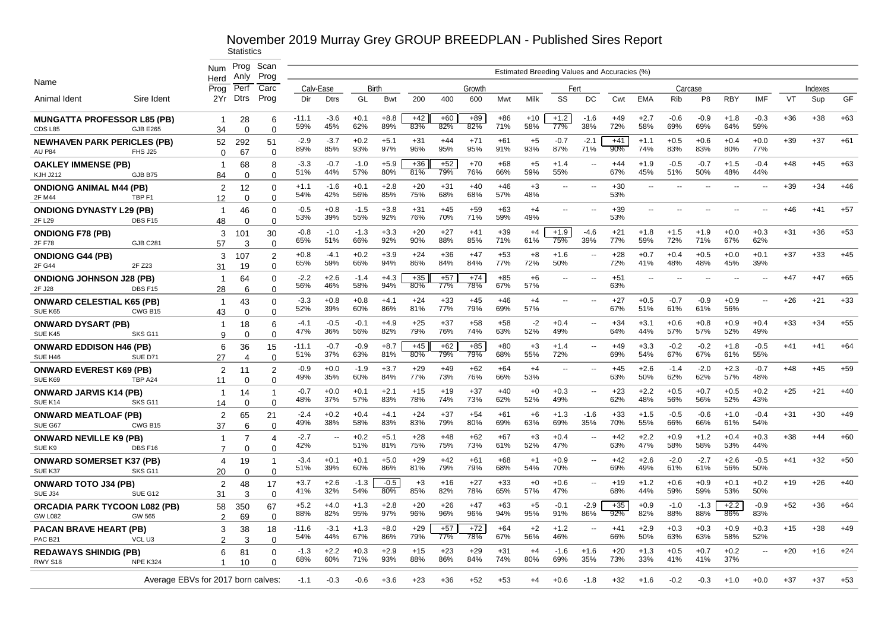|                                                          |                    | Num                                | Prog<br>Anlv         | Scan<br>Prog               |                |               |               |               |              |              |              |              |              |               |                          | Estimated Breeding Values and Accuracies (%) |                          |               |                |                          |                          |       |         |       |
|----------------------------------------------------------|--------------------|------------------------------------|----------------------|----------------------------|----------------|---------------|---------------|---------------|--------------|--------------|--------------|--------------|--------------|---------------|--------------------------|----------------------------------------------|--------------------------|---------------|----------------|--------------------------|--------------------------|-------|---------|-------|
| Name                                                     |                    | Herd<br>Prog                       | Perf                 | Carc                       |                | Calv-Ease     | Birth         |               |              |              | Growth       |              |              | Fert          |                          |                                              |                          | Carcase       |                |                          |                          |       | Indexes |       |
| Animal Ident                                             | Sire Ident         | 2Yr                                | Dtrs                 | Prog                       | Dir            | <b>Dtrs</b>   | GL            | <b>Bwt</b>    | 200          | 400          | 600          | Mwt          | Milk         | SS            | DC                       | Cwt                                          | <b>EMA</b>               | Rib           | P <sub>8</sub> | RBY                      | <b>IMF</b>               | VT    | Sup     | GF    |
| <b>MUNGATTA PROFESSOR L85 (PB)</b><br>CDS <sub>L85</sub> | <b>GJB E265</b>    | -1<br>34                           | 28<br>$\Omega$       | 6<br>$\Omega$              | -11.1<br>59%   | $-3.6$<br>45% | $+0.1$<br>62% | $+8.8$<br>89% | $+42$<br>83% | $+60$<br>82% | $+89$<br>82% | $+86$<br>71% | $+10$<br>58% | $+1.2$<br>77% | $-1.6$<br>38%            | $+49$<br>72%                                 | $+2.7$<br>58%            | $-0.6$<br>69% | $-0.9$<br>69%  | $+1.8$<br>64%            | $-0.3$<br>59%            | $+36$ | $+38$   | $+63$ |
| <b>NEWHAVEN PARK PERICLES (PB)</b><br><b>AU P84</b>      | FHS J25            | 52<br>$\Omega$                     | 292<br>67            | 51<br>$\Omega$             | $-2.9$<br>89%  | $-3.7$<br>85% | $+0.2$<br>93% | $+5.1$<br>97% | $+31$<br>96% | $+44$<br>95% | $+71$<br>95% | $+61$<br>91% | $+5$<br>93%  | $-0.7$<br>87% | $-2.1$<br>71%            | $+41$<br>90%                                 | $+1.1$<br>74%            | $+0.5$<br>83% | $+0.6$<br>83%  | $+0.4$<br>80%            | $+0.0$<br>77%            | $+39$ | $+37$   | $+61$ |
| <b>OAKLEY IMMENSE (PB)</b><br><b>KJH J212</b>            | GJB B75            | -1<br>84                           | 68<br>$\Omega$       | 8<br>$\Omega$              | $-3.3$<br>51%  | $-0.7$<br>44% | $-1.0$<br>57% | $+5.9$<br>80% | $+36$<br>81% | $+52$<br>79% | $+70$<br>76% | $+68$<br>66% | $+5$<br>59%  | $+1.4$<br>55% |                          | $+44$<br>67%                                 | $+1.9$<br>45%            | $-0.5$<br>51% | $-0.7$<br>50%  | $+1.5$<br>48%            | $-0.4$<br>44%            | $+48$ | $+45$   | $+63$ |
| <b>ONDIONG ANIMAL M44 (PB)</b><br>2F M44                 | TBP <sub>F1</sub>  | 2<br>12                            | 12<br>$\Omega$       | $\Omega$<br>$\Omega$       | $+1.1$<br>54%  | $-1.6$<br>42% | $+0.1$<br>56% | $+2.8$<br>85% | $+20$<br>75% | $+31$<br>68% | +40<br>68%   | $+46$<br>57% | $+3$<br>48%  | $-$           |                          | $+30$<br>53%                                 | --                       |               |                |                          |                          | $+39$ | $+34$   | $+46$ |
| <b>ONDIONG DYNASTY L29 (PB)</b><br>2F L29                | DBS F15            | -1<br>48                           | 46<br>$\Omega$       | $\Omega$<br>$\Omega$       | $-0.5$<br>53%  | $+0.8$<br>39% | $-1.5$<br>55% | $+3.8$<br>92% | $+31$<br>76% | $+45$<br>70% | $+59$<br>71% | $+63$<br>59% | $+4$<br>49%  | --            | $\overline{a}$           | $+39$<br>53%                                 | $\overline{\phantom{a}}$ | ٠.            |                | $\overline{\phantom{a}}$ | -−                       | $+46$ | $+41$   | $+57$ |
| <b>ONDIONG F78 (PB)</b><br>2F F78                        | <b>GJB C281</b>    | 3<br>57                            | 101<br>3             | 30<br>$\Omega$             | $-0.8$<br>65%  | $-1.0$<br>51% | $-1.3$<br>66% | $+3.3$<br>92% | $+20$<br>90% | $+27$<br>88% | $+41$<br>85% | $+39$<br>71% | $+4$<br>61%  | $+1.9$<br>75% | -4.6<br>39%              | $+21$<br>77%                                 | $+1.8$<br>59%            | $+1.5$<br>72% | $+1.9$<br>71%  | $+0.0$<br>67%            | $+0.3$<br>62%            | $+31$ | $+36$   | $+53$ |
| <b>ONDIONG G44 (PB)</b><br>2F G44                        | 2F Z23             | 3<br>31                            | 107<br>19            | 2<br>$\Omega$              | $+0.8$<br>65%  | $-4.1$<br>59% | $+0.2$<br>66% | $+3.9$<br>94% | $+24$<br>86% | $+36$<br>84% | +47<br>84%   | $+53$<br>77% | +8<br>72%    | $+1.6$<br>50% |                          | +28<br>72%                                   | $+0.7$<br>41%            | $+0.4$<br>48% | $+0.5$<br>48%  | $+0.0$<br>45%            | $+0.1$<br>39%            | $+37$ | $+33$   | $+45$ |
| <b>ONDIONG JOHNSON J28 (PB)</b><br>2F J28                | DBS F15            | $\mathbf 1$<br>28                  | 64<br>6              | $\Omega$<br>$\Omega$       | $-2.2$<br>56%  | $+2.6$<br>46% | $-1.4$<br>58% | $+4.3$<br>94% | $+35$<br>80% | $+57$<br>77% | $+74$<br>78% | $+85$<br>67% | $+6$<br>57%  | --            |                          | $+51$<br>63%                                 | --                       |               |                |                          |                          | $+47$ | $+47$   | $+65$ |
| <b>ONWARD CELESTIAL K65 (PB)</b><br>SUE K65              | CWG B15            | $\mathbf 1$<br>43                  | 43<br>$\Omega$       | $\Omega$<br>$\Omega$       | $-3.3$<br>52%  | $+0.8$<br>39% | $+0.8$<br>60% | $+4.1$<br>86% | $+24$<br>81% | $+33$<br>77% | +45<br>79%   | $+46$<br>69% | $+4$<br>57%  | $-$           |                          | $+27$<br>67%                                 | $+0.5$<br>51%            | $-0.7$<br>61% | $-0.9$<br>61%  | $+0.9$<br>56%            | $\overline{\phantom{a}}$ | $+26$ | $+21$   | $+33$ |
| <b>ONWARD DYSART (PB)</b><br>SUE K45                     | SKS G11            | -1<br>9                            | 18<br>$\Omega$       | 6<br>$\Omega$              | $-4.1$<br>47%  | $-0.5$<br>36% | $-0.1$<br>56% | $+4.9$<br>82% | $+25$<br>79% | $+37$<br>76% | +58<br>74%   | $+58$<br>63% | -2<br>52%    | $+0.4$<br>49% | $\overline{\phantom{a}}$ | $+34$<br>64%                                 | $+3.1$<br>44%            | $+0.6$<br>57% | $+0.8$<br>57%  | $+0.9$<br>52%            | $+0.4$<br>49%            | $+33$ | $+34$   | $+55$ |
| <b>ONWARD EDDISON H46 (PB)</b><br>SUE H46                | SUE D71            | 6<br>27                            | 36<br>$\overline{4}$ | 15<br>$\Omega$             | $-11.1$<br>51% | $-0.7$<br>37% | $-0.9$<br>63% | $+8.7$<br>81% | $+45$<br>80% | $+62$<br>79% | $+85$<br>79% | $+80$<br>68% | $+3$<br>55%  | $+1.4$<br>72% | $\overline{\phantom{a}}$ | $+49$<br>69%                                 | $+3.3$<br>54%            | $-0.2$<br>67% | $-0.2$<br>67%  | $+1.8$<br>61%            | $-0.5$<br>55%            | $+41$ | $+41$   | $+64$ |
| <b>ONWARD EVEREST K69 (PB)</b><br>SUE K69                | TBP A24            | 2<br>11                            | 11<br>$\Omega$       | $\overline{2}$<br>$\Omega$ | $-0.9$<br>49%  | $+0.0$<br>35% | $-1.9$<br>60% | $+3.7$<br>84% | $+29$<br>77% | $+49$<br>73% | $+62$<br>76% | $+64$<br>66% | $+4$<br>53%  | $-$           | $\overline{\phantom{a}}$ | $+45$<br>63%                                 | $+2.6$<br>50%            | $-1.4$<br>62% | $-2.0$<br>62%  | $+2.3$<br>57%            | $-0.7$<br>48%            | $+48$ | $+45$   | $+59$ |
| <b>ONWARD JARVIS K14 (PB)</b><br>SUE K14                 | SKS G11            | $\mathbf 1$<br>14                  | 14<br>$\Omega$       | $\Omega$                   | $-0.7$<br>48%  | $+0.0$<br>37% | $+0.1$<br>57% | $+2.1$<br>83% | $+15$<br>78% | $+19$<br>74% | $+37$<br>73% | $+40$<br>62% | $+0$<br>52%  | $+0.3$<br>49% |                          | $+23$<br>62%                                 | $+2.2$<br>48%            | $+0.5$<br>56% | $+0.7$<br>56%  | $+0.5$<br>52%            | $+0.2$<br>43%            | $+25$ | $+21$   | $+40$ |
| <b>ONWARD MEATLOAF (PB)</b><br>SUE G67                   | CWG B15            | 2<br>37                            | 65<br>6              | 21<br>$\Omega$             | $-2.4$<br>49%  | $+0.2$<br>38% | $+0.4$<br>58% | $+4.1$<br>83% | $+24$<br>83% | $+37$<br>79% | $+54$<br>80% | $+61$<br>69% | +6<br>63%    | $+1.3$<br>69% | $-1.6$<br>35%            | $+33$<br>70%                                 | $+1.5$<br>55%            | $-0.5$<br>66% | $-0.6$<br>66%  | $+1.0$<br>61%            | $-0.4$<br>54%            | $+31$ | $+30$   | $+49$ |
| <b>ONWARD NEVILLE K9 (PB)</b><br>SUE K9                  | DBS F16            | -1<br>$\overline{7}$               | 7<br>$\Omega$        | 4<br>$\Omega$              | $-2.7$<br>42%  | ٠.            | $+0.2$<br>51% | $+5.1$<br>81% | $+28$<br>75% | $+48$<br>75% | $+62$<br>73% | $+67$<br>61% | $+3$<br>52%  | $+0.4$<br>47% |                          | $+42$<br>63%                                 | $+2.2$<br>47%            | $+0.9$<br>58% | $+1.2$<br>58%  | $+0.4$<br>53%            | $+0.3$<br>44%            | $+38$ | $+44$   | $+60$ |
| <b>ONWARD SOMERSET K37 (PB)</b><br>SUE K37               | SKS <sub>G11</sub> | 4<br>20                            | 19<br>0              | 0                          | $-3.4$<br>51%  | $+0.1$<br>39% | $+0.1$<br>60% | $+5.0$<br>86% | $+29$<br>81% | $+42$<br>79% | $+61$<br>79% | $+68$<br>68% | $+1$<br>54%  | $+0.9$<br>70% | $\overline{\phantom{a}}$ | $+42$<br>69%                                 | $+2.6$<br>49%            | $-2.0$<br>61% | $-2.7$<br>61%  | $+2.6$<br>56%            | $-0.5$<br>50%            | $+41$ | $+32$   | $+50$ |
| <b>ONWARD TOTO J34 (PB)</b><br>SUE J34                   | SUE G12            | 2<br>31                            | 48<br>3              | 17<br>$\Omega$             | $+3.7$<br>41%  | $+2.6$<br>32% | $-1.3$<br>54% | $-0.5$<br>80% | $+3$<br>85%  | $+16$<br>82% | $+27$<br>78% | $+33$<br>65% | $+0$<br>57%  | $+0.6$<br>47% | $\sim$                   | $+19$<br>68%                                 | $+1.2$<br>44%            | $+0.6$<br>59% | $+0.9$<br>59%  | $+0.1$<br>53%            | $+0.2$<br>50%            | $+19$ | $+26$   | $+40$ |
| <b>ORCADIA PARK TYCOON L082 (PB)</b><br><b>GW L082</b>   | GW 565             | 58<br>$\overline{2}$               | 350<br>69            | 67<br>0                    | $+5.2$<br>88%  | $+4.0$<br>82% | $+1.3$<br>95% | $+2.8$<br>97% | $+20$<br>96% | $+26$<br>96% | $+47$<br>96% | $+63$<br>94% | $+5$<br>95%  | $-0.1$<br>91% | $-2.9$<br>86%            | $+35$<br>92%                                 | $+0.9$<br>82%            | $-1.0$<br>88% | $-1.3$<br>88%  | $+2.2$<br>86%            | $-0.9$<br>83%            | $+52$ | $+36$   | $+64$ |
| <b>PACAN BRAVE HEART (PB)</b><br>PAC <sub>B21</sub>      | VCL U3             | 3<br>2                             | 38<br>3              | 18<br>$\Omega$             | $-11.6$<br>54% | $-3.1$<br>44% | $+1.3$<br>67% | $+8.0$<br>86% | $+29$<br>79% | $+57$<br>77% | $+72$<br>78% | $+64$<br>67% | $+2$<br>56%  | $+1.2$<br>46% | $\sim$                   | $+41$<br>66%                                 | $+2.9$<br>50%            | $+0.3$<br>63% | $+0.3$<br>63%  | $+0.9$<br>58%            | $+0.3$<br>52%            | $+15$ | $+38$   | $+49$ |
| <b>REDAWAYS SHINDIG (PB)</b><br>RWY S18                  | NPE K324           | 6                                  | 81<br>10             | $\Omega$<br>$\Omega$       | $-1.3$<br>68%  | $+2.2$<br>60% | $+0.3$<br>71% | $+2.9$<br>93% | $+15$<br>88% | $+23$<br>86% | $+29$<br>84% | $+31$<br>74% | $+4$<br>80%  | $-1.6$<br>69% | $+1.6$<br>35%            | $+20$<br>73%                                 | $+1.3$<br>33%            | $+0.5$<br>41% | $+0.7$<br>41%  | $+0.2$<br>37%            | $\overline{a}$           | $+20$ | $+16$   | $+24$ |
|                                                          |                    | Average EBVs for 2017 born calves: |                      |                            | $-1.1$         | $-0.3$        | $-0.6$        | $+3.6$        | +23          | $+36$        | $+52$        | $+53$        | +4           | $+0.6$        | $-1.8$                   | +32                                          | $+1.6$                   | $-0.2$        | $-0.3$         | $+1.0$                   | $+0.0$                   | $+37$ | +37     | $+53$ |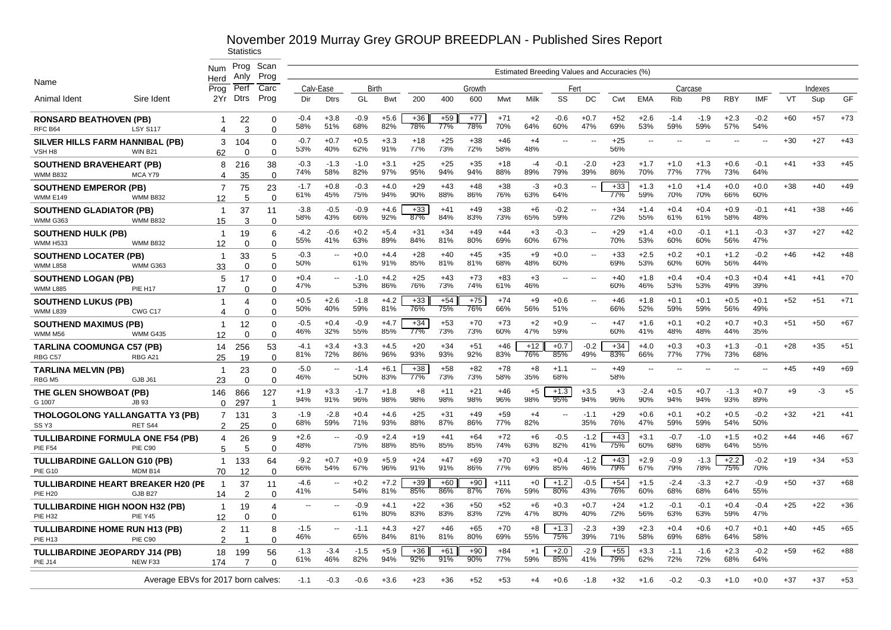# November 2019 Murray Grey GROUP BREEDPLAN - Published Sires Report<br>Statistics

|                                                              |                                                     | Num                            | Prog            | Scan                           |                          |                          |               |               |              |              |              |               |              |                                              |                          |              |               |               |                |               |               |       |         |       |
|--------------------------------------------------------------|-----------------------------------------------------|--------------------------------|-----------------|--------------------------------|--------------------------|--------------------------|---------------|---------------|--------------|--------------|--------------|---------------|--------------|----------------------------------------------|--------------------------|--------------|---------------|---------------|----------------|---------------|---------------|-------|---------|-------|
|                                                              |                                                     | Herd                           | Anly            | Prog                           |                          |                          |               |               |              |              |              |               |              | Estimated Breeding Values and Accuracies (%) |                          |              |               |               |                |               |               |       |         |       |
| Name                                                         |                                                     | Prog                           | Perf            | Carc                           |                          | Calv-Ease                |               | Birth         |              |              | Growth       |               |              |                                              | Fert                     |              |               |               | Carcase        |               |               |       | Indexes |       |
| Animal Ident                                                 | Sire Ident                                          | 2Yr                            | Dtrs            | Prog                           | Dir                      | <b>Dtrs</b>              | GL            | Bwt           | 200          | 400          | 600          | Mwt           | Milk         | SS                                           | DC                       | Cwt          | <b>EMA</b>    | <b>Rib</b>    | P <sub>8</sub> | <b>RBY</b>    | <b>IMF</b>    | VT    | Sup     | GF    |
| <b>RONSARD BEATHOVEN (PB)</b><br>RFC B64                     | <b>LSY S117</b>                                     | -1<br>4                        | 22<br>3         | 0<br>$\Omega$                  | $-0.4$<br>58%            | $+3.8$<br>51%            | $-0.9$<br>68% | $+5.6$<br>82% | $+36$<br>78% | $+59$<br>77% | $+77$<br>78% | $+71$<br>70%  | $+2$<br>64%  | $-0.6$<br>60%                                | $+0.7$<br>47%            | $+52$<br>69% | $+2.6$<br>53% | $-1.4$<br>59% | $-1.9$<br>59%  | $+2.3$<br>57% | $-0.2$<br>54% | $+60$ | $+57$   | $+73$ |
| SILVER HILLS FARM HANNIBAL (PB)                              |                                                     | 3                              | 104             | $\Omega$                       | $-0.7$<br>53%            | $+0.7$<br>40%            | $+0.5$<br>62% | $+3.3$<br>91% | $+18$<br>77% | $+25$<br>73% | $+38$<br>72% | +46<br>58%    | $+4$<br>48%  |                                              | $\overline{a}$           | $+25$<br>56% |               |               |                |               | --            | $+30$ | $+27$   | $+43$ |
| VSH H8<br><b>SOUTHEND BRAVEHEART (PB)</b>                    | WIN B21                                             | 62<br>8                        | $\Omega$<br>216 | $\mathbf 0$<br>38              | $-0.3$                   | $-1.3$                   | $-1.0$        | $+3.1$        | $+25$        | $+25$        | $+35$        | $+18$         | $-4$         | $-0.1$                                       | $-2.0$                   | $+23$        | $+1.7$        | $+1.0$        | $+1.3$         | $+0.6$        | $-0.1$        | $+41$ | $+33$   | $+45$ |
| <b>WMM B832</b>                                              | MCA Y79                                             | $\overline{4}$                 | 35              | $\Omega$                       | 74%                      | 58%                      | 82%           | 97%           | 95%          | 94%          | 94%          | 88%           | 89%          | 79%                                          | 39%                      | 86%          | 70%           | 77%           | 77%            | 73%           | 64%           |       |         |       |
| <b>SOUTHEND EMPEROR (PB)</b><br><b>WMM E149</b>              | <b>WMM B832</b>                                     | $\overline{7}$<br>12           | 75<br>5         | 23<br>$\overline{0}$           | $-1.7$<br>61%            | $+0.8$<br>45%            | $-0.3$<br>75% | $+4.0$<br>94% | $+29$<br>90% | $+43$<br>88% | $+48$<br>86% | $+38$<br>76%  | -3<br>63%    | $+0.3$<br>64%                                | --                       | $+33$<br>77% | $+1.3$<br>59% | $+1.0$<br>70% | $+1.4$<br>70%  | $+0.0$<br>66% | $+0.0$<br>60% | $+38$ | $+40$   | $+49$ |
| <b>SOUTHEND GLADIATOR (PB)</b>                               |                                                     | -1                             | 37              | 11                             | $-3.8$<br>58%            | $-0.5$<br>43%            | $-0.9$<br>66% | $+4.6$<br>92% | $+33$<br>87% | $+41$<br>84% | $+49$<br>83% | $+38$<br>73%  | $+6$<br>65%  | $-0.2$<br>59%                                | $\overline{a}$           | $+34$<br>72% | $+1.4$<br>55% | $+0.4$<br>61% | $+0.4$<br>61%  | $+0.9$<br>58% | $-0.1$<br>48% | $+41$ | $+38$   | $+46$ |
| <b>WMM G363</b><br><b>SOUTHEND HULK (PB)</b>                 | <b>WMM B832</b>                                     | 15<br>$\overline{1}$           | 3<br>19         | $\mathbf 0$<br>6               | $-4.2$                   | $-0.6$                   | $+0.2$        | $+5.4$        | $+31$        | $+34$        | $+49$        | $+44$         | $+3$         | $-0.3$                                       | $\overline{a}$           | $+29$        | $+1.4$        | $+0.0$        | $-0.1$         | $+1.1$        | $-0.3$        | $+37$ | $+27$   | $+42$ |
| <b>WMM H533</b><br><b>SOUTHEND LOCATER (PB)</b>              | <b>WMM B832</b>                                     | 12<br>$\mathbf 1$              | $\Omega$<br>33  | $\Omega$<br>5                  | 55%<br>$-0.3$            | 41%                      | 63%<br>$+0.0$ | 89%<br>$+4.4$ | 84%<br>$+28$ | 81%<br>$+40$ | 80%<br>$+45$ | 69%<br>$+35$  | 60%<br>$+9$  | 67%<br>$+0.0$                                | $\overline{\phantom{a}}$ | 70%<br>$+33$ | 53%<br>$+2.5$ | 60%<br>$+0.2$ | 60%<br>$+0.1$  | 56%<br>$+1.2$ | 47%<br>$-0.2$ | $+46$ | $+42$   | $+48$ |
| <b>WMM L858</b>                                              | <b>WMM G363</b>                                     | 33                             | $\Omega$        | $\mathbf 0$                    | 50%                      |                          | 61%           | 91%           | 85%          | 81%          | 81%          | 68%           | 48%          | 60%                                          |                          | 69%          | 53%           | 60%           | 60%            | 56%           | 44%           |       |         |       |
| <b>SOUTHEND LOGAN (PB)</b><br><b>WMM L885</b>                | <b>PIE H17</b>                                      | 5<br>17                        | 17<br>$\Omega$  | $\mathbf 0$<br>$\Omega$        | $+0.4$<br>47%            |                          | $-1.0$<br>53% | $+4.2$<br>86% | $+25$<br>76% | $+43$<br>73% | $+73$<br>74% | $+83$<br>61%  | $+3$<br>46%  |                                              | $\overline{\phantom{a}}$ | $+40$<br>60% | $+1.8$<br>46% | $+0.4$<br>53% | $+0.4$<br>53%  | $+0.3$<br>49% | $+0.4$<br>39% | $+41$ | $+41$   | $+70$ |
| <b>SOUTHEND LUKUS (PB)</b><br><b>WMM L839</b>                | CWG C17                                             | -1<br>$\overline{\mathcal{A}}$ | 4<br>$\Omega$   | 0<br>0                         | $+0.5$<br>50%            | $+2.6$<br>40%            | $-1.8$<br>59% | $+4.2$<br>81% | $+33$<br>76% | $+54$<br>75% | $+75$<br>76% | $+74$<br>66%  | $+9$<br>56%  | $+0.6$<br>51%                                | $\overline{\phantom{a}}$ | $+46$<br>66% | $+1.8$<br>52% | $+0.1$<br>59% | $+0.1$<br>59%  | $+0.5$<br>56% | $+0.1$<br>49% | $+52$ | $+51$   | $+71$ |
| <b>SOUTHEND MAXIMUS (PB)</b><br>WMM M56                      | <b>WMM G435</b>                                     | -1<br>12                       | 12<br>$\Omega$  | 0<br>$\Omega$                  | $-0.5$<br>46%            | $+0.4$<br>32%            | $-0.9$<br>55% | $+4.7$<br>85% | $+34$<br>77% | $+53$<br>73% | $+70$<br>73% | $+73$<br>60%  | $+2$<br>47%  | $+0.9$<br>59%                                | $\overline{\phantom{a}}$ | $+47$<br>60% | $+1.6$<br>41% | $+0.1$<br>48% | $+0.2$<br>48%  | $+0.7$<br>44% | $+0.3$<br>35% | $+51$ | $+50$   | $+67$ |
| <b>TARLINA COOMUNGA C57 (PB)</b><br>RBG C57                  | RBG A21                                             | 14<br>25                       | 256<br>19       | 53<br>$\overline{0}$           | $-4.1$<br>81%            | $+3.4$<br>72%            | $+3.3$<br>86% | $+4.5$<br>96% | $+20$<br>93% | $+34$<br>93% | $+51$<br>92% | $+46$<br>83%  | $+12$<br>76% | $+0.7$<br>85%                                | $-0.2$<br>49%            | $+34$<br>83% | $+4.0$<br>66% | $+0.3$<br>77% | $+0.3$<br>77%  | $+1.3$<br>73% | $-0.1$<br>68% | $+28$ | $+35$   | $+51$ |
| TARLINA MELVIN (PB)<br>RBG M5                                | GJB J61                                             | -1<br>23                       | 23<br>$\Omega$  | 0<br>$\mathbf 0$               | $-5.0$<br>46%            | $\sim$                   | $-1.4$<br>50% | $+6.1$<br>83% | $+38$<br>77% | $+58$<br>73% | $+82$<br>73% | $+78$<br>58%  | $+8$<br>35%  | $+1.1$<br>68%                                | $\overline{a}$           | $+49$<br>58% | $\sim$        |               |                |               |               | $+45$ | $+49$   | $+69$ |
| THE GLEN SHOWBOAT (PB)<br>G 1007                             | JB 93                                               | 146                            | 866             | 127<br>$\overline{\mathbf{1}}$ | $+1.9$<br>94%            | $+3.3$<br>91%            | $-1.7$<br>96% | $+1.8$<br>98% | $+8$<br>98%  | $+11$<br>98% | $+21$<br>98% | $+46$<br>96%  | $+5$<br>98%  | $+1.3$<br>95%                                | $+3.5$<br>94%            | $+3$<br>96%  | $-2.4$<br>90% | $+0.5$<br>94% | $+0.7$<br>94%  | $-1.3$<br>93% | $+0.7$<br>89% | $+9$  | -3      | $+5$  |
|                                                              | <b>THOLOGOLONG YALLANGATTA Y3 (PB)</b>              | $\Omega$<br>$\overline{7}$     | 297<br>131      | 3                              | $-1.9$                   | $-2.8$                   | $+0.4$        | $+4.6$        | $+25$        | $+31$        | $+49$        | $+59$         | $+4$         | $\mathbf{u}$                                 | $-1.1$                   | $+29$        | $+0.6$        | $+0.1$        | $+0.2$         | $+0.5$        | $-0.2$        | $+32$ | $+21$   | $+41$ |
| SSY3                                                         | RET S44                                             | $\overline{2}$                 | 25              | $\mathbf 0$                    | 68%                      | 59%                      | 71%           | 93%           | 88%          | 87%          | 86%          | 77%           | 82%          |                                              | 35%                      | 76%          | 47%           | 59%           | 59%            | 54%           | 50%           |       |         |       |
| <b>PIE F54</b>                                               | <b>TULLIBARDINE FORMULA ONE F54 (PB)</b><br>PIE C90 | 4<br>5                         | 26<br>5         | 9<br>$\Omega$                  | $+2.6$<br>48%            |                          | $-0.9$<br>75% | $+2.4$<br>88% | $+19$<br>85% | $+41$<br>85% | $+64$<br>85% | $+72$<br>74%  | $+6$<br>63%  | $-0.5$<br>82%                                | $-1.2$<br>41%            | $+43$<br>75% | $+3.1$<br>60% | $-0.7$<br>68% | $-1.0$<br>68%  | $+1.5$<br>64% | $+0.2$<br>55% | $+44$ | $+46$   | $+67$ |
| <b>TULLIBARDINE GALLON G10 (PB)</b><br><b>PIE G10</b>        | MDM B14                                             | $\mathbf{1}$<br>70             | 133<br>12       | 64<br>$\Omega$                 | $-9.2$<br>66%            | $+0.7$<br>54%            | $+0.9$<br>67% | $+5.9$<br>96% | $+24$<br>91% | $+47$<br>91% | $+69$<br>86% | $+70$<br>77%  | $+3$<br>69%  | $+0.4$<br>85%                                | $-1.2$<br>46%            | $+43$<br>79% | $+2.9$<br>67% | $-0.9$<br>79% | $-1.3$<br>78%  | $+2.2$<br>75% | $-0.2$<br>70% | $+19$ | $+34$   | $+53$ |
|                                                              | <b>TULLIBARDINE HEART BREAKER H20 (PE</b>           | $\overline{1}$                 | 37              | 11                             | -4.6<br>41%              |                          | $+0.2$<br>54% | $+7.2$<br>81% | $+39$<br>85% | $+60$<br>86% | $+90$<br>87% | $+111$<br>76% | $+0$<br>59%  | $+1.2$<br>80%                                | $-0.5$<br>43%            | $+54$<br>76% | $+1.5$<br>60% | $-2.4$<br>68% | $-3.3$<br>68%  | $+2.7$<br>64% | -0.9<br>55%   | $+50$ | $+37$   | $+68$ |
| <b>PIE H20</b><br><b>TULLIBARDINE HIGH NOON H32 (PB)</b>     | GJB B <sub>27</sub>                                 | 14<br>$\overline{1}$           | 2<br>19         | $\Omega$<br>$\overline{4}$     | $\overline{\phantom{a}}$ | $\overline{\phantom{a}}$ | $-0.9$        | $+4.1$        | $+22$        | +36          | $+50$        | $+52$         | $+6$         | $+0.3$                                       | $+0.7$                   | $+24$        | $+1.2$        | $-0.1$        | $-0.1$         | $+0.4$        | -0.4          | $+25$ | $+22$   | $+36$ |
| <b>PIE H32</b>                                               | PIE Y45                                             | 12                             | $\Omega$        | 0                              |                          |                          | 61%           | 80%           | 83%          | 83%          | 83%          | 72%           | 47%          | 80%                                          | 40%                      | 72%          | 56%           | 63%           | 63%            | 59%           | 47%           |       |         |       |
| <b>TULLIBARDINE HOME RUN H13 (PB)</b><br>PIE H <sub>13</sub> | PIE C90                                             | 2<br>$\overline{2}$            | 11<br>1         | 8<br>$\mathbf 0$               | $-1.5$<br>46%            | $\overline{\phantom{a}}$ | $-1.1$<br>65% | $+4.3$<br>84% | $+27$<br>81% | $+46$<br>81% | $+65$<br>80% | $+70$<br>69%  | $+8$<br>55%  | $+1.3$<br>75%                                | $-2.3$<br>39%            | $+39$<br>71% | $+2.3$<br>58% | $+0.4$<br>69% | $+0.6$<br>68%  | $+0.7$<br>64% | $+0.1$<br>58% | $+40$ | $+45$   | $+65$ |
| TULLIBARDINE JEOPARDY J14 (PB)                               |                                                     | 18                             | 199             | 56                             | $-1.3$                   | $-3.4$                   | $-1.5$        | $+5.9$        | $+36$        | $+61$        | $+90$        | $+84$<br>77%  | $+1$         | $+2.0$                                       | $-2.9$                   | $+55$        | $+3.3$        | $-1.1$        | $-1.6$         | $+2.3$        | $-0.2$        | $+59$ | $+62$   | $+88$ |
| PIE J14                                                      | NEW F33                                             | 174                            |                 | $\Omega$                       | 61%                      | 46%                      | 82%           | 94%           | 92%          | 91%          | 90%          |               | 59%          | 85%                                          | 41%                      | 79%          | 62%           | 72%           | 72%            | 68%           | 64%           |       |         |       |
|                                                              | Average EBVs for 2017 born calves:                  |                                |                 |                                | $-1.1$                   | -0.3                     | $-0.6$        | $+3.6$        | $+23$        | +36          | $+52$        | $+53$         | $+4$         | $+0.6$                                       | $-1.8$                   | $+32$        | $+1.6$        | $-0.2$        | $-0.3$         | $+1.0$        | $+0.0$        | $+37$ | $+37$   | $+53$ |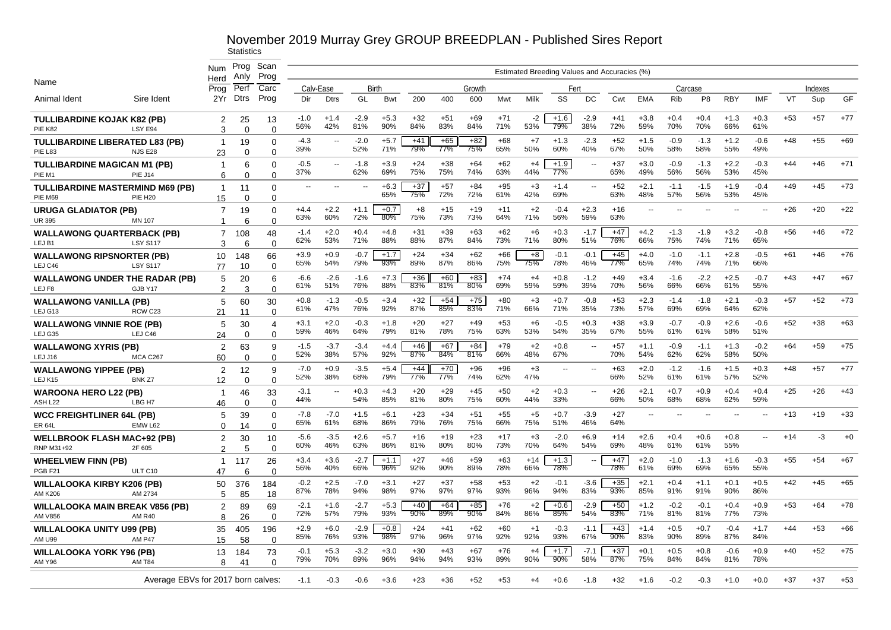|                                                          |                                    | <b>Num</b>          | Prog<br>Anly      | Scan<br>Prog         |               |                          |               |               |              |              |              |              |              |                |               | Estimated Breeding Values and Accuracies (%) |                |               |                |               |                          |       |         |       |
|----------------------------------------------------------|------------------------------------|---------------------|-------------------|----------------------|---------------|--------------------------|---------------|---------------|--------------|--------------|--------------|--------------|--------------|----------------|---------------|----------------------------------------------|----------------|---------------|----------------|---------------|--------------------------|-------|---------|-------|
| Name                                                     |                                    | Herd<br>Prog        | Perf              | Carc                 |               | Calv-Ease                | Birth         |               |              |              | Growth       |              |              | Fert           |               |                                              |                | Carcase       |                |               |                          |       | Indexes |       |
| Animal Ident                                             | Sire Ident                         | 2Yr                 | <b>Dtrs</b>       | Prog                 | Dir           | <b>Dtrs</b>              | GL            | Bwt           | 200          | 400          | 600          | Mwt          | Milk         | SS             | DC            | Cwt                                          | <b>EMA</b>     | Rib           | P <sub>8</sub> | <b>RBY</b>    | <b>IMF</b>               | VT    | Sup     | GF    |
| <b>TULLIBARDINE KOJAK K82 (PB)</b><br><b>PIE K82</b>     | LSY E94                            | 2<br>3              | 25<br>$\Omega$    | 13<br>$\Omega$       | $-1.0$<br>56% | $+1.4$<br>42%            | $-2.9$<br>81% | $+5.3$<br>90% | $+32$<br>84% | $+51$<br>83% | $+69$<br>84% | $+71$<br>71% | $-2$<br>53%  | $+1.6$<br>79%  | $-2.9$<br>38% | $+41$<br>72%                                 | $+3.8$<br>59%  | $+0.4$<br>70% | $+0.4$<br>70%  | $+1.3$<br>66% | $+0.3$<br>61%            | $+53$ | $+57$   | $+77$ |
| <b>TULLIBARDINE LIBERATED L83 (PB)</b><br>PIE L83        | <b>NJS E28</b>                     | $\mathbf 1$<br>23   | 19<br>$\Omega$    | $\Omega$<br>$\Omega$ | -4.3<br>39%   | $\overline{\phantom{a}}$ | $-2.0$<br>52% | $+5.7$<br>71% | $+41$<br>79% | $+65$<br>77% | $+82$<br>75% | $+68$<br>65% | $+7$<br>50%  | $+1.3$<br>60%  | $-2.3$<br>40% | $+52$<br>67%                                 | $+1.5$<br>50%  | $-0.9$<br>58% | $-1.3$<br>58%  | $+1.2$<br>55% | $-0.6$<br>49%            | $+48$ | $+55$   | $+69$ |
| <b>TULLIBARDINE MAGICAN M1 (PB)</b><br>PIE M1            | <b>PIE J14</b>                     | $\overline{1}$<br>6 | 6<br>$\Omega$     | $\Omega$<br>$\Omega$ | $-0.5$<br>37% | $\overline{\phantom{a}}$ | $-1.8$<br>62% | $+3.9$<br>69% | $+24$<br>75% | $+38$<br>75% | $+64$<br>74% | $+62$<br>63% | $+4$<br>44%  | $+1.9$<br>77%  | $\sim$        | $+37$<br>65%                                 | $+3.0$<br>49%  | $-0.9$<br>56% | $-1.3$<br>56%  | $+2.2$<br>53% | $-0.3$<br>45%            | $+44$ | $+46$   | $+71$ |
| <b>TULLIBARDINE MASTERMIND M69 (PB)</b><br>PIE M69       | <b>PIE H20</b>                     | $\mathbf{1}$<br>15  | 11<br>$\Omega$    | $\Omega$<br>$\Omega$ |               |                          |               | $+6.3$<br>65% | $+37$<br>75% | $+57$<br>72% | $+84$<br>72% | $+95$<br>61% | $+3$<br>42%  | $+1.4$<br>69%  |               | $+52$<br>63%                                 | $+2.1$<br>48%  | $-1.1$<br>57% | $-1.5$<br>56%  | $+1.9$<br>53% | $-0.4$<br>45%            | $+49$ | $+45$   | $+73$ |
| <b>URUGA GLADIATOR (PB)</b><br><b>UR 395</b>             | MN 107                             | 7<br>-1             | 19<br>6           | $\Omega$<br>$\Omega$ | $+4.4$<br>63% | $+2.2$<br>60%            | $+1.1$<br>72% | $+0.7$<br>80% | $+8$<br>75%  | $+15$<br>73% | $+19$<br>73% | $+11$<br>64% | $+2$<br>71%  | $-0.4$<br>56%  | $+2.3$<br>59% | $+16$<br>63%                                 | --             |               |                |               | $\overline{\phantom{a}}$ | +26   | $+20$   | $+22$ |
| <b>WALLAWONG QUARTERBACK (PB)</b><br>LEJ B1              | <b>LSY S117</b>                    | $\overline{7}$<br>3 | 108<br>6          | 48<br>∩              | $-1.4$<br>62% | $+2.0$<br>53%            | $+0.4$<br>71% | $+4.8$<br>88% | $+31$<br>88% | $+39$<br>87% | $+63$<br>84% | $+62$<br>73% | $+6$<br>71%  | $+0.3$<br>80%  | $-1.7$<br>51% | $+47$<br>76%                                 | $+4.2$<br>66%  | $-1.3$<br>75% | $-1.9$<br>74%  | $+3.2$<br>71% | $-0.8$<br>65%            | +56   | $+46$   | $+72$ |
| <b>WALLAWONG RIPSNORTER (PB)</b><br>LEJ C46              | <b>LSY S117</b>                    | 10<br>77            | 148<br>10         | 66<br>$\Omega$       | $+3.9$<br>65% | $+0.9$<br>54%            | $-0.7$<br>79% | $+1.7$<br>93% | $+24$<br>89% | $+34$<br>87% | $+62$<br>86% | $+66$<br>75% | $+8$<br>75%  | $-0.1$<br>78%  | $-0.1$<br>46% | $+45$<br>77%                                 | $+4.0$<br>65%  | $-1.0$<br>74% | $-1.1$<br>74%  | $+2.8$<br>71% | $-0.5$<br>66%            | $+61$ | $+46$   | $+76$ |
| <b>WALLAWONG UNDER THE RADAR (PB)</b><br>LEJ F8          | GJB Y17                            | 5<br>2              | 20<br>3           | 6<br>$\Omega$        | -6.6<br>61%   | $-2.6$<br>51%            | $-1.6$<br>76% | $+7.3$<br>88% | $+36$<br>83% | $+60$<br>81% | $+83$<br>80% | $+74$<br>69% | $+4$<br>59%  | $+0.8$<br>59%  | $-1.2$<br>39% | $+49$<br>70%                                 | $+3.4$<br>56%  | $-1.6$<br>66% | $-2.2$<br>66%  | $+2.5$<br>61% | $-0.7$<br>55%            | $+43$ | $+47$   | $+67$ |
| <b>WALLAWONG VANILLA (PB)</b><br>LEJ G13                 | RCW <sub>C23</sub>                 | 5<br>21             | 60<br>11          | 30<br>$\Omega$       | $+0.8$<br>61% | $-1.3$<br>47%            | $-0.5$<br>76% | $+3.4$<br>92% | $+32$<br>87% | $+54$<br>85% | $+75$<br>83% | $+80$<br>71% | $+3$<br>66%  | $+0.7$<br>71%  | $-0.8$<br>35% | $+53$<br>73%                                 | $+2.3$<br>57%  | $-1.4$<br>69% | $-1.8$<br>69%  | $+2.1$<br>64% | $-0.3$<br>62%            | $+57$ | $+52$   | $+73$ |
| <b>WALLAWONG VINNIE ROE (PB)</b><br>LEJ G35              | LEJ C46                            | 5<br>24             | 30<br>$\Omega$    | 4<br>$\Omega$        | $+3.1$<br>59% | $+2.0$<br>46%            | $-0.3$<br>64% | $+1.8$<br>79% | $+20$<br>81% | $+27$<br>78% | $+49$<br>75% | $+53$<br>63% | $+6$<br>53%  | $-0.5$<br>54%  | $+0.3$<br>35% | $+38$<br>67%                                 | $+3.9$<br>55%  | $-0.7$<br>61% | $-0.9$<br>61%  | $+2.6$<br>58% | $-0.6$<br>51%            | $+52$ | $+38$   | $+63$ |
| <b>WALLAWONG XYRIS (PB)</b><br>LEJ J16                   | MCA C267                           | 2<br>60             | 63<br>$\mathbf 0$ | 9<br>$\Omega$        | $-1.5$<br>52% | $-3.7$<br>38%            | $-3.4$<br>57% | $+4.4$<br>92% | $+46$<br>87% | $+67$<br>84% | $+84$<br>81% | $+79$<br>66% | $+2$<br>48%  | $+0.8$<br>67%  |               | $+57$<br>70%                                 | $+1.1$<br>54%  | $-0.9$<br>62% | $-1.1$<br>62%  | $+1.3$<br>58% | $-0.2$<br>50%            | $+64$ | $+59$   | $+75$ |
| <b>WALLAWONG YIPPEE (PB)</b><br>LEJ K15                  | BNK <sub>Z7</sub>                  | 2<br>12             | 12<br>$\Omega$    | 9<br>$\Omega$        | $-7.0$<br>52% | $+0.9$<br>38%            | $-3.5$<br>68% | $+5.4$<br>79% | $+44$<br>77% | $+70$<br>77% | $+96$<br>74% | $+96$<br>62% | $+3$<br>47%  | $\overline{a}$ | $\sim$        | $+63$<br>66%                                 | $+2.0$<br>52%  | $-1.2$<br>61% | $-1.6$<br>61%  | $+1.5$<br>57% | $+0.3$<br>52%            | $+48$ | $+57$   | $+77$ |
| <b>WAROONA HERO L22 (PB)</b><br>ASH <sub>L22</sub>       | LBG <sub>H7</sub>                  | $\mathbf{1}$<br>46  | 46<br>$\Omega$    | 33<br>$\Omega$       | $-3.1$<br>44% | $\overline{\phantom{a}}$ | $+0.3$<br>54% | $+4.3$<br>85% | $+20$<br>81% | $+29$<br>80% | $+45$<br>75% | $+50$<br>60% | $+2$<br>44%  | $+0.3$<br>33%  | $\sim$ $\sim$ | $+26$<br>66%                                 | $+2.1$<br>50%  | $+0.7$<br>68% | $+0.9$<br>68%  | $+0.4$<br>62% | $+0.4$<br>59%            | $+25$ | $+26$   | $+43$ |
| <b>WCC FREIGHTLINER 64L (PB)</b><br><b>ER 64L</b>        | EMW L62                            | 5<br>0              | 39<br>14          | $\Omega$<br>$\Omega$ | $-7.8$<br>65% | $-7.0$<br>61%            | $+1.5$<br>68% | $+6.1$<br>86% | $+23$<br>79% | $+34$<br>76% | $+51$<br>75% | $+55$<br>66% | $+5$<br>75%  | $+0.7$<br>51%  | $-3.9$<br>46% | $+27$<br>64%                                 | $\overline{a}$ |               |                |               | $\overline{\phantom{a}}$ | $+13$ | $+19$   | $+33$ |
| <b>WELLBROOK FLASH MAC+92 (PB)</b><br>RNP M31+92         | 2F 605                             | 2<br>$\mathfrak{p}$ | 30<br>5           | 10<br>$\Omega$       | $-5.6$<br>60% | $-3.5$<br>46%            | $+2.6$<br>63% | $+5.7$<br>86% | $+16$<br>81% | $+19$<br>80% | $+23$<br>80% | $+17$<br>73% | $+3$<br>70%  | $-2.0$<br>64%  | $+6.9$<br>54% | $+14$<br>69%                                 | $+2.6$<br>48%  | $+0.4$<br>61% | $+0.6$<br>61%  | $+0.8$<br>55% | $\mathbf{u}$             | $+14$ | $-3$    | $+0$  |
| <b>WHEELVIEW FINN (PB)</b><br>PGB <sub>F21</sub>         | ULT C10                            | -1<br>47            | 117<br>6          | 26<br>$\Omega$       | $+3.4$<br>56% | $+3.6$<br>40%            | $-2.7$<br>66% | $+1.1$<br>96% | $+27$<br>92% | $+46$<br>90% | $+59$<br>89% | $+63$<br>78% | $+14$<br>66% | $+1.3$<br>78%  |               | $+47$<br>78%                                 | $+2.0$<br>61%  | $-1.0$<br>69% | $-1.3$<br>69%  | $+1.6$<br>65% | $-0.3$<br>55%            | $+55$ | $+54$   | $+67$ |
| <b>WILLALOOKA KIRBY K206 (PB)</b><br>AM K206             | AM 2734                            | 50<br>5             | 376<br>85         | 184<br>18            | $-0.2$<br>87% | $+2.5$<br>78%            | $-7.0$<br>94% | $+3.1$<br>98% | $+27$<br>97% | $+37$<br>97% | $+58$<br>97% | $+53$<br>93% | $+2$<br>96%  | $-0.1$<br>94%  | $-3.6$<br>83% | $+35$<br>93%                                 | $+2.1$<br>85%  | $+0.4$<br>91% | $+1.1$<br>91%  | $+0.1$<br>90% | $+0.5$<br>86%            | $+42$ | $+45$   | $+65$ |
| <b>WILLALOOKA MAIN BREAK V856 (PB)</b><br><b>AM V856</b> | <b>AM R40</b>                      | 2<br>8              | 89<br>26          | 69<br>$\Omega$       | $-2.1$<br>72% | $+1.6$<br>57%            | $-2.7$<br>79% | $+5.3$<br>93% | $+40$<br>90% | $+64$<br>89% | $+85$<br>90% | $+76$<br>84% | $+2$<br>86%  | $+0.6$<br>85%  | $-2.9$<br>54% | $+50$<br>83%                                 | $+1.2$<br>71%  | $-0.2$<br>81% | $-0.1$<br>81%  | $+0.4$<br>77% | $+0.9$<br>73%            | $+53$ | $+64$   | $+78$ |
| <b>WILLALOOKA UNITY U99 (PB)</b><br><b>AM U99</b>        | <b>AM P47</b>                      | 35<br>15            | 405<br>58         | 196<br>$\Omega$      | $+2.9$<br>85% | $+6.0$<br>76%            | $-2.9$<br>93% | $+0.8$<br>98% | $+24$<br>97% | $+41$<br>96% | $+62$<br>97% | $+60$<br>92% | $+1$<br>92%  | $-0.3$<br>93%  | $-1.1$<br>67% | $+43$<br>90%                                 | $+1.4$<br>83%  | $+0.5$<br>90% | $+0.7$<br>89%  | $-0.4$<br>87% | $+1.7$<br>84%            | $+44$ | $+53$   | $+66$ |
| <b>WILLALOOKA YORK Y96 (PB)</b><br><b>AM Y96</b>         | AM T84                             | 13<br>8             | 184<br>41         | 73<br>$\Omega$       | $-0.1$<br>79% | $+5.3$<br>70%            | $-3.2$<br>89% | $+3.0$<br>96% | $+30$<br>94% | $+43$<br>94% | $+67$<br>93% | $+76$<br>89% | $+4$<br>90%  | $+1.7$<br>90%  | $-7.1$<br>58% | $+37$<br>87%                                 | $+0.1$<br>75%  | $+0.5$<br>84% | $+0.8$<br>84%  | $-0.6$<br>81% | $+0.9$<br>78%            | $+40$ | $+52$   | $+75$ |
|                                                          | Average EBVs for 2017 born calves: |                     |                   |                      | -1.1          | -0.3                     | -0.6          | $+3.6$        | $+23$        | $+36$        | $+52$        | +53          | $+4$         | $+0.6$         | $-1.8$        | $+32$                                        | $+1.6$         | $-0.2$        | $-0.3$         | $+1.0$        | $+0.0$                   | $+37$ | +37     | $+53$ |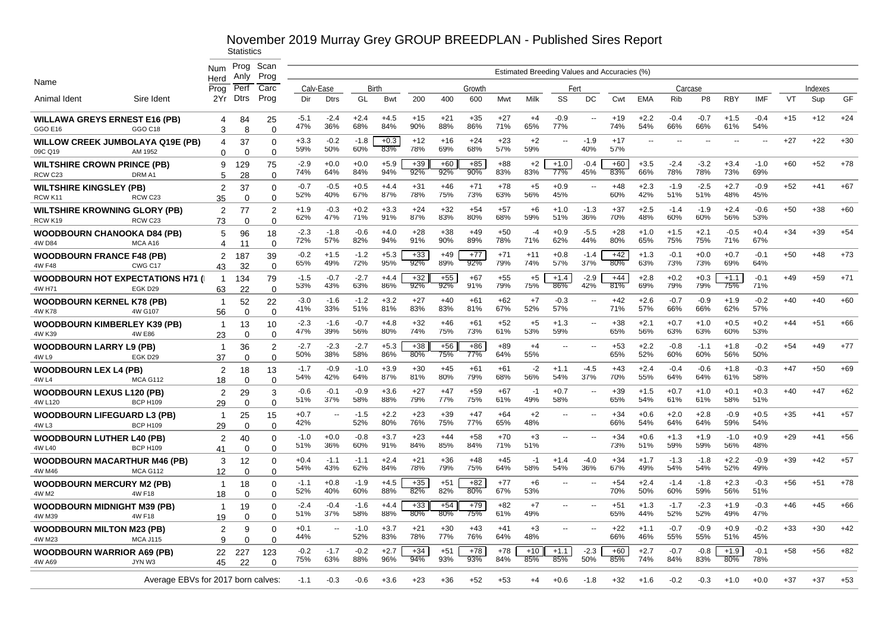# November 2019 Murray Grey GROUP BREEDPLAN - Published Sires Report<br>Statistics

|                                                   |                                                      | Num                        | Prog      | Scan              |               |               |               |               |              |              |              |              |                                              |                          |                          |              |                          |               |                |                |                          |           |         |       |
|---------------------------------------------------|------------------------------------------------------|----------------------------|-----------|-------------------|---------------|---------------|---------------|---------------|--------------|--------------|--------------|--------------|----------------------------------------------|--------------------------|--------------------------|--------------|--------------------------|---------------|----------------|----------------|--------------------------|-----------|---------|-------|
| Name                                              |                                                      | Herd                       | Anly      | Prog              |               |               |               |               |              |              |              |              | Estimated Breeding Values and Accuracies (%) |                          |                          |              |                          |               |                |                |                          |           |         |       |
|                                                   |                                                      | Prog                       | Perf      | Carc              |               | Calv-Ease     |               | Birth         |              | Growth       |              |              | Fert                                         |                          |                          |              |                          |               | Carcase        |                |                          |           | Indexes |       |
| Animal Ident                                      | Sire Ident                                           | 2Yr                        | Dtrs      | Prog              | Dir           | <b>Dtrs</b>   | GL            | Bwt           | 200          | 400          | 600          | Mwt          | Milk                                         | SS                       | DC                       | Cwt          | <b>EMA</b>               | <b>Rib</b>    | P <sub>8</sub> | <b>RBY</b>     | <b>IMF</b>               | <b>VT</b> | Sup     | GF    |
| <b>WILLAWA GREYS ERNEST E16 (PB)</b>              |                                                      | 4                          | 84        | 25                | $-5.1$<br>47% | $-2.4$<br>36% | $+2.4$<br>68% | $+4.5$<br>84% | $+15$<br>90% | $+21$<br>88% | $+35$<br>86% | $+27$<br>71% | $+4$<br>65%                                  | $-0.9$<br>77%            | $\overline{a}$           | $+19$<br>74% | $+2.2$<br>54%            | $-0.4$<br>66% | $-0.7$<br>66%  | $+1.5$<br>61%  | $-0.4$<br>54%            | $+15$     | $+12$   | $+24$ |
| <b>GGO E16</b>                                    | GGO C18                                              | 3                          | 8         | $\Omega$          |               |               |               |               |              |              |              |              |                                              |                          |                          |              |                          |               |                |                |                          |           |         |       |
|                                                   | <b>WILLOW CREEK JUMBOLAYA Q19E (PB)</b>              | 4                          | 37        | $\mathbf 0$       | $+3.3$<br>59% | $-0.2$<br>50% | $-1.8$<br>60% | $+0.3$<br>83% | $+12$<br>78% | $+16$<br>69% | $+24$<br>68% | $+23$<br>57% | $+2$<br>59%                                  | $\sim$                   | $-1.9$<br>40%            | $+17$<br>57% | $\overline{\phantom{a}}$ |               |                | $\overline{a}$ | $\overline{\phantom{a}}$ | $+27$     | $+22$   | $+30$ |
| 09C Q19                                           | AM 1952                                              | $\Omega$                   | $\Omega$  | $\Omega$          |               |               |               |               |              |              |              |              |                                              |                          |                          |              |                          |               |                |                |                          |           |         |       |
| <b>WILTSHIRE CROWN PRINCE (PB)</b>                |                                                      | 9                          | 129       | 75                | $-2.9$<br>74% | $+0.0$<br>64% | $+0.0$<br>84% | $+5.9$<br>94% | $+39$<br>92% | $+60$<br>92% | $+85$<br>90% | $+88$<br>83% | $+2$<br>83%                                  | $+1.0$<br>77%            | $-0.4$<br>45%            | $+60$<br>83% | $+3.5$<br>66%            | $-2.4$<br>78% | $-3.2$<br>78%  | $+3.4$<br>73%  | $-1.0$<br>69%            | $+60$     | $+52$   | $+78$ |
| RCW C23                                           | DRM A1                                               | 5                          | 28        | $\Omega$          |               |               |               |               |              |              |              |              |                                              |                          |                          |              |                          |               |                |                |                          |           |         |       |
| <b>WILTSHIRE KINGSLEY (PB)</b>                    |                                                      | $\overline{2}$             | 37        | $\Omega$          | $-0.7$<br>52% | $-0.5$<br>40% | $+0.5$<br>67% | $+4.4$<br>87% | $+31$<br>78% | $+46$<br>75% | $+71$<br>73% | $+78$<br>63% | $+5$<br>56%                                  | $+0.9$<br>45%            | $\overline{\phantom{a}}$ | $+48$<br>60% | $+2.3$<br>42%            | $-1.9$<br>51% | $-2.5$<br>51%  | $+2.7$<br>48%  | $-0.9$<br>45%            | $+52$     | $+41$   | $+67$ |
| RCW K11                                           | RCW C23                                              | 35                         | $\Omega$  | $\mathbf 0$       |               |               |               |               |              |              |              |              |                                              |                          |                          |              |                          |               |                |                |                          |           |         |       |
| <b>WILTSHIRE KROWNING GLORY (PB)</b>              | RCW <sub>C23</sub>                                   | $\overline{2}$             | 77        | $\overline{2}$    | $+1.9$<br>62% | $-0.3$<br>47% | $+0.2$<br>71% | $+3.3$<br>91% | $+24$<br>87% | $+32$<br>83% | $+54$<br>80% | $+57$<br>68% | $+6$<br>59%                                  | $+1.0$<br>51%            | $-1.3$<br>36%            | $+37$<br>70% | $+2.5$<br>48%            | $-1.4$<br>60% | $-1.9$<br>60%  | $+2.4$<br>56%  | $-0.6$<br>53%            | $+50$     | $+38$   | $+60$ |
| RCW K19                                           |                                                      | 73                         | $\Omega$  | $\mathbf 0$       |               |               |               |               | $+28$        | $+38$        | $+49$        | $+50$        | $-4$                                         |                          | $-5.5$                   |              |                          |               | $+2.1$         | $-0.5$         |                          |           |         | $+54$ |
| <b>WOODBOURN CHANOOKA D84 (PB)</b><br>4W D84      | MCA A16                                              | 5<br>$\boldsymbol{\Delta}$ | 96        | 18<br>$\Omega$    | $-2.3$<br>72% | $-1.8$<br>57% | $-0.6$<br>82% | $+4.0$<br>94% | 91%          | 90%          | 89%          | 78%          | 71%                                          | $+0.9$<br>62%            | 44%                      | $+28$<br>80% | $+1.0$<br>65%            | $+1.5$<br>75% | 75%            | 71%            | $+0.4$<br>67%            | $+34$     | $+39$   |       |
|                                                   |                                                      |                            | 11        |                   | $-0.2$        | $+1.5$        | $-1.2$        | $+5.3$        | $+33$        | $+49$        | $+77$        | $+71$        | $+11$                                        | $+0.8$                   | $-1.4$                   | $+42$        | $+1.3$                   | $-0.1$        | $+0.0$         | $+0.7$         | $-0.1$                   | $+50$     | $+48$   | $+73$ |
| <b>WOODBOURN FRANCE F48 (PB)</b><br><b>4W F48</b> | CWG C17                                              | $\overline{2}$<br>43       | 187<br>32 | 39<br>$\mathbf 0$ | 65%           | 49%           | 72%           | 95%           | 92%          | 89%          | 92%          | 79%          | 74%                                          | 57%                      | 37%                      | 80%          | 63%                      | 73%           | 73%            | 69%            | 64%                      |           |         |       |
|                                                   |                                                      |                            |           |                   | $-1.5$        | $-0.7$        | $-2.7$        | $+4.4$        | $+32$        | $+55$        | $+67$        | $+55$        | $+5$                                         | $+1.4$                   | $-2.9$                   | $+44$        | $+2.8$                   | $+0.2$        | $+0.3$         | $+1.1$         | $-0.1$                   | $+49$     | $+59$   | $+71$ |
| 4W H71                                            | <b>WOODBOURN HOT EXPECTATIONS H71 (I)</b><br>EGK D29 | $\overline{1}$<br>63       | 134<br>22 | 79<br>$\Omega$    | 53%           | 43%           | 63%           | 86%           | 92%          | 92%          | 91%          | 79%          | 75%                                          | 86%                      | 42%                      | 81%          | 69%                      | 79%           | 79%            | 75%            | 71%                      |           |         |       |
| <b>WOODBOURN KERNEL K78 (PB)</b>                  |                                                      | $\overline{1}$             | 52        | 22                | $-3.0$        | $-1.6$        | $-1.2$        | $+3.2$        | $+27$        | $+40$        | $+61$        | $+62$        | $+7$                                         | $-0.3$                   | --                       | $+42$        | $+2.6$                   | $-0.7$        | $-0.9$         | $+1.9$         | $-0.2$                   | $+40$     | $+40$   | $+60$ |
| 4W K78                                            | 4W G107                                              | 56                         | $\Omega$  | $\mathbf 0$       | 41%           | 33%           | 51%           | 81%           | 83%          | 83%          | 81%          | 67%          | 52%                                          | 57%                      |                          | 71%          | 57%                      | 66%           | 66%            | 62%            | 57%                      |           |         |       |
| <b>WOODBOURN KIMBERLEY K39 (PB)</b>               |                                                      | $\overline{1}$             | 13        | 10                | $-2.3$        | $-1.6$        | $-0.7$        | $+4.8$        | $+32$        | $+46$        | $+61$        | $+52$        | $+5$                                         | $+1.3$                   | $\overline{a}$           | $+38$        | $+2.1$                   | $+0.7$        | $+1.0$         | $+0.5$         | $+0.2$                   | $+44$     | $+51$   | $+66$ |
| 4W K39                                            | 4W E86                                               | 23                         | $\Omega$  | $\mathbf 0$       | 47%           | 39%           | 56%           | 80%           | 74%          | 75%          | 73%          | 61%          | 53%                                          | 59%                      |                          | 65%          | 56%                      | 63%           | 63%            | 60%            | 53%                      |           |         |       |
| <b>WOODBOURN LARRY L9 (PB)</b>                    |                                                      | $\mathbf{1}$               | 36        | $\overline{2}$    | $-2.7$        | $-2.3$        | $-2.7$        | $+5.3$        | $+38$        | $+56$        | $+86$        | $+89$        | $+4$                                         | --                       | $\overline{\phantom{a}}$ | $+53$        | $+2.2$                   | $-0.8$        | $-1.1$         | $+1.8$         | $-0.2$                   | $+54$     | $+49$   | $+77$ |
| 4W L9                                             | EGK D29                                              | 37                         | $\Omega$  | $\overline{0}$    | 50%           | 38%           | 58%           | 86%           | 80%          | 75%          | 77%          | 64%          | 55%                                          |                          |                          | 65%          | 52%                      | 60%           | 60%            | 56%            | 50%                      |           |         |       |
| <b>WOODBOURN LEX L4 (PB)</b>                      |                                                      | $\overline{2}$             | 18        | 13                | $-1.7$        | $-0.9$        | $-1.0$        | $+3.9$        | $+30$        | $+45$        | $+61$        | $+61$        | $-2$                                         | $+1.1$                   | $-4.5$                   | $+43$        | $+2.4$                   | $-0.4$        | $-0.6$         | $+1.8$         | $-0.3$                   | $+47$     | $+50$   | $+69$ |
| 4W L4                                             | <b>MCA G112</b>                                      | 18                         | $\Omega$  | $\mathbf 0$       | 54%           | 42%           | 64%           | 87%           | 81%          | 80%          | 79%          | 68%          | 56%                                          | 54%                      | 37%                      | 70%          | 55%                      | 64%           | 64%            | 61%            | 58%                      |           |         |       |
| <b>WOODBOURN LEXUS L120 (PB)</b>                  |                                                      | $\overline{2}$             | 29        | 3                 | $-0.6$        | $-0.1$        | $-0.9$        | $+3.6$        | $+27$        | $+47$        | $+59$        | $+67$        | -1                                           | $+0.7$                   | $\overline{\phantom{a}}$ | $+39$        | $+1.5$                   | $+0.7$        | $+1.0$         | $+0.1$         | $+0.3$                   | $+40$     | $+47$   | $+62$ |
| 4W L120                                           | <b>BCP H109</b>                                      | 29                         | $\Omega$  | $\mathbf 0$       | 51%           | 37%           | 58%           | 88%           | 79%          | 77%          | 75%          | 61%          | 49%                                          | 58%                      |                          | 65%          | 54%                      | 61%           | 61%            | 58%            | 51%                      |           |         |       |
| <b>WOODBOURN LIFEGUARD L3 (PB)</b>                |                                                      | $\mathbf{1}$               | 25        | 15                | $+0.7$        | $\sim$        | $-1.5$        | $+2.2$        | $+23$        | $+39$        | $+47$        | $+64$        | $+2$                                         | $\overline{a}$           | $\overline{a}$           | $+34$        | $+0.6$                   | $+2.0$        | $+2.8$         | $-0.9$         | $+0.5$                   | $+35$     | $+41$   | $+57$ |
| 4W L3                                             | <b>BCP H109</b>                                      | 29                         | $\Omega$  | $\mathbf 0$       | 42%           |               | 52%           | 80%           | 76%          | 75%          | 77%          | 65%          | 48%                                          |                          |                          | 66%          | 54%                      | 64%           | 64%            | 59%            | 54%                      |           |         |       |
| <b>WOODBOURN LUTHER L40 (PB)</b>                  |                                                      | $\overline{2}$             | 40        | $\mathbf 0$       | $-1.0$        | $+0.0$        | $-0.8$        | $+3.7$        | $+23$        | $+44$        | $+58$        | $+70$        | $+3$                                         | $\mathbf{u}$             | $\overline{a}$           | $+34$        | $+0.6$                   | $+1.3$        | $+1.9$         | $-1.0$         | $+0.9$                   | $+29$     | $+41$   | $+56$ |
| 4W L40                                            | <b>BCP H109</b>                                      | 41                         | $\Omega$  | $\Omega$          | 51%           | 36%           | 60%           | 91%           | 84%          | 85%          | 84%          | 71%          | 51%                                          |                          |                          | 73%          | 51%                      | 59%           | 59%            | 56%            | 48%                      |           |         |       |
| <b>WOODBOURN MACARTHUR M46 (PB)</b>               |                                                      | 3                          | 12        | 0                 | $+0.4$        | $-1.1$        | $-1.1$        | $+2.4$        | $+21$        | $+36$        | $+48$        | $+45$        | $-1$                                         | $+1.4$                   | $-4.0$                   | $+34$        | $+1.7$                   | $-1.3$        | $-1.8$         | $+2.2$         | $-0.9$                   | $+39$     | $+42$   | $+57$ |
| 4W M46                                            | <b>MCA G112</b>                                      | 12                         | $\Omega$  | $\Omega$          | 54%           | 43%           | 62%           | 84%           | 78%          | 79%          | 75%          | 64%          | 58%                                          | 54%                      | 36%                      | 67%          | 49%                      | 54%           | 54%            | 52%            | 49%                      |           |         |       |
| <b>WOODBOURN MERCURY M2 (PB)</b>                  |                                                      | $\overline{1}$             | 18        | $\Omega$          | $-1.1$        | $+0.8$        | $-1.9$        | $+4.5$        | $+35$        | $+51$        | $+82$        | $+77$        | $+6$                                         | $\overline{\phantom{a}}$ | $\overline{a}$           | $+54$        | $+2.4$                   | $-1.4$        | $-1.8$         | $+2.3$         | $-0.3$                   | $+56$     | $+51$   | $+78$ |
| 4W M2                                             | 4W F18                                               | 18                         | $\Omega$  | $\mathbf 0$       | 52%           | 40%           | 60%           | 88%           | 82%          | 82%          | 80%          | 67%          | 53%                                          |                          |                          | 70%          | 50%                      | 60%           | 59%            | 56%            | 51%                      |           |         |       |
| <b>WOODBOURN MIDNIGHT M39 (PB)</b>                |                                                      | $\overline{1}$             | 19        | $\mathbf 0$       | $-2.4$        | $-0.4$        | $-1.6$        | $+4.4$        | $+33$        | $+54$        | $+79$        | $+82$        | $+7$                                         | ۰.                       | $\overline{a}$           | $+51$<br>65% | $+1.3$                   | $-1.7$        | $-2.3$         | $+1.9$         | $-0.3$                   | $+46$     | $+45$   | $+66$ |
| 4W M39                                            | 4W F18                                               | 19                         | 0         | 0                 | 51%           | 37%           | 58%           | 88%           | 80%          | 80%          | 75%          | 61%          | 49%                                          |                          |                          |              | 44%                      | 52%           | 52%            | 49%            | 47%                      |           |         |       |
| <b>WOODBOURN MILTON M23 (PB)</b>                  |                                                      | $\overline{2}$             | 9         | $\mathbf 0$       | $+0.1$<br>44% | $\sim$        | $-1.0$<br>52% | $+3.7$<br>83% | $+21$<br>78% | $+30$<br>77% | $+43$<br>76% | $+41$<br>64% | $+3$<br>48%                                  | $\overline{\phantom{a}}$ | $\overline{a}$           | $+22$<br>66% | $+1.1$<br>46%            | $-0.7$<br>55% | $-0.9$<br>55%  | $+0.9$<br>51%  | $-0.2$<br>45%            | $+33$     | $+30$   | $+42$ |
| 4W M23                                            | <b>MCA J115</b>                                      | $\mathbf{Q}$               | $\Omega$  | $\Omega$          |               |               |               |               |              |              |              |              |                                              |                          |                          |              |                          |               |                |                |                          |           |         |       |
| <b>WOODBOURN WARRIOR A69 (PB)</b>                 |                                                      | 22                         | 227       | 123               | $-0.2$<br>75% | $-1.7$<br>63% | $-0.2$<br>88% | $+2.7$<br>96% | $+34$<br>94% | $+51$<br>93% | $+78$<br>93% | $+78$<br>84% | $+10$<br>85%                                 | $+1.1$<br>85%            | $-2.3$<br>50%            | $+60$<br>85% | $+2.7$<br>74%            | $-0.7$<br>84% | $-0.8$<br>83%  | $+1.9$<br>80%  | $-0.1$<br>78%            | $+58$     | $+56$   | $+82$ |
| 4W A69                                            | JYN W3                                               | 45                         | 22        | $\Omega$          |               |               |               |               |              |              |              |              |                                              |                          |                          |              |                          |               |                |                |                          |           |         |       |
| Average EBVs for 2017 born calves:                |                                                      |                            |           |                   | $-1.1$        | $-0.3$        | $-0.6$        | $+3.6$        | $+23$        | $+36$        | $+52$        | $+53$        | $+4$                                         | $+0.6$                   | $-1.8$                   | $+32$        | $+1.6$                   | $-0.2$        | $-0.3$         | $+1.0$         | $+0.0$                   | $+37$     | $+37$   | $+53$ |